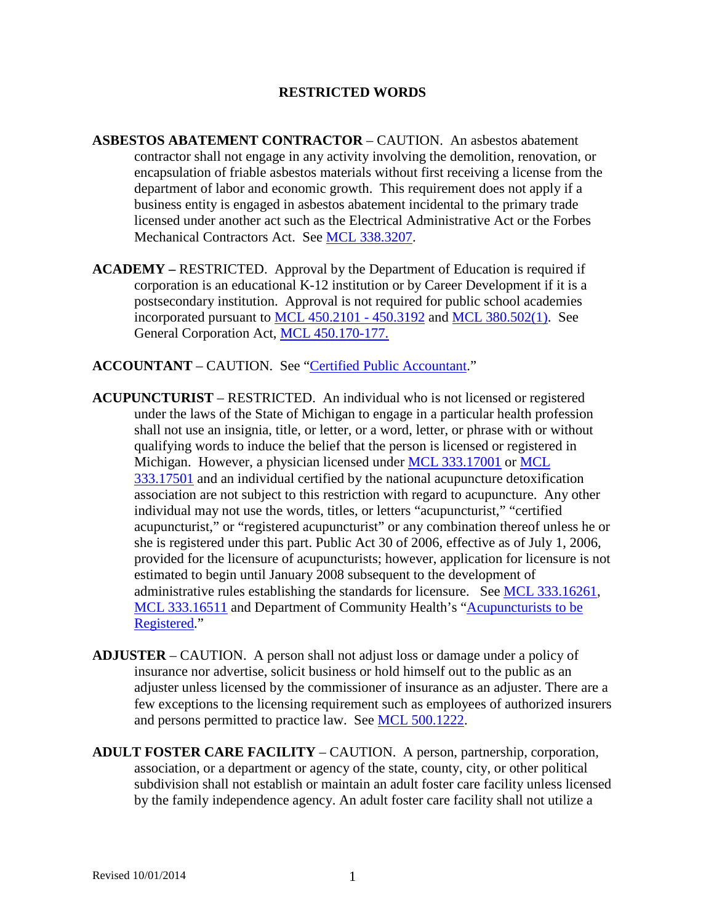### **RESTRICTED WORDS**

- **ASBESTOS ABATEMENT CONTRACTOR** CAUTION. An asbestos abatement contractor shall not engage in any activity involving the demolition, renovation, or encapsulation of friable asbestos materials without first receiving a license from the department of labor and economic growth. This requirement does not apply if a business entity is engaged in asbestos abatement incidental to the primary trade licensed under another act such as the Electrical Administrative Act or the Forbes Mechanical Contractors Act. See [MCL 338.3207.](http://www.legislature.mi.gov/mileg.aspx?page=getObject&objectName=mcl-338-3207)
- **ACADEMY –** RESTRICTED. Approval by the Department of Education is required if corporation is an educational K-12 institution or by Career Development if it is a postsecondary institution. Approval is not required for public school academies incorporated pursuant to [MCL 450.2101 -](http://www.legislature.mi.gov/mileg.aspx?page=getObject&objectName=mcl-450-2101) 450.3192 and [MCL 380.502\(1\).](http://www.legislature.mi.gov/mileg.aspx?page=getObject&objectName=mcl-380-502) See General Corporation Act, [MCL 450.170-177.](http://www.legislature.mi.gov/mileg.aspx?page=getObject&objectName=mcl-450-170)
- **ACCOUNTANT** CAUTION. See ["Certified Public Accountant.](#page-5-0)"
- <span id="page-0-0"></span>**ACUPUNCTURIST** – RESTRICTED. An individual who is not licensed or registered under the laws of the State of Michigan to engage in a particular health profession shall not use an insignia, title, or letter, or a word, letter, or phrase with or without qualifying words to induce the belief that the person is licensed or registered in Michigan. However, a physician licensed under [MCL 333.17001](http://www.legislature.mi.gov/mileg.aspx?page=getobject&objectname=mcl-333-17001&queryid=15614644) or [MCL](http://www.legislature.mi.gov/mileg.aspx?page=getobject&objectname=mcl-333-17501&queryid=15614659)  [333.17501](http://www.legislature.mi.gov/mileg.aspx?page=getobject&objectname=mcl-333-17501&queryid=15614659) and an individual certified by the national acupuncture detoxification association are not subject to this restriction with regard to acupuncture. Any other individual may not use the words, titles, or letters "acupuncturist," "certified acupuncturist," or "registered acupuncturist" or any combination thereof unless he or she is registered under this part. Public Act 30 of 2006, effective as of July 1, 2006, provided for the licensure of acupuncturists; however, application for licensure is not estimated to begin until January 2008 subsequent to the development of administrative rules establishing the standards for licensure. See [MCL 333.16261,](http://www.legislature.mi.gov/mileg.aspx?page=getObject&objectName=mcl-333-16261) [MCL 333.16511](http://www.legislature.mi.gov/mileg.aspx?page=getObject&objectName=mcl-333-16511) and Department of Community Health's ["Acupuncturists to be](http://www.michigan.gov/documents/mdch_acupunturistannounce_151758_7.pdf)  [Registered.](http://www.michigan.gov/documents/mdch_acupunturistannounce_151758_7.pdf)"
- **ADJUSTER** CAUTION. A person shall not adjust loss or damage under a policy of insurance nor advertise, solicit business or hold himself out to the public as an adjuster unless licensed by the commissioner of insurance as an adjuster. There are a few exceptions to the licensing requirement such as employees of authorized insurers and persons permitted to practice law. See [MCL 500.1222.](http://www.legislature.mi.gov/mileg.aspx?page=getObject&objectName=mcl-500-1222)
- **ADULT FOSTER CARE FACILITY** CAUTION. A person, partnership, corporation, association, or a department or agency of the state, county, city, or other political subdivision shall not establish or maintain an adult foster care facility unless licensed by the family independence agency. An adult foster care facility shall not utilize a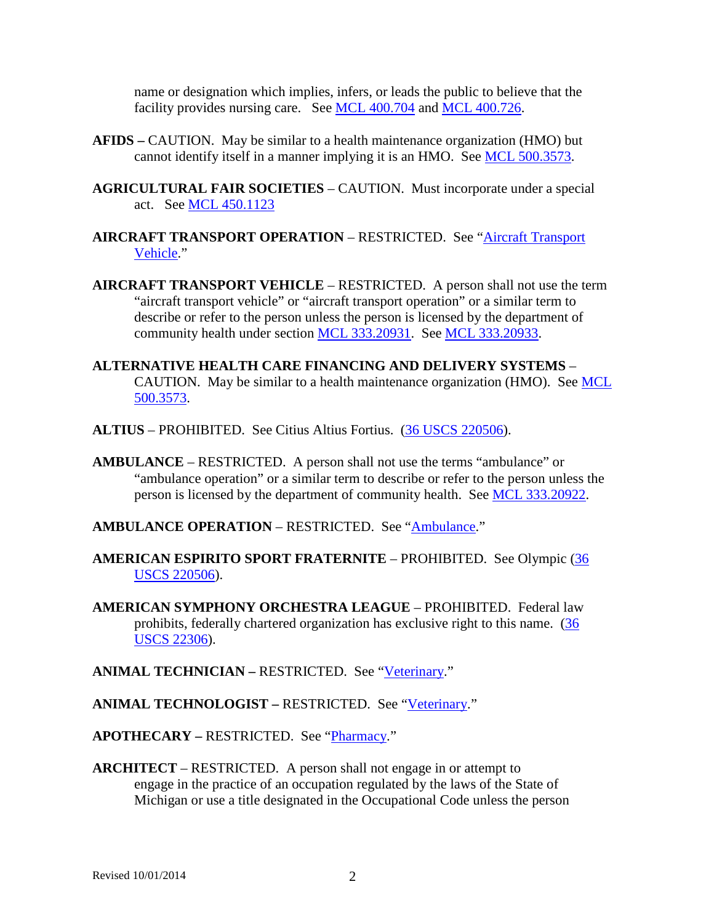name or designation which implies, infers, or leads the public to believe that the facility provides nursing care. See <u>MCL 400.704</u> and [MCL 400.726.](http://www.legislature.mi.gov/mileg.aspx?page=getObject&objectName=mcl-400-726)

- **AFIDS –** CAUTION. May be similar to a health maintenance organization (HMO) but cannot identify itself in a manner implying it is an HMO. See [MCL 500.3573.](http://www.legislature.mi.gov/mileg.aspx?page=getObject&objectName=mcl-500-3573)
- **AGRICULTURAL FAIR SOCIETIES** CAUTION. Must incorporate under a special act. See [MCL 450.1123](http://www.legislature.mi.gov/mileg.aspx?page=getObject&objectName=mcl-450-1123)
- **AIRCRAFT TRANSPORT OPERATION** RESTRICTED. See ["Aircraft Transport](#page-1-0)  [Vehicle.](#page-1-0)"
- <span id="page-1-0"></span>**AIRCRAFT TRANSPORT VEHICLE** – RESTRICTED. A person shall not use the term "aircraft transport vehicle" or "aircraft transport operation" or a similar term to describe or refer to the person unless the person is licensed by the department of community health under section [MCL 333.20931.](http://www.legislature.mi.gov/mileg.aspx?page=getObject&objectName=mcl-333-20931) See [MCL 333.20933.](http://www.legislature.mi.gov/mileg.aspx?page=getobject&objectName=mcl-333-20932&relation=next)
- **ALTERNATIVE HEALTH CARE FINANCING AND DELIVERY SYSTEMS** CAUTION. May be similar to a health maintenance organization (HMO). See [MCL](http://www.legislature.mi.gov/mileg.aspx?page=getObject&objectName=mcl-500-3573)  [500.3573.](http://www.legislature.mi.gov/mileg.aspx?page=getObject&objectName=mcl-500-3573)
- **ALTIUS** PROHIBITED. See Citius Altius Fortius. [\(36 USCS 220506\)](http://uscode.house.gov/search/criteria.shtml).
- <span id="page-1-1"></span>**AMBULANCE** – RESTRICTED. A person shall not use the terms "ambulance" or "ambulance operation" or a similar term to describe or refer to the person unless the person is licensed by the department of community health. See [MCL 333.20922.](http://www.legislature.mi.gov/mileg.aspx?page=getObject&objectName=mcl-333-20922)
- **AMBULANCE OPERATION** RESTRICTED. See ["Ambulance.](#page-1-1)"
- **AMERICAN ESPIRITO SPORT FRATERNITE** PROHIBITED. See Olympic [\(36](http://uscode.house.gov/search/criteria.shtml)  [USCS 220506\)](http://uscode.house.gov/search/criteria.shtml).
- **AMERICAN SYMPHONY ORCHESTRA LEAGUE** PROHIBITED. Federal law prohibits, federally chartered organization has exclusive right to this name. [\(36](http://uscode.house.gov/search/criteria.shtml)  [USCS 22306\)](http://uscode.house.gov/search/criteria.shtml).
- **ANIMAL TECHNICIAN RESTRICTED. See ["Veterinary.](#page-42-0)"**
- **ANIMAL TECHNOLOGIST –** RESTRICTED. See ["Veterinary.](#page-42-0)"
- **APOTHECARY –** RESTRICTED. See ["Pharmacy.](#page-30-0)"
- **ARCHITECT** RESTRICTED. A person shall not engage in or attempt to engage in the practice of an occupation regulated by the laws of the State of Michigan or use a title designated in the Occupational Code unless the person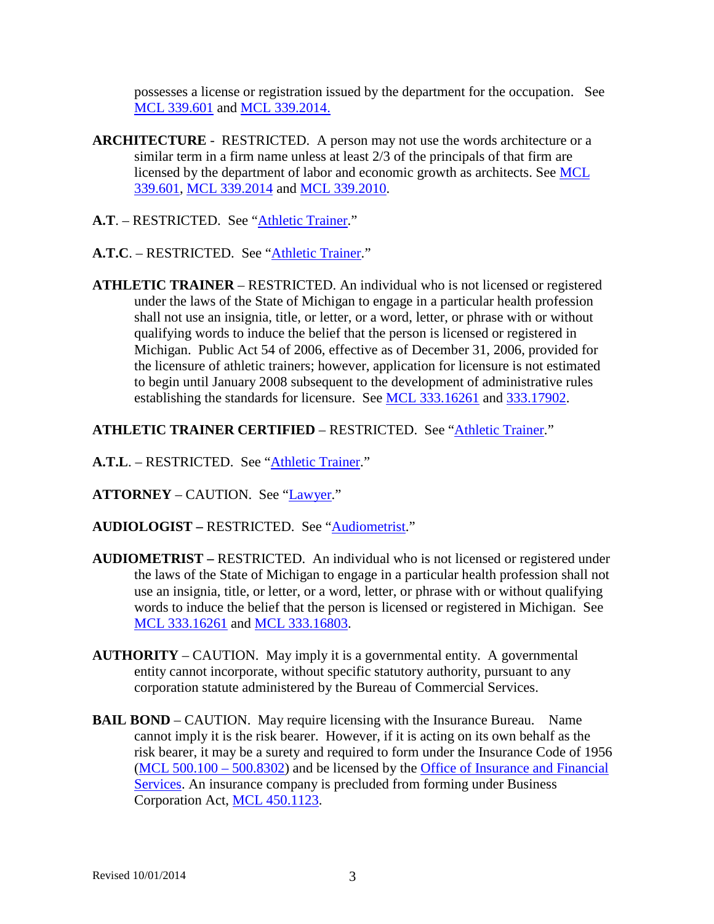possesses a license or registration issued by the department for the occupation. See [MCL 339.601](http://www.legislature.mi.gov/mileg.aspx?page=getObject&objectName=mcl-339-601) and [MCL 339.2014.](http://www.legislature.mi.gov/mileg.aspx?page=getObject&objectName=mcl-339-2014)

- **ARCHITECTURE** RESTRICTED. A person may not use the words architecture or a similar term in a firm name unless at least 2/3 of the principals of that firm are licensed by the department of labor and economic growth as architects. See [MCL](http://www.legislature.mi.gov/mileg.aspx?page=getObject&objectName=mcl-339-601)  [339.601,](http://www.legislature.mi.gov/mileg.aspx?page=getObject&objectName=mcl-339-601) [MCL 339.2014](http://www.legislature.mi.gov/mileg.aspx?page=getObject&objectName=mcl-339-2014) and [MCL 339.2010.](http://www.legislature.mi.gov/mileg.aspx?page=getObject&objectName=mcl-339-2010)
- **A.T**. RESTRICTED. See ["Athletic Trainer.](#page-2-0)"
- **A.T.C**. RESTRICTED. See ["Athletic Trainer.](#page-2-0)"
- <span id="page-2-0"></span>**ATHLETIC TRAINER** – RESTRICTED. An individual who is not licensed or registered under the laws of the State of Michigan to engage in a particular health profession shall not use an insignia, title, or letter, or a word, letter, or phrase with or without qualifying words to induce the belief that the person is licensed or registered in Michigan. Public Act 54 of 2006, effective as of December 31, 2006, provided for the licensure of athletic trainers; however, application for licensure is not estimated to begin until January 2008 subsequent to the development of administrative rules establishing the standards for licensure. See [MCL 333.16261](http://www.legislature.mi.gov/mileg.aspx?page=getObject&objectName=mcl-333-16261) and [333.17902.](http://legislature.mi.gov/doc.aspx?mcl-333-17902)

### **ATHLETIC TRAINER CERTIFIED** – RESTRICTED. See ["Athletic Trainer.](#page-2-0)"

- **A.T.L**. RESTRICTED. See ["Athletic Trainer.](#page-2-0)"
- **ATTORNEY** CAUTION. See ["Lawyer.](#page-21-0)"
- **AUDIOLOGIST –** RESTRICTED. See ["Audiometrist.](#page-2-1)"
- <span id="page-2-1"></span>**AUDIOMETRIST –** RESTRICTED. An individual who is not licensed or registered under the laws of the State of Michigan to engage in a particular health profession shall not use an insignia, title, or letter, or a word, letter, or phrase with or without qualifying words to induce the belief that the person is licensed or registered in Michigan. See [MCL 333.16261](http://www.legislature.mi.gov/mileg.aspx?page=getObject&objectName=mcl-333-16261) and [MCL 333.16803.](http://www.legislature.mi.gov/mileg.aspx?page=getObject&objectName=mcl-333-16803)
- **AUTHORITY** CAUTION. May imply it is a governmental entity. A governmental entity cannot incorporate, without specific statutory authority, pursuant to any corporation statute administered by the Bureau of Commercial Services.
- <span id="page-2-2"></span>**BAIL BOND** – CAUTION. May require licensing with the Insurance Bureau. Name cannot imply it is the risk bearer. However, if it is acting on its own behalf as the risk bearer, it may be a surety and required to form under the Insurance Code of 1956 [\(MCL 500.100 –](http://www.legislature.mi.gov/mileg.aspx?page=getObject&objectName=mcl-500-100) 500.8302) and be licensed by the [Office of Insurance and Financial](http://www.michigan.gov/cis/0,1607,7-154-10555---,00.html)  [Services.](http://www.michigan.gov/cis/0,1607,7-154-10555---,00.html) An insurance company is precluded from forming under Business Corporation Act, [MCL 450.1123.](http://www.legislature.mi.gov/mileg.aspx?page=getObject&objectName=mcl-450-1123)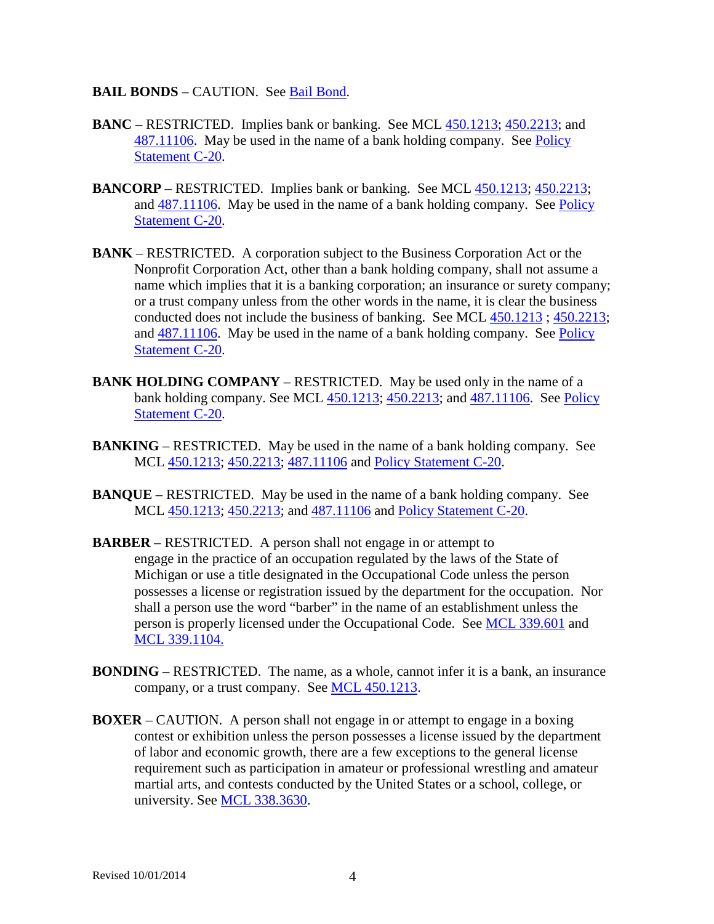#### **BAIL BONDS** – CAUTION. See [Bail Bond.](#page-2-2)

- **BANC** RESTRICTED. Implies bank or banking. See MCL [450.1213;](http://www.legislature.mi.gov/mileg.aspx?page=GetMCLDocument&objectname=mcl-450-1213) [450.2213;](http://www.legislature.mi.gov/mileg.aspx?page=GetMCLDocument&objectname=mcl-450-2213) and [487.11106.](http://www.legislature.mi.gov/mileg.aspx?page=GetMCLDocument&objectname=mcl-487-11106) May be used in the name of a bank holding company. See [Policy](http://www.cis.state.mi.us/bcsc/forms/corp/pol/c-20.pdf)  [Statement C-20.](http://www.cis.state.mi.us/bcsc/forms/corp/pol/c-20.pdf)
- **BANCORP** RESTRICTED. Implies bank or banking. See MCL [450.1213;](http://www.legislature.mi.gov/mileg.aspx?page=getObject&objectName=mcl-450-1213) [450.2213;](http://www.legislature.mi.gov/mileg.aspx?page=getObject&objectName=mcl-450-2213) and [487.11106.](http://www.legislature.mi.gov/mileg.aspx?page=getObject&objectName=mcl-487-11106) May be used in the name of a bank holding company. See [Policy](http://www.cis.state.mi.us/bcsc/forms/corp/pol/c-20.pdf)  [Statement C-20.](http://www.cis.state.mi.us/bcsc/forms/corp/pol/c-20.pdf)
- **BANK** RESTRICTED. A corporation subject to the Business Corporation Act or the Nonprofit Corporation Act, other than a bank holding company, shall not assume a name which implies that it is a banking corporation; an insurance or surety company; or a trust company unless from the other words in the name, it is clear the business conducted does not include the business of banking. See MCL [450.1213](http://www.legislature.mi.gov/mileg.aspx?page=getObject&objectName=mcl-450-1213) ; [450.2213;](http://www.legislature.mi.gov/mileg.aspx?page=getObject&objectName=mcl-450-2213) and [487.11106.](http://www.legislature.mi.gov/mileg.aspx?page=getObject&objectName=mcl-487-11106) May be used in the name of a bank holding company. See [Policy](http://www.cis.state.mi.us/bcsc/forms/corp/pol/c-20.pdf)  [Statement C-20.](http://www.cis.state.mi.us/bcsc/forms/corp/pol/c-20.pdf)
- **BANK HOLDING COMPANY** RESTRICTED. May be used only in the name of a bank holding company. See MCL [450.1213;](http://www.legislature.mi.gov/mileg.aspx?page=getObject&objectName=mcl-450-1213) [450.2213;](http://www.legislature.mi.gov/mileg.aspx?page=getObject&objectName=mcl-450-2213) and [487.11106.](http://www.legislature.mi.gov/mileg.aspx?page=getObject&objectName=mcl-487-11106) See [Policy](http://www.cis.state.mi.us/bcsc/forms/corp/pol/c-20.pdf)  [Statement C-20.](http://www.cis.state.mi.us/bcsc/forms/corp/pol/c-20.pdf)
- **BANKING** RESTRICTED. May be used in the name of a bank holding company. See MCL [450.1213;](http://www.legislature.mi.gov/mileg.aspx?page=getObject&objectName=mcl-450-1213) [450.2213;](http://www.legislature.mi.gov/mileg.aspx?page=getObject&objectName=mcl-450-2213) [487.11106](http://www.legislature.mi.gov/mileg.aspx?page=getObject&objectName=mcl-487-11106) and [Policy Statement C-20.](http://www.cis.state.mi.us/bcsc/forms/corp/pol/c-20.pdf)
- **BANQUE** RESTRICTED. May be used in the name of a bank holding company. See MCL [450.1213;](http://www.legislature.mi.gov/mileg.aspx?page=getObject&objectName=mcl-450-1213) [450.2213;](http://www.legislature.mi.gov/mileg.aspx?page=getObject&objectName=mcl-450-2213) and [487.11106](http://www.legislature.mi.gov/mileg.aspx?page=getObject&objectName=mcl-487-11106) and [Policy Statement C-20.](http://www.cis.state.mi.us/bcsc/forms/corp/pol/c-20.pdf)
- **BARBER** RESTRICTED. A person shall not engage in or attempt to engage in the practice of an occupation regulated by the laws of the State of Michigan or use a title designated in the Occupational Code unless the person possesses a license or registration issued by the department for the occupation. Nor shall a person use the word "barber" in the name of an establishment unless the person is properly licensed under the Occupational Code. See [MCL 339.601](http://www.legislature.mi.gov/mileg.aspx?page=getObject&objectName=mcl-339-601) and [MCL 339.1104.](http://www.legislature.mi.gov/mileg.aspx?page=getObject&objectName=mcl-339-1104)
- **BONDING** RESTRICTED. The name, as a whole, cannot infer it is a bank, an insurance company, or a trust company. See [MCL 450.1213.](http://www.legislature.mi.gov/mileg.aspx?page=getObject&objectName=mcl-450-1213)
- **BOXER** CAUTION. A person shall not engage in or attempt to engage in a boxing contest or exhibition unless the person possesses a license issued by the department of labor and economic growth, there are a few exceptions to the general license requirement such as participation in amateur or professional wrestling and amateur martial arts, and contests conducted by the United States or a school, college, or university. See [MCL 338.3630.](http://www.legislature.mi.gov/mileg.aspx?page=getObject&objectName=mcl-338-3630)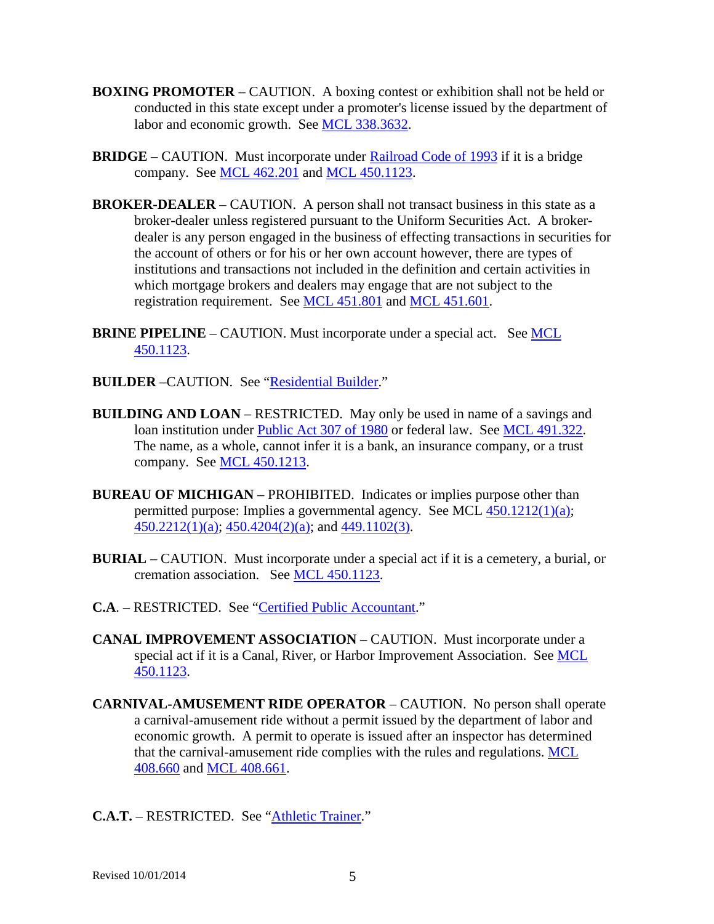- **BOXING PROMOTER** CAUTION. A boxing contest or exhibition shall not be held or conducted in this state except under a promoter's license issued by the department of labor and economic growth. See [MCL 338.3632.](http://www.legislature.mi.gov/mileg.aspx?page=getobject&objectName=mcl-338-3631&relation=next)
- **BRIDGE** CAUTION. Must incorporate under [Railroad Code of 1993](http://www.legislature.mi.gov/mileg.aspx?page=getObject&objectName=mcl-Act-354-of-1993) if it is a bridge company. See [MCL 462.201](http://www.legislature.mi.gov/mileg.aspx?page=getObject&objectName=mcl-462-201) and [MCL 450.1123.](http://www.legislature.mi.gov/mileg.aspx?page=getObject&objectName=mcl-450-1123)
- **BROKER-DEALER** CAUTION. A person shall not transact business in this state as a broker-dealer unless registered pursuant to the Uniform Securities Act. A brokerdealer is any person engaged in the business of effecting transactions in securities for the account of others or for his or her own account however, there are types of institutions and transactions not included in the definition and certain activities in which mortgage brokers and dealers may engage that are not subject to the registration requirement. See [MCL 451.801](http://www.legislature.mi.gov/mileg.aspx?page=getObject&objectName=mcl-451-801) and [MCL 451.601.](http://legislature.mi.gov/doc.aspx?mcl-451-601)
- **BRINE PIPELINE** CAUTION. Must incorporate under a special act. See MCL [450.1123.](http://www.legislature.mi.gov/mileg.aspx?page=getObject&objectName=mcl-450-1123)
- **BUILDER** –CAUTION. See ["Residential Builder.](#page-35-0)"
- **BUILDING AND LOAN** RESTRICTED. May only be used in name of a savings and loan institution under [Public Act 307 of 1980](http://www.legislature.mi.gov/mileg.aspx?page=getObject&objectName=mcl-Act-307-of-1980) or federal law. See [MCL 491.322.](http://www.legislature.mi.gov/mileg.aspx?page=getObject&objectName=mcl-491-322) The name, as a whole, cannot infer it is a bank, an insurance company, or a trust company. See [MCL 450.1213.](http://www.legislature.mi.gov/mileg.aspx?page=getObject&objectName=mcl-450-1213)
- **BUREAU OF MICHIGAN** PROHIBITED. Indicates or implies purpose other than permitted purpose: Implies a governmental agency. See MCL [450.1212\(1\)\(a\);](http://www.legislature.mi.gov/mileg.aspx?page=getObject&objectName=mcl-450-1212)  $450.2212(1)(a)$ ;  $450.4204(2)(a)$ ; and  $449.1102(3)$ .
- **BURIAL** CAUTION. Must incorporate under a special act if it is a cemetery, a burial, or cremation association. See [MCL 450.1123.](http://www.legislature.mi.gov/mileg.aspx?page=getObject&objectName=mcl-450-1123)
- **C.A**. RESTRICTED. See ["Certified Public Accountant.](#page-5-0)"
- **CANAL IMPROVEMENT ASSOCIATION**  CAUTION. Must incorporate under a special act if it is a Canal, River, or Harbor Improvement Association. See MCL [450.1123.](http://www.legislature.mi.gov/mileg.aspx?page=getObject&objectName=mcl-450-1123)
- **CARNIVAL-AMUSEMENT RIDE OPERATOR** CAUTION. No person shall operate a carnival-amusement ride without a permit issued by the department of labor and economic growth. A permit to operate is issued after an inspector has determined that the carnival-amusement ride complies with the rules and regulations. [MCL](http://www.legislature.mi.gov/mileg.aspx?page=getObject&objectName=mcl-408-660)  [408.660](http://www.legislature.mi.gov/mileg.aspx?page=getObject&objectName=mcl-408-660) and [MCL 408.661.](http://www.legislature.mi.gov/mileg.aspx?page=getobject&objectName=mcl-408-660&relation=next)
- **C.A.T.** RESTRICTED. See ["Athletic Trainer.](#page-2-0)"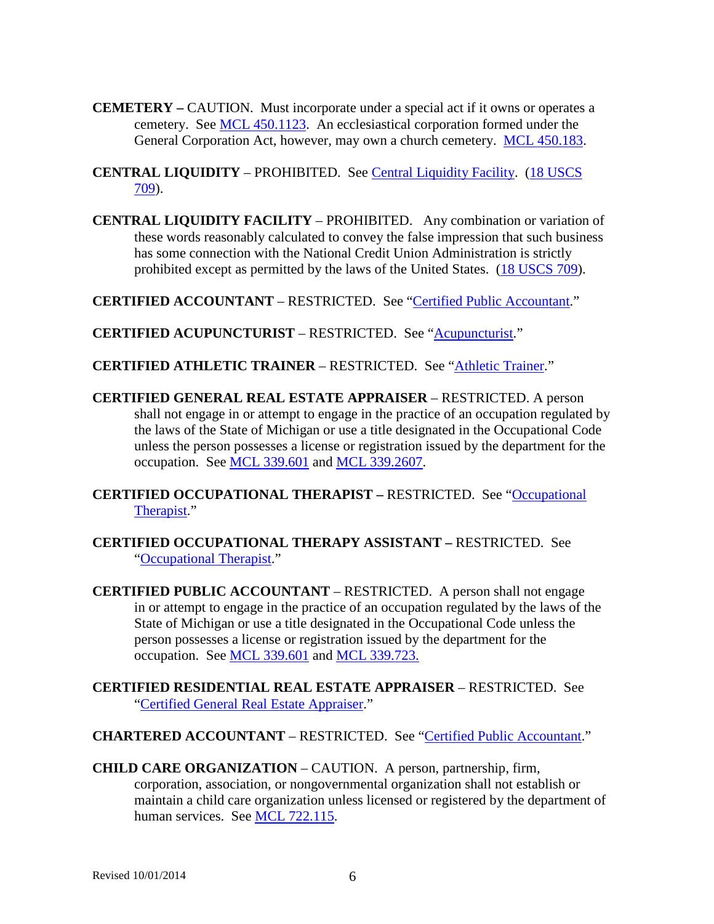- **CEMETERY –** CAUTION. Must incorporate under a special act if it owns or operates a cemetery. See [MCL 450.1123.](http://www.legislature.mi.gov/mileg.aspx?page=getObject&objectName=mcl-450-1123) An ecclesiastical corporation formed under the General Corporation Act, however, may own a church cemetery. [MCL 450.183.](http://www.legislature.mi.gov/mileg.aspx?page=getObject&objectName=mcl-450-183)
- **CENTRAL LIQUIDITY** PROHIBITED. See [Central Liquidity Facility.](#page-5-1) [\(18 USCS](http://uscode.house.gov/search/criteria.shtml)  [709\)](http://uscode.house.gov/search/criteria.shtml).
- <span id="page-5-1"></span>**CENTRAL LIQUIDITY FACILITY** – PROHIBITED. Any combination or variation of these words reasonably calculated to convey the false impression that such business has some connection with the National Credit Union Administration is strictly prohibited except as permitted by the laws of the United States. [\(18 USCS 709\)](http://uscode.house.gov/search/criteria.shtml).
- **CERTIFIED ACCOUNTANT** RESTRICTED. See ["Certified Public Accountant.](#page-5-0)"
- **CERTIFIED ACUPUNCTURIST** RESTRICTED. See ["Acupuncturist.](#page-0-0)"
- **CERTIFIED ATHLETIC TRAINER** RESTRICTED. See ["Athletic Trainer.](#page-2-0)"
- <span id="page-5-2"></span>**CERTIFIED GENERAL REAL ESTATE APPRAISER** – RESTRICTED. A person shall not engage in or attempt to engage in the practice of an occupation regulated by the laws of the State of Michigan or use a title designated in the Occupational Code unless the person possesses a license or registration issued by the department for the occupation. See [MCL 339.601](http://www.legislature.mi.gov/mileg.aspx?page=getObject&objectName=mcl-339-601) and [MCL 339.2607.](http://legislature.mi.gov/doc.aspx?mcl-339-2607)
- **CERTIFIED OCCUPATIONAL THERAPIST –** RESTRICTED. See ["Occupational](#page-28-0)  [Therapist.](#page-28-0)"
- **CERTIFIED OCCUPATIONAL THERAPY ASSISTANT –** RESTRICTED. See ["Occupational Therapist.](#page-28-0)"
- <span id="page-5-0"></span>**CERTIFIED PUBLIC ACCOUNTANT** – RESTRICTED. A person shall not engage in or attempt to engage in the practice of an occupation regulated by the laws of the State of Michigan or use a title designated in the Occupational Code unless the person possesses a license or registration issued by the department for the occupation. See [MCL 339.601](http://www.legislature.mi.gov/mileg.aspx?page=getObject&objectName=mcl-339-601) and [MCL 339.723.](http://www.legislature.mi.gov/mileg.aspx?page=getobject&objectName=mcl-339-722&relation=next)
- **CERTIFIED RESIDENTIAL REAL ESTATE APPRAISER** RESTRICTED. See ["Certified General Real Estate Appraiser.](#page-5-2)"
- **CHARTERED ACCOUNTANT** RESTRICTED. See ["Certified Public Accountant.](#page-5-0)"
- <span id="page-5-3"></span>**CHILD CARE ORGANIZATION** – CAUTION. A person, partnership, firm, corporation, association, or nongovernmental organization shall not establish or maintain a child care organization unless licensed or registered by the department of human services. See [MCL 722.115.](http://www.legislature.mi.gov/mileg.aspx?page=getObject&objectName=mcl-722-115)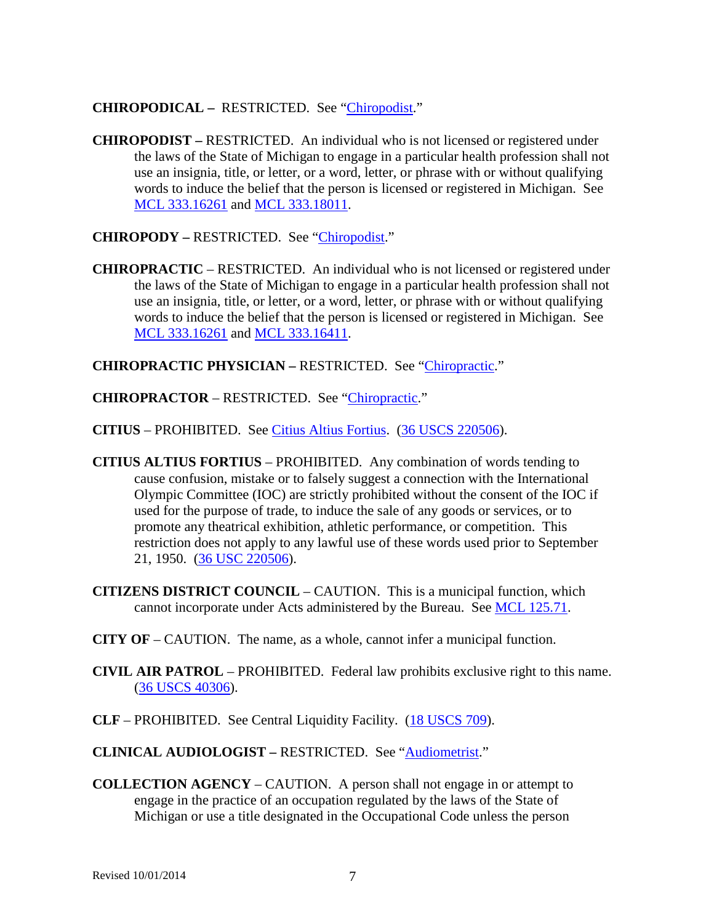### **CHIROPODICAL –** RESTRICTED. See ["Chiropodist.](#page-6-0)"

<span id="page-6-0"></span>**CHIROPODIST –** RESTRICTED. An individual who is not licensed or registered under the laws of the State of Michigan to engage in a particular health profession shall not use an insignia, title, or letter, or a word, letter, or phrase with or without qualifying words to induce the belief that the person is licensed or registered in Michigan. See [MCL 333.16261](http://www.legislature.mi.gov/mileg.aspx?page=getObject&objectName=mcl-333-16261) and [MCL 333.18011.](http://www.legislature.mi.gov/mileg.aspx?page=getObject&objectName=mcl-333-18011)

**CHIROPODY –** RESTRICTED. See ["Chiropodist.](#page-6-0)"

<span id="page-6-1"></span>**CHIROPRACTIC** – RESTRICTED. An individual who is not licensed or registered under the laws of the State of Michigan to engage in a particular health profession shall not use an insignia, title, or letter, or a word, letter, or phrase with or without qualifying words to induce the belief that the person is licensed or registered in Michigan. See [MCL 333.16261](http://www.legislature.mi.gov/mileg.aspx?page=getObject&objectName=mcl-333-16261) and [MCL 333.16411.](http://www.legislature.mi.gov/mileg.aspx?page=getObject&objectName=mcl-333-16411)

**CHIROPRACTIC PHYSICIAN –** RESTRICTED. See ["Chiropractic.](#page-6-1)"

**CHIROPRACTOR** – RESTRICTED. See ["Chiropractic.](#page-6-1)"

**CITIUS** – PROHIBITED. See [Citius Altius Fortius.](#page-6-2) [\(36 USCS 220506\)](http://uscode.house.gov/search/criteria.shtml).

- <span id="page-6-2"></span>**CITIUS ALTIUS FORTIUS** – PROHIBITED. Any combination of words tending to cause confusion, mistake or to falsely suggest a connection with the International Olympic Committee (IOC) are strictly prohibited without the consent of the IOC if used for the purpose of trade, to induce the sale of any goods or services, or to promote any theatrical exhibition, athletic performance, or competition. This restriction does not apply to any lawful use of these words used prior to September 21, 1950. [\(36 USC 220506\)](http://uscode.house.gov/search/criteria.shtml).
- **CITIZENS DISTRICT COUNCIL** CAUTION. This is a municipal function, which cannot incorporate under Acts administered by the Bureau. See [MCL 125.71.](http://www.legislature.mi.gov/mileg.aspx?page=getObject&objectName=mcl-125-71)
- **CITY OF** CAUTION. The name, as a whole, cannot infer a municipal function.
- **CIVIL AIR PATROL** PROHIBITED. Federal law prohibits exclusive right to this name. [\(36 USCS 40306\)](http://uscode.house.gov/search/criteria.shtml).
- **CLF** PROHIBITED. See Central Liquidity Facility. [\(18 USCS 709\)](http://uscode.house.gov/search/criteria.shtml).
- **CLINICAL AUDIOLOGIST –** RESTRICTED. See ["Audiometrist.](#page-2-1)"
- **COLLECTION AGENCY** CAUTION. A person shall not engage in or attempt to engage in the practice of an occupation regulated by the laws of the State of Michigan or use a title designated in the Occupational Code unless the person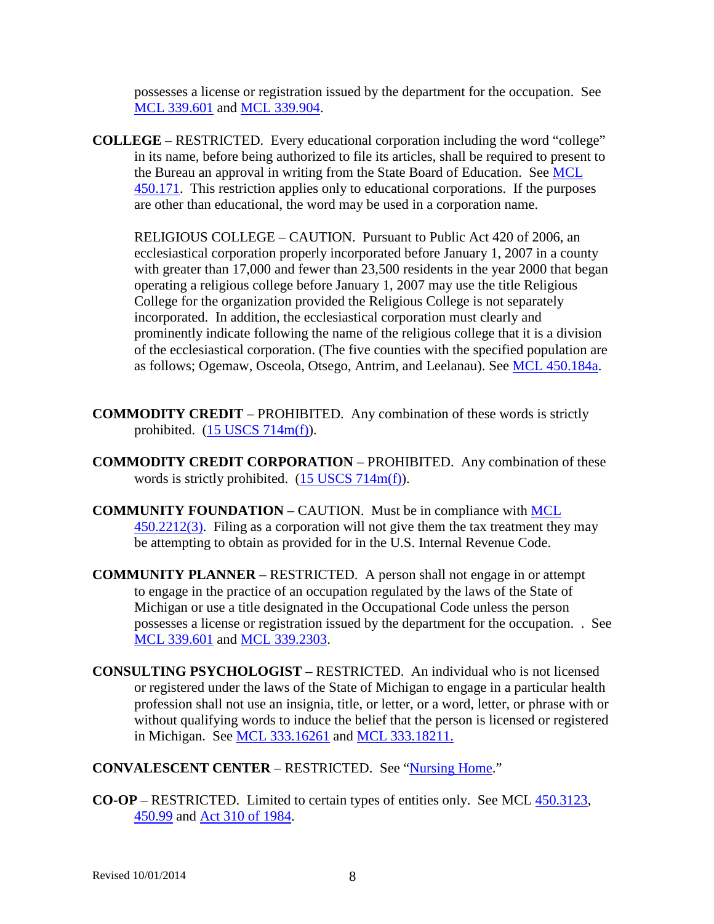possesses a license or registration issued by the department for the occupation. See [MCL 339.601](http://www.legislature.mi.gov/mileg.aspx?page=getObject&objectName=mcl-339-601) and [MCL 339.904.](http://www.legislature.mi.gov/mileg.aspx?page=getObject&objectName=mcl-339-904)

**COLLEGE** – RESTRICTED. Every educational corporation including the word "college" in its name, before being authorized to file its articles, shall be required to present to the Bureau an approval in writing from the State Board of Education. See [MCL](http://www.legislature.mi.gov/mileg.aspx?page=getObject&objectName=mcl-450-171)  [450.171.](http://www.legislature.mi.gov/mileg.aspx?page=getObject&objectName=mcl-450-171) This restriction applies only to educational corporations. If the purposes are other than educational, the word may be used in a corporation name.

RELIGIOUS COLLEGE – CAUTION. Pursuant to Public Act 420 of 2006, an ecclesiastical corporation properly incorporated before January 1, 2007 in a county with greater than 17,000 and fewer than 23,500 residents in the year 2000 that began operating a religious college before January 1, 2007 may use the title Religious College for the organization provided the Religious College is not separately incorporated. In addition, the ecclesiastical corporation must clearly and prominently indicate following the name of the religious college that it is a division of the ecclesiastical corporation. (The five counties with the specified population are as follows; Ogemaw, Osceola, Otsego, Antrim, and Leelanau). See [MCL 450.184a.](http://www.legislature.mi.gov/mileg.aspx?page=getObject&objectName=mcl-450-184a)

- **COMMODITY CREDIT**  PROHIBITED. Any combination of these words is strictly prohibited. [\(15 USCS 714m\(f\)\)](http://uscode.house.gov/search/criteria.shtml).
- **COMMODITY CREDIT CORPORATION** PROHIBITED. Any combination of these words is strictly prohibited. [\(15 USCS 714m\(f\)\)](http://uscode.house.gov/search/criteria.shtml).
- **COMMUNITY FOUNDATION** CAUTION. Must be in compliance with [MCL](http://www.legislature.mi.gov/mileg.aspx?page=getObject&objectName=mcl-450-2212)  [450.2212\(3\).](http://www.legislature.mi.gov/mileg.aspx?page=getObject&objectName=mcl-450-2212) Filing as a corporation will not give them the tax treatment they may be attempting to obtain as provided for in the U.S. Internal Revenue Code.
- **COMMUNITY PLANNER** RESTRICTED. A person shall not engage in or attempt to engage in the practice of an occupation regulated by the laws of the State of Michigan or use a title designated in the Occupational Code unless the person possesses a license or registration issued by the department for the occupation. . See [MCL 339.601](http://www.legislature.mi.gov/mileg.aspx?page=getObject&objectName=mcl-339-601) and [MCL 339.2303.](http://www.legislature.mi.gov/mileg.aspx?page=getObject&objectName=mcl-339-2303)
- <span id="page-7-0"></span>**CONSULTING PSYCHOLOGIST –** RESTRICTED. An individual who is not licensed or registered under the laws of the State of Michigan to engage in a particular health profession shall not use an insignia, title, or letter, or a word, letter, or phrase with or without qualifying words to induce the belief that the person is licensed or registered in Michigan. See [MCL 333.16261](http://www.legislature.mi.gov/mileg.aspx?page=getObject&objectName=mcl-333-16261) and [MCL 333.18211.](http://www.legislature.mi.gov/mileg.aspx?page=getObject&objectName=mcl-333-18211)

### **CONVALESCENT CENTER** – RESTRICTED. See ["Nursing Home.](#page-27-0)"

**CO-OP** – RESTRICTED. Limited to certain types of entities only. See MCL [450.3123,](http://www.legislature.mi.gov/mileg.aspx?page=getObject&objectName=mcl-450-3123) [450.99](http://www.legislature.mi.gov/mileg.aspx?page=getObject&objectName=mcl-450-99) and [Act 310 of 1984.](http://legislature.mi.gov/doc.aspx?mcl-Act-310-of-1984)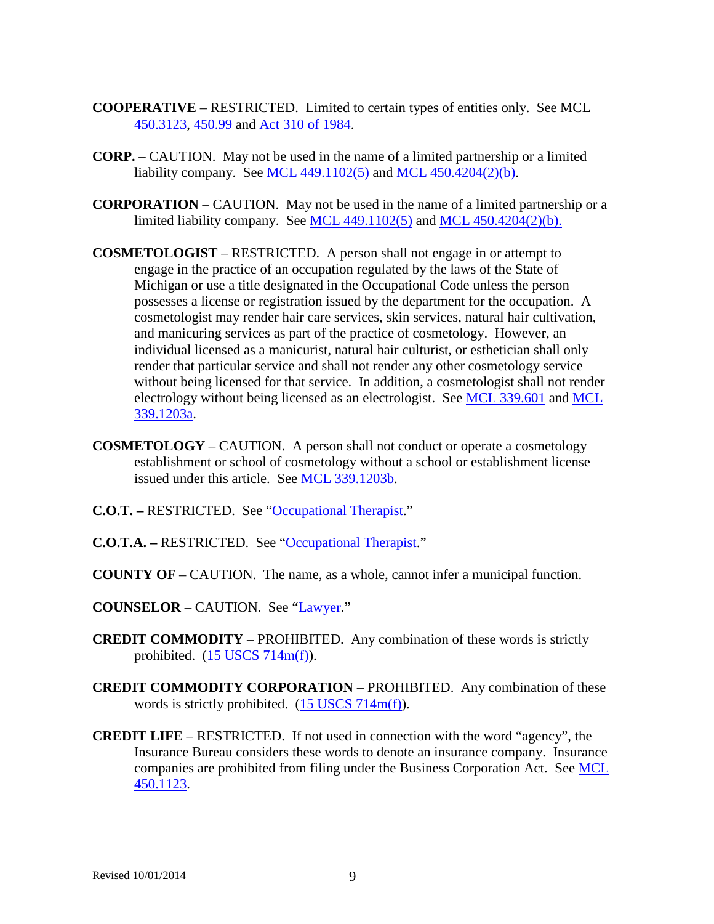- **COOPERATIVE** RESTRICTED. Limited to certain types of entities only. See MCL [450.3123,](http://www.legislature.mi.gov/mileg.aspx?page=getObject&objectName=mcl-450-3123) [450.99](http://www.legislature.mi.gov/mileg.aspx?page=getObject&objectName=mcl-450-99) and [Act 310 of 1984.](http://legislature.mi.gov/doc.aspx?mcl-Act-310-of-1984)
- **CORP.** CAUTION. May not be used in the name of a limited partnership or a limited liability company. See [MCL 449.1102\(5\)](http://www.legislature.mi.gov/mileg.aspx?page=getObject&objectName=mcl-449-1102) and [MCL 450.4204\(2\)\(b\).](http://www.legislature.mi.gov/mileg.aspx?page=getObject&objectName=mcl-450-4204)
- **CORPORATION** CAUTION. May not be used in the name of a limited partnership or a limited liability company. See [MCL 449.1102\(5\)](http://www.legislature.mi.gov/mileg.aspx?page=getObject&objectName=mcl-449-1102) and [MCL 450.4204\(2\)\(b\).](http://www.legislature.mi.gov/mileg.aspx?page=getObject&objectName=mcl-450-4204)
- <span id="page-8-0"></span>**COSMETOLOGIST** – RESTRICTED. A person shall not engage in or attempt to engage in the practice of an occupation regulated by the laws of the State of Michigan or use a title designated in the Occupational Code unless the person possesses a license or registration issued by the department for the occupation. A cosmetologist may render hair care services, skin services, natural hair cultivation, and manicuring services as part of the practice of cosmetology. However, an individual licensed as a manicurist, natural hair culturist, or esthetician shall only render that particular service and shall not render any other cosmetology service without being licensed for that service. In addition, a cosmetologist shall not render electrology without being licensed as an electrologist. See [MCL 339.601](http://www.legislature.mi.gov/mileg.aspx?page=getObject&objectName=mcl-339-601) and [MCL](http://www.legislature.mi.gov/mileg.aspx?page=getobject&objectName=mcl-339-1203&relation=next)  [339.1203a.](http://www.legislature.mi.gov/mileg.aspx?page=getobject&objectName=mcl-339-1203&relation=next)
- **COSMETOLOGY** CAUTION. A person shall not conduct or operate a cosmetology establishment or school of cosmetology without a school or establishment license issued under this article. See [MCL 339.1203b.](http://www.legislature.mi.gov/mileg.aspx?page=getobject&objectName=mcl-339-1203a&relation=next)
- **C.O.T.** RESTRICTED. See ["Occupational Therapist.](#page-28-0)"
- **C.O.T.A.** RESTRICTED. See ["Occupational Therapist.](#page-28-0)"
- **COUNTY OF**  CAUTION. The name, as a whole, cannot infer a municipal function.
- **COUNSELOR** CAUTION. See ["Lawyer.](#page-21-0)"
- **CREDIT COMMODITY** PROHIBITED. Any combination of these words is strictly prohibited. [\(15 USCS 714m\(f\)\)](http://uscode.house.gov/search/criteria.shtml).
- **CREDIT COMMODITY CORPORATION** PROHIBITED. Any combination of these words is strictly prohibited.  $(15$  USCS 714m(f)).
- **CREDIT LIFE** RESTRICTED. If not used in connection with the word "agency", the Insurance Bureau considers these words to denote an insurance company. Insurance companies are prohibited from filing under the Business Corporation Act. See [MCL](http://www.legislature.mi.gov/mileg.aspx?page=getObject&objectName=mcl-450-1123)  [450.1123.](http://www.legislature.mi.gov/mileg.aspx?page=getObject&objectName=mcl-450-1123)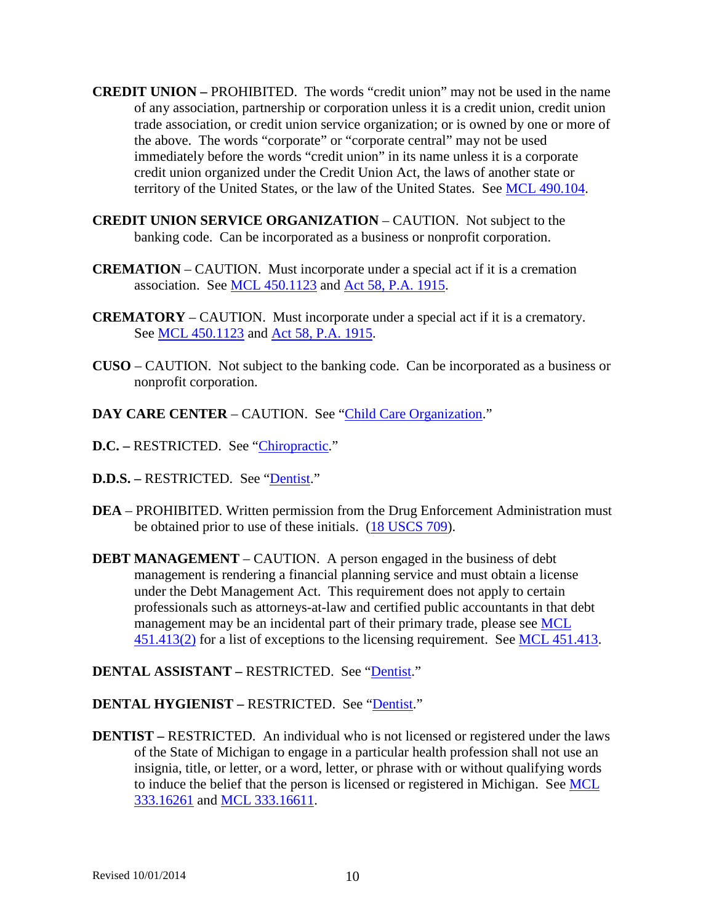- **CREDIT UNION –** PROHIBITED. The words "credit union" may not be used in the name of any association, partnership or corporation unless it is a credit union, credit union trade association, or credit union service organization; or is owned by one or more of the above. The words "corporate" or "corporate central" may not be used immediately before the words "credit union" in its name unless it is a corporate credit union organized under the Credit Union Act, the laws of another state or territory of the United States, or the law of the United States. See [MCL 490.104.](http://www.legislature.mi.gov/mileg.aspx?page=getObject&objectName=mcl-490-104)
- **CREDIT UNION SERVICE ORGANIZATION** CAUTION. Not subject to the banking code. Can be incorporated as a business or nonprofit corporation.
- **CREMATION** CAUTION. Must incorporate under a special act if it is a cremation association. See [MCL 450.1123](http://www.legislature.mi.gov/mileg.aspx?page=getObject&objectName=mcl-450-1123) and [Act 58, P.A. 1915.](http://legislature.mi.gov/doc.aspx?mcl-Act-58-of-1915)
- **CREMATORY** CAUTION. Must incorporate under a special act if it is a crematory. See [MCL 450.1123](http://www.legislature.mi.gov/mileg.aspx?page=getObject&objectName=mcl-450-1123) and [Act 58, P.A. 1915.](http://legislature.mi.gov/doc.aspx?mcl-Act-58-of-1915)
- **CUSO** CAUTION. Not subject to the banking code. Can be incorporated as a business or nonprofit corporation.
- **DAY CARE CENTER** CAUTION. See ["Child Care Organization.](#page-5-3)"
- **D.C. –** RESTRICTED. See ["Chiropractic.](#page-6-1)"
- **D.D.S. –** RESTRICTED. See ["Dentist.](#page-9-0)"
- **DEA** PROHIBITED. Written permission from the Drug Enforcement Administration must be obtained prior to use of these initials. [\(18 USCS 709\)](http://uscode.house.gov/search/criteria.shtml).
- **DEBT MANAGEMENT** CAUTION. A person engaged in the business of debt management is rendering a financial planning service and must obtain a license under the Debt Management Act. This requirement does not apply to certain professionals such as attorneys-at-law and certified public accountants in that debt management may be an incidental part of their primary trade, please see [MCL](http://www.legislature.mi.gov/mileg.aspx?page=getObject&objectName=mcl-451-413)  [451.413\(2\)](http://www.legislature.mi.gov/mileg.aspx?page=getObject&objectName=mcl-451-413) for a list of exceptions to the licensing requirement. See [MCL 451.413.](http://www.legislature.mi.gov/mileg.aspx?page=getObject&objectName=mcl-451-413)
- **DENTAL ASSISTANT –** RESTRICTED. See ["Dentist.](#page-9-0)"

#### **DENTAL HYGIENIST –** RESTRICTED. See ["Dentist.](#page-9-0)"

<span id="page-9-0"></span>**DENTIST** – RESTRICTED. An individual who is not licensed or registered under the laws of the State of Michigan to engage in a particular health profession shall not use an insignia, title, or letter, or a word, letter, or phrase with or without qualifying words to induce the belief that the person is licensed or registered in Michigan. See [MCL](http://www.legislature.mi.gov/mileg.aspx?page=getObject&objectName=mcl-333-16261)  [333.16261](http://www.legislature.mi.gov/mileg.aspx?page=getObject&objectName=mcl-333-16261) and [MCL 333.16611.](http://www.legislature.mi.gov/mileg.aspx?page=getObject&objectName=mcl-333-16611)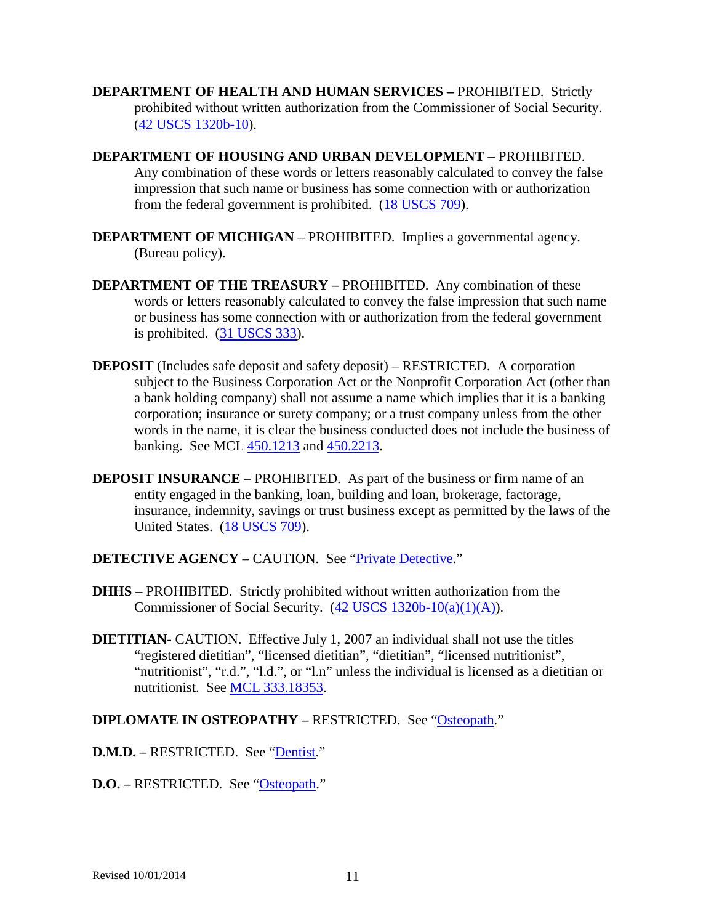- **DEPARTMENT OF HEALTH AND HUMAN SERVICES –** PROHIBITED. Strictly prohibited without written authorization from the Commissioner of Social Security. [\(42 USCS 1320b-10\)](http://uscode.house.gov/search/criteria.shtml).
- **DEPARTMENT OF HOUSING AND URBAN DEVELOPMENT** PROHIBITED. Any combination of these words or letters reasonably calculated to convey the false impression that such name or business has some connection with or authorization from the federal government is prohibited. [\(18 USCS 709\)](http://uscode.house.gov/search/criteria.shtml).
- **DEPARTMENT OF MICHIGAN** PROHIBITED. Implies a governmental agency. (Bureau policy).
- **DEPARTMENT OF THE TREASURY –** PROHIBITED. Any combination of these words or letters reasonably calculated to convey the false impression that such name or business has some connection with or authorization from the federal government is prohibited. [\(31 USCS 333\)](http://uscode.house.gov/search/criteria.shtml).
- **DEPOSIT** (Includes safe deposit and safety deposit) RESTRICTED. A corporation subject to the Business Corporation Act or the Nonprofit Corporation Act (other than a bank holding company) shall not assume a name which implies that it is a banking corporation; insurance or surety company; or a trust company unless from the other words in the name, it is clear the business conducted does not include the business of banking. See MCL [450.1213](http://www.legislature.mi.gov/mileg.aspx?page=getObject&objectName=mcl-450-1213) and [450.2213.](http://www.legislature.mi.gov/mileg.aspx?page=getObject&objectName=mcl-450-2213)
- **DEPOSIT INSURANCE** PROHIBITED. As part of the business or firm name of an entity engaged in the banking, loan, building and loan, brokerage, factorage, insurance, indemnity, savings or trust business except as permitted by the laws of the United States. [\(18 USCS 709\)](http://uscode.house.gov/search/criteria.shtml).
- **DETECTIVE AGENCY** CAUTION. See ["Private Detective.](#page-32-0)"
- **DHHS** PROHIBITED. Strictly prohibited without written authorization from the Commissioner of Social Security. [\(42 USCS 1320b-10\(a\)\(1\)\(A\)\)](http://uscode.house.gov/search/criteria.shtml).
- <span id="page-10-0"></span>**DIETITIAN-** CAUTION. Effective July 1, 2007 an individual shall not use the titles "registered dietitian", "licensed dietitian", "dietitian", "licensed nutritionist", "nutritionist", "r.d.", "l.d.", or "l.n" unless the individual is licensed as a dietitian or nutritionist. See [MCL 333.18353.](http://legislature.mi.gov/doc.aspx?mcl-333-18353)

### **DIPLOMATE IN OSTEOPATHY –** RESTRICTED. See ["Osteopath.](#page-29-0)"

- **D.M.D. –** RESTRICTED. See ["Dentist.](#page-9-0)"
- **D.O. –** RESTRICTED. See ["Osteopath.](#page-29-0)"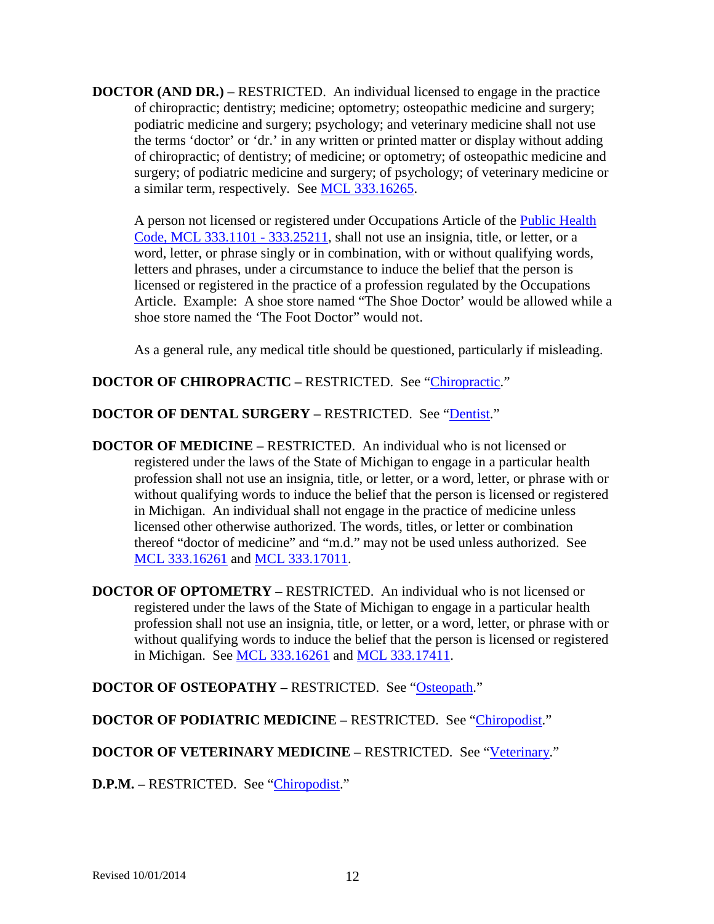**DOCTOR (AND DR.)** – RESTRICTED. An individual licensed to engage in the practice of chiropractic; dentistry; medicine; optometry; osteopathic medicine and surgery; podiatric medicine and surgery; psychology; and veterinary medicine shall not use the terms 'doctor' or 'dr.' in any written or printed matter or display without adding of chiropractic; of dentistry; of medicine; or optometry; of osteopathic medicine and surgery; of podiatric medicine and surgery; of psychology; of veterinary medicine or a similar term, respectively. See [MCL 333.16265.](http://www.legislature.mi.gov/mileg.aspx?page=getObject&objectName=mcl-333-16265)

A person not licensed or registered under Occupations Article of the [Public Health](http://www.legislature.mi.gov/mileg.aspx?page=getObject&objectName=mcl-Act-368-of-1978)  [Code, MCL 333.1101 -](http://www.legislature.mi.gov/mileg.aspx?page=getObject&objectName=mcl-Act-368-of-1978) 333.25211, shall not use an insignia, title, or letter, or a word, letter, or phrase singly or in combination, with or without qualifying words, letters and phrases, under a circumstance to induce the belief that the person is licensed or registered in the practice of a profession regulated by the Occupations Article. Example: A shoe store named "The Shoe Doctor' would be allowed while a shoe store named the 'The Foot Doctor" would not.

As a general rule, any medical title should be questioned, particularly if misleading.

# **DOCTOR OF CHIROPRACTIC – RESTRICTED. See ["Chiropractic.](#page-6-1)"**

# **DOCTOR OF DENTAL SURGERY –** RESTRICTED. See ["Dentist.](#page-9-0)"

- <span id="page-11-0"></span>**DOCTOR OF MEDICINE –** RESTRICTED. An individual who is not licensed or registered under the laws of the State of Michigan to engage in a particular health profession shall not use an insignia, title, or letter, or a word, letter, or phrase with or without qualifying words to induce the belief that the person is licensed or registered in Michigan. An individual shall not engage in the practice of medicine unless licensed other otherwise authorized. The words, titles, or letter or combination thereof "doctor of medicine" and "m.d." may not be used unless authorized. See [MCL 333.16261](http://www.legislature.mi.gov/mileg.aspx?page=getObject&objectName=mcl-333-16261) and [MCL 333.17011.](http://www.legislature.mi.gov/mileg.aspx?page=getObject&objectName=mcl-333-17011)
- <span id="page-11-1"></span>**DOCTOR OF OPTOMETRY –** RESTRICTED. An individual who is not licensed or registered under the laws of the State of Michigan to engage in a particular health profession shall not use an insignia, title, or letter, or a word, letter, or phrase with or without qualifying words to induce the belief that the person is licensed or registered in Michigan. See [MCL 333.16261](http://www.legislature.mi.gov/mileg.aspx?page=getObject&objectName=mcl-333-16261) and [MCL 333.17411.](http://www.legislature.mi.gov/mileg.aspx?page=getObject&objectName=mcl-333-17411)

# **DOCTOR OF OSTEOPATHY –** RESTRICTED. See ["Osteopath.](#page-29-0)"

# **DOCTOR OF PODIATRIC MEDICINE –** RESTRICTED. See ["Chiropodist.](#page-6-0)"

# **DOCTOR OF VETERINARY MEDICINE –** RESTRICTED. See ["Veterinary.](#page-42-0)"

**D.P.M. –** RESTRICTED. See ["Chiropodist.](#page-6-0)"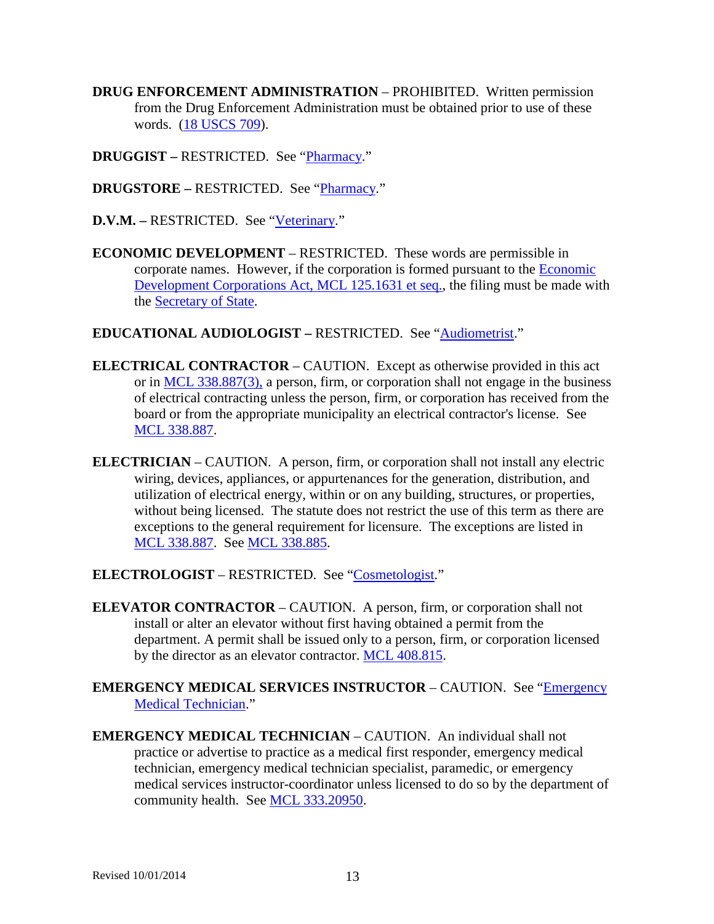- **DRUG ENFORCEMENT ADMINISTRATION** PROHIBITED. Written permission from the Drug Enforcement Administration must be obtained prior to use of these words. [\(18 USCS 709\)](http://uscode.house.gov/search/criteria.shtml).
- **DRUGGIST –** RESTRICTED. See ["Pharmacy.](#page-30-0)"
- **DRUGSTORE –** RESTRICTED. See ["Pharmacy.](#page-30-0)"
- **D.V.M. –** RESTRICTED. See ["Veterinary.](#page-42-0)"
- **ECONOMIC DEVELOPMENT** RESTRICTED. These words are permissible in corporate names. However, if the corporation is formed pursuant to the [Economic](http://www.legislature.mi.gov/mileg.aspx?page=getObject&objectName=mcl-Act-338-of-1974)  Development Corporations [Act, MCL 125.1631 et seq.,](http://www.legislature.mi.gov/mileg.aspx?page=getObject&objectName=mcl-Act-338-of-1974) the filing must be made with the [Secretary of State.](http://www.michigan.gov/sos)

### **EDUCATIONAL AUDIOLOGIST –** RESTRICTED. See ["Audiometrist.](#page-2-1)"

- **ELECTRICAL CONTRACTOR** CAUTION. Except as otherwise provided in this act or in [MCL 338.887\(3\),](http://www.legislature.mi.gov/mileg.aspx?page=getObject&objectName=mcl-338-887) a person, firm, or corporation shall not engage in the business of electrical contracting unless the person, firm, or corporation has received from the board or from the appropriate municipality an electrical contractor's license. See [MCL 338.887.](http://www.legislature.mi.gov/mileg.aspx?page=getObject&objectName=mcl-338-887)
- **ELECTRICIAN** CAUTION. A person, firm, or corporation shall not install any electric wiring, devices, appliances, or appurtenances for the generation, distribution, and utilization of electrical energy, within or on any building, structures, or properties, without being licensed. The statute does not restrict the use of this term as there are exceptions to the general requirement for licensure. The exceptions are listed in [MCL 338.887.](http://www.legislature.mi.gov/mileg.aspx?page=getObject&objectName=mcl-338-887) See [MCL 338.885.](http://www.legislature.mi.gov/mileg.aspx?page=getObject&objectName=mcl-338-885)
- **ELECTROLOGIST** RESTRICTED. See ["Cosmetologist.](#page-8-0)"
- **ELEVATOR CONTRACTOR** CAUTION. A person, firm, or corporation shall not install or alter an elevator without first having obtained a permit from the department. A permit shall be issued only to a person, firm, or corporation licensed by the director as an elevator contractor. [MCL 408.815.](http://www.legislature.mi.gov/mileg.aspx?page=getObject&objectName=mcl-408-815)
- **EMERGENCY MEDICAL SERVICES INSTRUCTOR** CAUTION. See ["Emergency](#page-12-0)  [Medical Technician.](#page-12-0)"
- <span id="page-12-0"></span>**EMERGENCY MEDICAL TECHNICIAN** – CAUTION. An individual shall not practice or advertise to practice as a medical first responder, emergency medical technician, emergency medical technician specialist, paramedic, or emergency medical services instructor-coordinator unless licensed to do so by the department of community health. See [MCL 333.20950.](http://www.legislature.mi.gov/mileg.aspx?page=getObject&objectName=mcl-333-20950)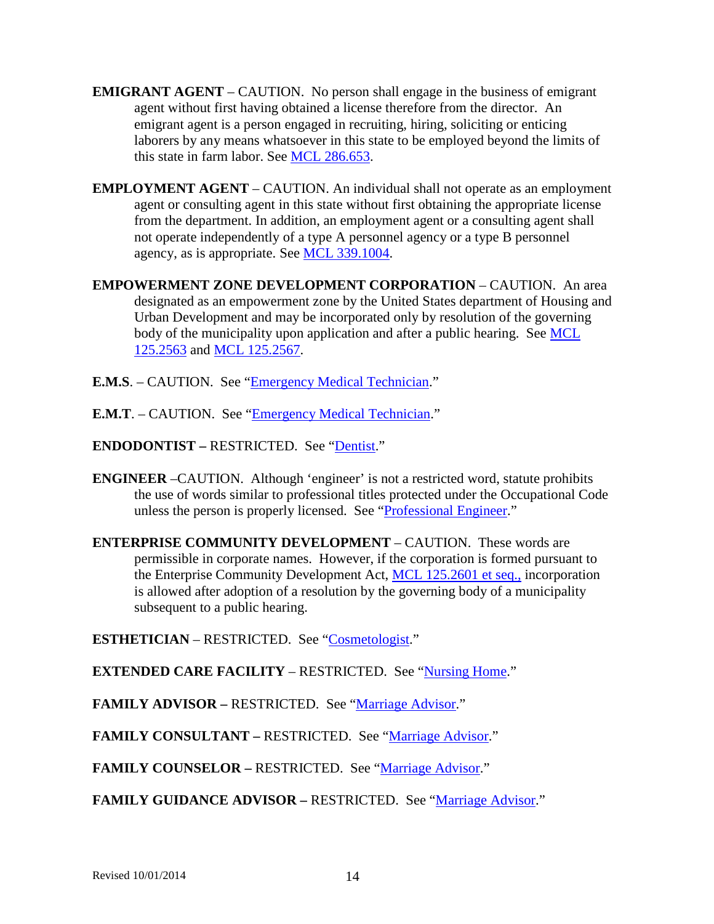- **EMIGRANT AGENT** CAUTION. No person shall engage in the business of emigrant agent without first having obtained a license therefore from the director. An emigrant agent is a person engaged in recruiting, hiring, soliciting or enticing laborers by any means whatsoever in this state to be employed beyond the limits of this state in farm labor. See [MCL 286.653.](http://www.legislature.mi.gov/mileg.aspx?page=getObject&objectName=mcl-286-653)
- **EMPLOYMENT AGENT** CAUTION. An individual shall not operate as an employment agent or consulting agent in this state without first obtaining the appropriate license from the department. In addition, an employment agent or a consulting agent shall not operate independently of a type A personnel agency or a type B personnel agency, as is appropriate. See [MCL 339.1004.](http://www.legislature.mi.gov/mileg.aspx?page=getObject&objectName=mcl-339-1004)
- **EMPOWERMENT ZONE DEVELOPMENT CORPORATION** CAUTION. An area designated as an empowerment zone by the United States department of Housing and Urban Development and may be incorporated only by resolution of the governing body of the municipality upon application and after a public hearing. See MCL [125.2563](http://www.legislature.mi.gov/mileg.aspx?page=getObject&objectName=mcl-125-2563) and [MCL 125.2567.](http://www.legislature.mi.gov/mileg.aspx?page=getObject&objectName=mcl-125-2567)
- **E.M.S.** CAUTION. See ["Emergency Medical Technician.](#page-12-0)"
- **E.M.T**. CAUTION. See ["Emergency Medical Technician.](#page-12-0)"
- **ENDODONTIST –** RESTRICTED. See ["Dentist.](#page-9-0)"
- **ENGINEER** –CAUTION. Although 'engineer' is not a restricted word, statute prohibits the use of words similar to professional titles protected under the Occupational Code unless the person is properly licensed. See ["Professional Engineer.](#page-32-1)"
- **ENTERPRISE COMMUNITY DEVELOPMENT** CAUTION. These words are permissible in corporate names. However, if the corporation is formed pursuant to the Enterprise Community Development Act, [MCL 125.2601 et seq.,](http://www.legislature.mi.gov/mileg.aspx?page=getObject&objectName=mcl-Act-123-of-1995) incorporation is allowed after adoption of a resolution by the governing body of a municipality subsequent to a public hearing.

**ESTHETICIAN** – RESTRICTED. See ["Cosmetologist.](#page-8-0)"

**EXTENDED CARE FACILITY** – RESTRICTED. See ["Nursing Home.](#page-27-0)"

**FAMILY ADVISOR –** RESTRICTED. See ["Marriage Advisor.](#page-24-0)"

**FAMILY CONSULTANT –** RESTRICTED. See ["Marriage Advisor.](#page-24-0)"

**FAMILY COUNSELOR –** RESTRICTED. See ["Marriage Advisor.](#page-24-0)"

FAMILY GUIDANCE ADVISOR – RESTRICTED. See ["Marriage Advisor.](#page-24-0)"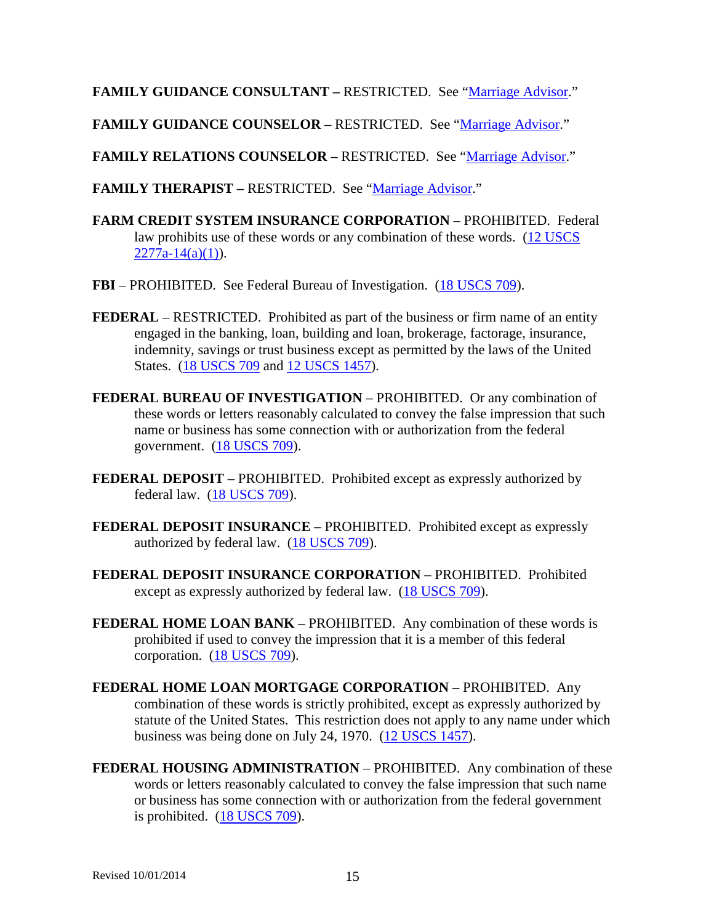**FAMILY GUIDANCE CONSULTANT –** RESTRICTED. See ["Marriage Advisor.](#page-24-0)"

**FAMILY GUIDANCE COUNSELOR –** RESTRICTED. See ["Marriage Advisor.](#page-24-0)"

**FAMILY RELATIONS COUNSELOR –** RESTRICTED. See ["Marriage Advisor.](#page-24-0)"

**FAMILY THERAPIST –** RESTRICTED. See ["Marriage Advisor.](#page-24-0)"

- **FARM CREDIT SYSTEM INSURANCE CORPORATION** PROHIBITED. Federal law prohibits use of these words or any combination of these words. [\(12 USCS](http://uscode.house.gov/search/criteria.shtml)   $2277a-14(a)(1)$ .
- **FBI** PROHIBITED. See Federal Bureau of Investigation. [\(18 USCS 709\)](http://uscode.house.gov/search/criteria.shtml).
- **FEDERAL** RESTRICTED. Prohibited as part of the business or firm name of an entity engaged in the banking, loan, building and loan, brokerage, factorage, insurance, indemnity, savings or trust business except as permitted by the laws of the United States. [\(18 USCS 709](http://uscode.house.gov/search/criteria.shtml) and [12 USCS 1457\)](http://uscode.house.gov/search/criteria.shtml).
- **FEDERAL BUREAU OF INVESTIGATION** PROHIBITED. Or any combination of these words or letters reasonably calculated to convey the false impression that such name or business has some connection with or authorization from the federal government. [\(18 USCS 709\)](http://uscode.house.gov/search/criteria.shtml).
- **FEDERAL DEPOSIT** PROHIBITED. Prohibited except as expressly authorized by federal law. [\(18 USCS 709\)](http://uscode.house.gov/search/criteria.shtml).
- **FEDERAL DEPOSIT INSURANCE** PROHIBITED. Prohibited except as expressly authorized by federal law. [\(18 USCS 709\)](http://uscode.house.gov/search/criteria.shtml).
- **FEDERAL DEPOSIT INSURANCE CORPORATION** PROHIBITED. Prohibited except as expressly authorized by federal law. [\(18 USCS 709\)](http://uscode.house.gov/search/criteria.shtml).
- **FEDERAL HOME LOAN BANK** PROHIBITED. Any combination of these words is prohibited if used to convey the impression that it is a member of this federal corporation. [\(18 USCS 709\)](http://uscode.house.gov/search/criteria.shtml).
- **FEDERAL HOME LOAN MORTGAGE CORPORATION** PROHIBITED. Any combination of these words is strictly prohibited, except as expressly authorized by statute of the United States. This restriction does not apply to any name under which business was being done on July 24, 1970. [\(12 USCS 1457\)](http://uscode.house.gov/search/criteria.shtml).
- **FEDERAL HOUSING ADMINISTRATION** PROHIBITED. Any combination of these words or letters reasonably calculated to convey the false impression that such name or business has some connection with or authorization from the federal government is prohibited. [\(18 USCS 709\)](http://uscode.house.gov/search/criteria.shtml).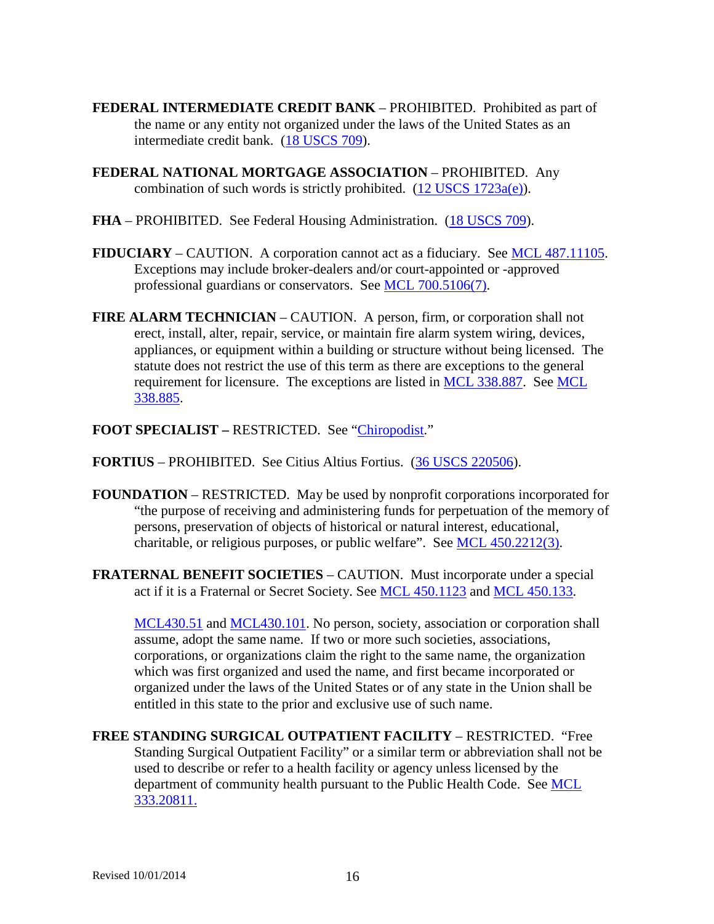- **FEDERAL INTERMEDIATE CREDIT BANK** PROHIBITED. Prohibited as part of the name or any entity not organized under the laws of the United States as an intermediate credit bank. [\(18 USCS 709\)](http://uscode.house.gov/search/criteria.shtml).
- **FEDERAL NATIONAL MORTGAGE ASSOCIATION** PROHIBITED. Any combination of such words is strictly prohibited.  $(12$  USCS  $1723a(e)$ .
- **FHA** PROHIBITED. See Federal Housing Administration. [\(18 USCS 709\)](http://uscode.house.gov/search/criteria.shtml).
- **FIDUCIARY** CAUTION. A corporation cannot act as a fiduciary. See [MCL 487.11105.](http://www.legislature.mi.gov/mileg.aspx?page=getObject&objectName=mcl-487-11105) Exceptions may include broker-dealers and/or court-appointed or -approved professional guardians or conservators. See [MCL 700.5106\(7\).](http://www.legislature.mi.gov/mileg.aspx?page=getObject&objectName=mcl-700-5106)
- **FIRE ALARM TECHNICIAN** CAUTION.A person, firm, or corporation shall not erect, install, alter, repair, service, or maintain fire alarm system wiring, devices, appliances, or equipment within a building or structure without being licensed. The statute does not restrict the use of this term as there are exceptions to the general requirement for licensure. The exceptions are listed in [MCL 338.887.](http://www.legislature.mi.gov/mileg.aspx?page=getObject&objectName=mcl-338-887) See [MCL](http://www.legislature.mi.gov/mileg.aspx?page=getObject&objectName=mcl-338-885)  [338.885.](http://www.legislature.mi.gov/mileg.aspx?page=getObject&objectName=mcl-338-885)
- **FOOT SPECIALIST –** RESTRICTED. See ["Chiropodist.](#page-6-0)"
- **FORTIUS** PROHIBITED. See Citius Altius Fortius. [\(36 USCS 220506\)](http://uscode.house.gov/search/criteria.shtml).
- **FOUNDATION**  RESTRICTED. May be used by nonprofit corporations incorporated for "the purpose of receiving and administering funds for perpetuation of the memory of persons, preservation of objects of historical or natural interest, educational, charitable, or religious purposes, or public welfare". See [MCL 450.2212\(3\).](http://www.legislature.mi.gov/mileg.aspx?page=getObject&objectName=mcl-450-2212)
- **FRATERNAL BENEFIT SOCIETIES** CAUTION. Must incorporate under a special act if it is a Fraternal or Secret Society. See [MCL 450.1123](http://www.legislature.mi.gov/mileg.aspx?page=getObject&objectName=mcl-450-1123) and [MCL 450.133.](http://www.legislature.mi.gov/mileg.aspx?page=getObject&objectName=mcl-450-133)

[MCL430.51](http://legislature.mi.gov/doc.aspx?mcl-430-51) and [MCL430.101.](http://legislature.mi.gov/doc.aspx?mcl-430-101) No person, society, association or corporation shall assume, adopt the same name. If two or more such societies, associations, corporations, or organizations claim the right to the same name, the organization which was first organized and used the name, and first became incorporated or organized under the laws of the United States or of any state in the Union shall be entitled in this state to the prior and exclusive use of such name.

**FREE STANDING SURGICAL OUTPATIENT FACILITY** – RESTRICTED. "Free Standing Surgical Outpatient Facility" or a similar term or abbreviation shall not be used to describe or refer to a health facility or agency unless licensed by the department of community health pursuant to the Public Health Code. See [MCL](http://www.legislature.mi.gov/mileg.aspx?page=getObject&objectName=mcl-333-20811)  [333.20811.](http://www.legislature.mi.gov/mileg.aspx?page=getObject&objectName=mcl-333-20811)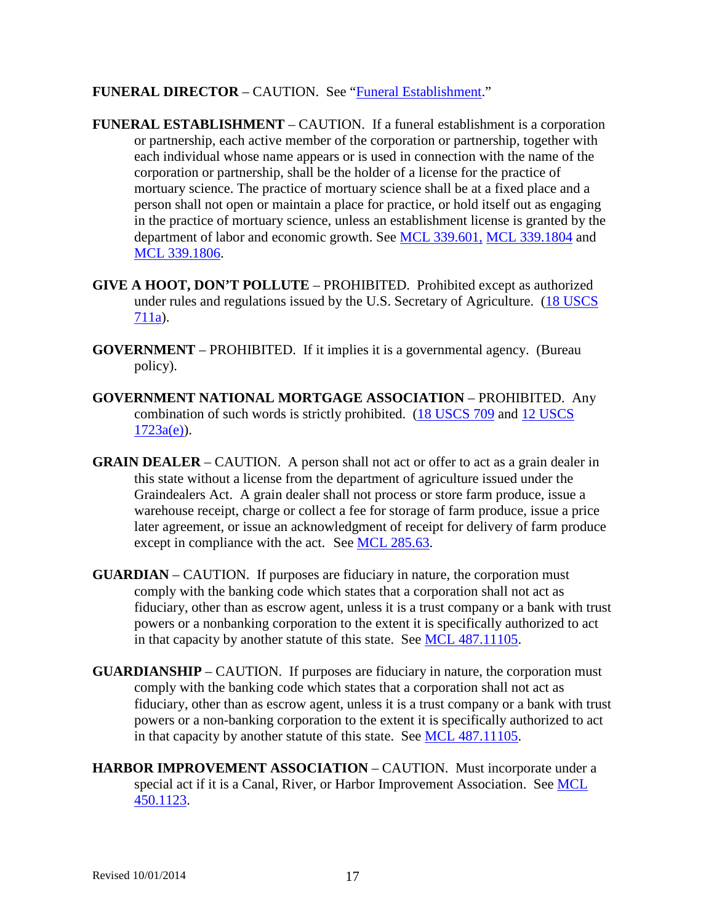### **FUNERAL DIRECTOR** – CAUTION. See ["Funeral Establishment.](#page-16-0)"

- <span id="page-16-0"></span>**FUNERAL ESTABLISHMENT** – CAUTION. If a funeral establishment is a corporation or partnership, each active member of the corporation or partnership, together with each individual whose name appears or is used in connection with the name of the corporation or partnership, shall be the holder of a license for the practice of mortuary science. The practice of mortuary science shall be at a fixed place and a person shall not open or maintain a place for practice, or hold itself out as engaging in the practice of mortuary science, unless an establishment license is granted by the department of labor and economic growth. See [MCL 339.601,](http://www.legislature.mi.gov/mileg.aspx?page=getObject&objectName=mcl-339-601) [MCL 339.1804](http://www.legislature.mi.gov/mileg.aspx?page=getObject&objectName=mcl-339-1804) and [MCL 339.1806.](http://www.legislature.mi.gov/mileg.aspx?page=getObject&objectName=mcl-339-1806)
- **GIVE A HOOT, DON'T POLLUTE** PROHIBITED. Prohibited except as authorized under rules and regulations issued by the U.S. Secretary of Agriculture. (18 USCS [711a\)](http://uscode.house.gov/search/criteria.shtml).
- **GOVERNMENT** PROHIBITED. If it implies it is a governmental agency. (Bureau policy).
- **GOVERNMENT NATIONAL MORTGAGE ASSOCIATION** PROHIBITED. Any combination of such words is strictly prohibited. [\(18 USCS 709](http://uscode.house.gov/search/criteria.shtml) and [12 USCS](http://uscode.house.gov/search/criteria.shtml)   $1723a(e)$ ).
- **GRAIN DEALER** CAUTION. A person shall not act or offer to act as a grain dealer in this state without a license from the department of agriculture issued under the Graindealers Act. A grain dealer shall not process or store farm produce, issue a warehouse receipt, charge or collect a fee for storage of farm produce, issue a price later agreement, or issue an acknowledgment of receipt for delivery of farm produce except in compliance with the act. See [MCL 285.63.](http://www.legislature.mi.gov/mileg.aspx?page=getObject&objectName=mcl-285-63)
- **GUARDIAN** CAUTION. If purposes are fiduciary in nature, the corporation must comply with the banking code which states that a corporation shall not act as fiduciary, other than as escrow agent, unless it is a trust company or a bank with trust powers or a nonbanking corporation to the extent it is specifically authorized to act in that capacity by another statute of this state. See [MCL 487.11105.](http://www.legislature.mi.gov/mileg.aspx?page=GetMCLDocument&objectname=mcl-487-11105)
- **GUARDIANSHIP** CAUTION. If purposes are fiduciary in nature, the corporation must comply with the banking code which states that a corporation shall not act as fiduciary, other than as escrow agent, unless it is a trust company or a bank with trust powers or a non-banking corporation to the extent it is specifically authorized to act in that capacity by another statute of this state. See [MCL 487.11105.](http://www.legislature.mi.gov/mileg.aspx?page=getObject&objectName=mcl-487-11105)
- **HARBOR IMPROVEMENT ASSOCIATION** CAUTION. Must incorporate under a special act if it is a Canal, River, or Harbor Improvement Association. See [MCL](http://www.legislature.mi.gov/mileg.aspx?page=getObject&objectName=mcl-450-1123)  [450.1123.](http://www.legislature.mi.gov/mileg.aspx?page=getObject&objectName=mcl-450-1123)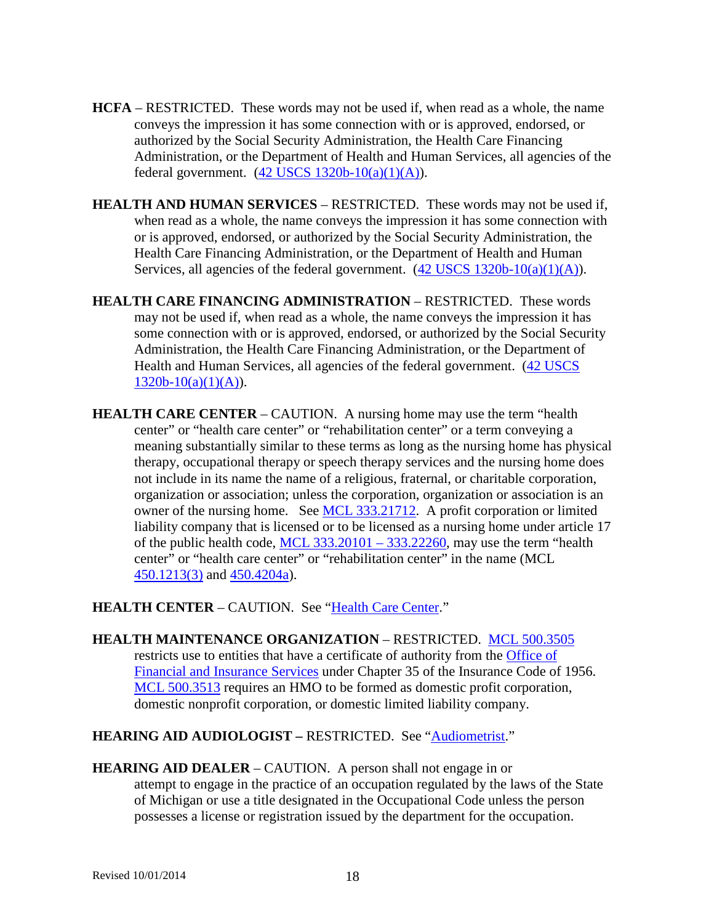- **HCFA** RESTRICTED. These words may not be used if, when read as a whole, the name conveys the impression it has some connection with or is approved, endorsed, or authorized by the Social Security Administration, the Health Care Financing Administration, or the Department of Health and Human Services, all agencies of the federal government.  $(42$  USCS  $1320b-10(a)(1)(A)$ .
- **HEALTH AND HUMAN SERVICES** RESTRICTED. These words may not be used if, when read as a whole, the name conveys the impression it has some connection with or is approved, endorsed, or authorized by the Social Security Administration, the Health Care Financing Administration, or the Department of Health and Human Services, all agencies of the federal government.  $(42$  USCS  $1320b-10(a)(1)(A))$ .
- **HEALTH CARE FINANCING ADMINISTRATION** RESTRICTED. These words may not be used if, when read as a whole, the name conveys the impression it has some connection with or is approved, endorsed, or authorized by the Social Security Administration, the Health Care Financing Administration, or the Department of Health and Human Services, all agencies of the federal government. [\(42 USCS](http://uscode.house.gov/search/criteria.shtml)   $1320b-10(a)(1)(A)$ .
- <span id="page-17-0"></span>**HEALTH CARE CENTER** – CAUTION. A nursing home may use the term "health" center" or "health care center" or "rehabilitation center" or a term conveying a meaning substantially similar to these terms as long as the nursing home has physical therapy, occupational therapy or speech therapy services and the nursing home does not include in its name the name of a religious, fraternal, or charitable corporation, organization or association; unless the corporation, organization or association is an owner of the nursing home. See [MCL 333.21712.](http://www.legislature.mi.gov/mileg.aspx?page=getObject&objectName=mcl-333-21712) A profit corporation or limited liability company that is licensed or to be licensed as a nursing home under article 17 of the public health code,  $MCL$  333.20101 – 333.22260, may use the term "health" center" or "health care center" or "rehabilitation center" in the name (MCL [450.1213\(3\)](http://www.legislature.mi.gov/mileg.aspx?page=getObject&objectName=mcl-450-1213) and [450.4204a\)](http://www.legislature.mi.gov/mileg.aspx?page=getObject&objectName=mcl-450-4204a).

**HEALTH CENTER** – CAUTION. See ["Health Care Center.](#page-17-0)"

**HEALTH MAINTENANCE ORGANIZATION** – RESTRICTED. [MCL 500.3505](http://www.legislature.mi.gov/mileg.aspx?page=getObject&objectName=mcl-500-3505) restricts use to entities that have a certificate of authority from the [Office of](http://www.michigan.gov/cis/0,1607,7-154-10555---,00.html)  [Financial and Insurance Services](http://www.michigan.gov/cis/0,1607,7-154-10555---,00.html) under Chapter 35 of the Insurance Code of 1956. [MCL 500.3513](http://www.legislature.mi.gov/mileg.aspx?page=getObject&objectName=mcl-500-3513) requires an HMO to be formed as domestic profit corporation, domestic nonprofit corporation, or domestic limited liability company.

# **HEARING AID AUDIOLOGIST –** RESTRICTED. See ["Audiometrist.](#page-2-1)"

<span id="page-17-1"></span>**HEARING AID DEALER** – CAUTION. A person shall not engage in or attempt to engage in the practice of an occupation regulated by the laws of the State of Michigan or use a title designated in the Occupational Code unless the person possesses a license or registration issued by the department for the occupation.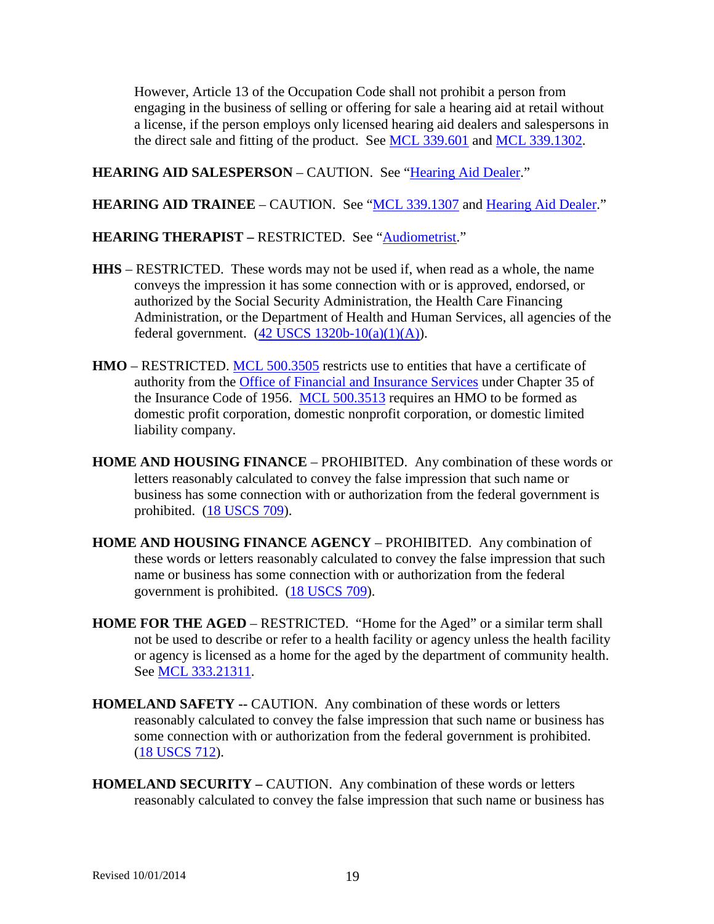However, Article 13 of the Occupation Code shall not prohibit a person from engaging in the business of selling or offering for sale a hearing aid at retail without a license, if the person employs only licensed hearing aid dealers and salespersons in the direct sale and fitting of the product. See [MCL 339.601](http://www.legislature.mi.gov/mileg.aspx?page=getObject&objectName=mcl-339-601) and [MCL 339.1302.](http://www.legislature.mi.gov/mileg.aspx?page=getObject&objectName=mcl-339-1302)

**HEARING AID SALESPERSON** – CAUTION. See ["Hearing Aid Dealer.](#page-17-1)"

**HEARING AID TRAINEE** – CAUTION. See ["MCL 339.1307](http://www.legislature.mi.gov/mileg.aspx?page=getObject&objectName=mcl-339-1307) and [Hearing Aid Dealer.](#page-17-1)"

### **HEARING THERAPIST – RESTRICTED.** See ["Audiometrist.](#page-2-1)"

- **HHS** RESTRICTED. These words may not be used if, when read as a whole, the name conveys the impression it has some connection with or is approved, endorsed, or authorized by the Social Security Administration, the Health Care Financing Administration, or the Department of Health and Human Services, all agencies of the federal government.  $(42$  USCS  $1320b-10(a)(1)(A)$ .
- **HMO** RESTRICTED. [MCL 500.3505](http://www.legislature.mi.gov/mileg.aspx?page=getObject&objectName=mcl-500-3505) restricts use to entities that have a certificate of authority from the [Office of Financial and Insurance Services](http://www.michigan.gov/cis/0,1607,7-154-10555---,00.html) under Chapter 35 of the Insurance Code of 1956. [MCL 500.3513](http://www.legislature.mi.gov/mileg.aspx?page=getObject&objectName=mcl-500-3513) requires an HMO to be formed as domestic profit corporation, domestic nonprofit corporation, or domestic limited liability company.
- **HOME AND HOUSING FINANCE** PROHIBITED. Any combination of these words or letters reasonably calculated to convey the false impression that such name or business has some connection with or authorization from the federal government is prohibited. [\(18 USCS 709\)](http://uscode.house.gov/search/criteria.shtml).
- **HOME AND HOUSING FINANCE AGENCY** PROHIBITED. Any combination of these words or letters reasonably calculated to convey the false impression that such name or business has some connection with or authorization from the federal government is prohibited. [\(18 USCS 709\)](http://uscode.house.gov/search/criteria.shtml).
- **HOME FOR THE AGED** RESTRICTED. "Home for the Aged" or a similar term shall not be used to describe or refer to a health facility or agency unless the health facility or agency is licensed as a home for the aged by the department of community health. See [MCL 333.21311.](http://www.legislature.mi.gov/mileg.aspx?page=getObject&objectName=mcl-333-21311)
- **HOMELAND SAFETY --** CAUTION. Any combination of these words or letters reasonably calculated to convey the false impression that such name or business has some connection with or authorization from the federal government is prohibited. [\(18 USCS 712\)](http://uscode.house.gov/search/criteria.shtml).
- **HOMELAND SECURITY –** CAUTION. Any combination of these words or letters reasonably calculated to convey the false impression that such name or business has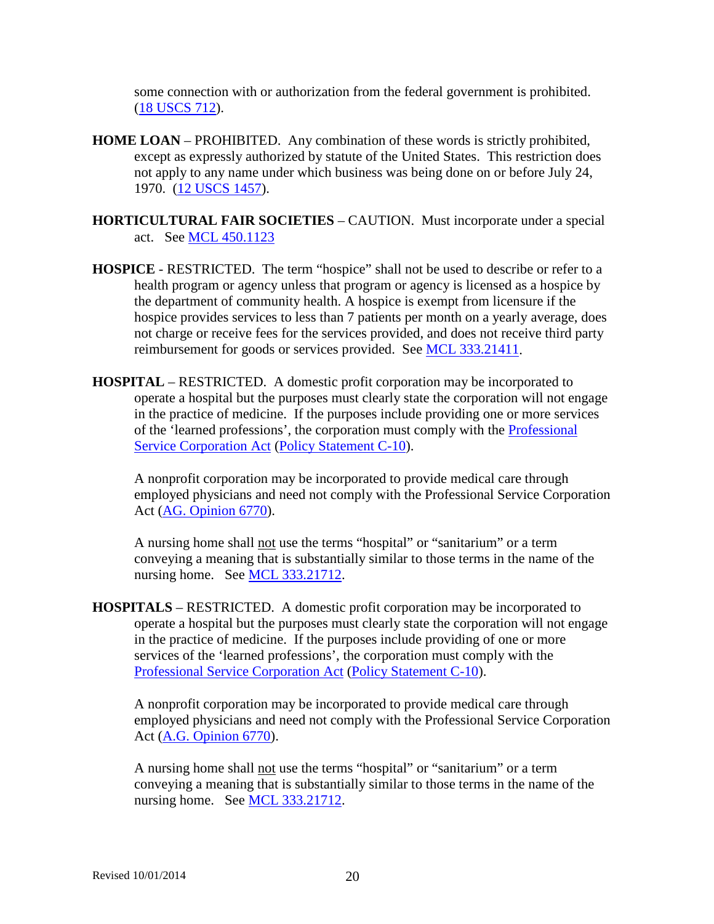some connection with or authorization from the federal government is prohibited. [\(18 USCS 712\)](http://uscode.house.gov/search/criteria.shtml).

- **HOME LOAN** PROHIBITED. Any combination of these words is strictly prohibited, except as expressly authorized by statute of the United States. This restriction does not apply to any name under which business was being done on or before July 24, 1970. [\(12 USCS 1457\)](http://uscode.house.gov/search/criteria.shtml).
- **HORTICULTURAL FAIR SOCIETIES** CAUTION. Must incorporate under a special act. See [MCL 450.1123](http://www.legislature.mi.gov/mileg.aspx?page=getObject&objectName=mcl-450-1123)
- **HOSPICE** RESTRICTED. The term "hospice" shall not be used to describe or refer to a health program or agency unless that program or agency is licensed as a hospice by the department of community health. A hospice is exempt from licensure if the hospice provides services to less than 7 patients per month on a yearly average, does not charge or receive fees for the services provided, and does not receive third party reimbursement for goods or services provided. See [MCL 333.21411.](http://www.legislature.mi.gov/mileg.aspx?page=getObject&objectName=mcl-333-21411)
- **HOSPITAL** RESTRICTED. A domestic profit corporation may be incorporated to operate a hospital but the purposes must clearly state the corporation will not engage in the practice of medicine. If the purposes include providing one or more services of the 'learned professions', the corporation must comply with the [Professional](http://www.legislature.mi.gov/mileg.aspx?page=getObject&objectName=mcl-Act-192-of-1962)  [Service Corporation Act](http://www.legislature.mi.gov/mileg.aspx?page=getObject&objectName=mcl-Act-192-of-1962) [\(Policy Statement C-10\)](http://www.cis.state.mi.us/bcsc/forms/corp/pol/c-10.pdf).

A nonprofit corporation may be incorporated to provide medical care through employed physicians and need not comply with the Professional Service Corporation Act [\(AG. Opinion 6770\)](http://www.ag.state.mi.us/opinion/datafiles/1990s/op06770.htm).

A nursing home shall not use the terms "hospital" or "sanitarium" or a term conveying a meaning that is substantially similar to those terms in the name of the nursing home. See [MCL 333.21712.](http://www.legislature.mi.gov/mileg.aspx?page=getObject&objectName=mcl-333-21712)

**HOSPITALS** – RESTRICTED. A domestic profit corporation may be incorporated to operate a hospital but the purposes must clearly state the corporation will not engage in the practice of medicine. If the purposes include providing of one or more services of the 'learned professions', the corporation must comply with the [Professional Service Corporation Act](http://www.legislature.mi.gov/mileg.aspx?page=GetMCLDocument&objectname=mcl-Act-192-of-1962&queryid=13470597) [\(Policy Statement C-10\)](http://www.cis.state.mi.us/bcsc/forms/corp/pol/c-10.pdf).

A nonprofit corporation may be incorporated to provide medical care through employed physicians and need not comply with the Professional Service Corporation Act [\(A.G. Opinion 6770\)](http://www.ag.state.mi.us/opinion/datafiles/1990s/op06770.htm).

A nursing home shall not use the terms "hospital" or "sanitarium" or a term conveying a meaning that is substantially similar to those terms in the name of the nursing home. See [MCL 333.21712.](http://www.legislature.mi.gov/mileg.aspx?page=GetMCLDocument&objectname=mcl-333-21712)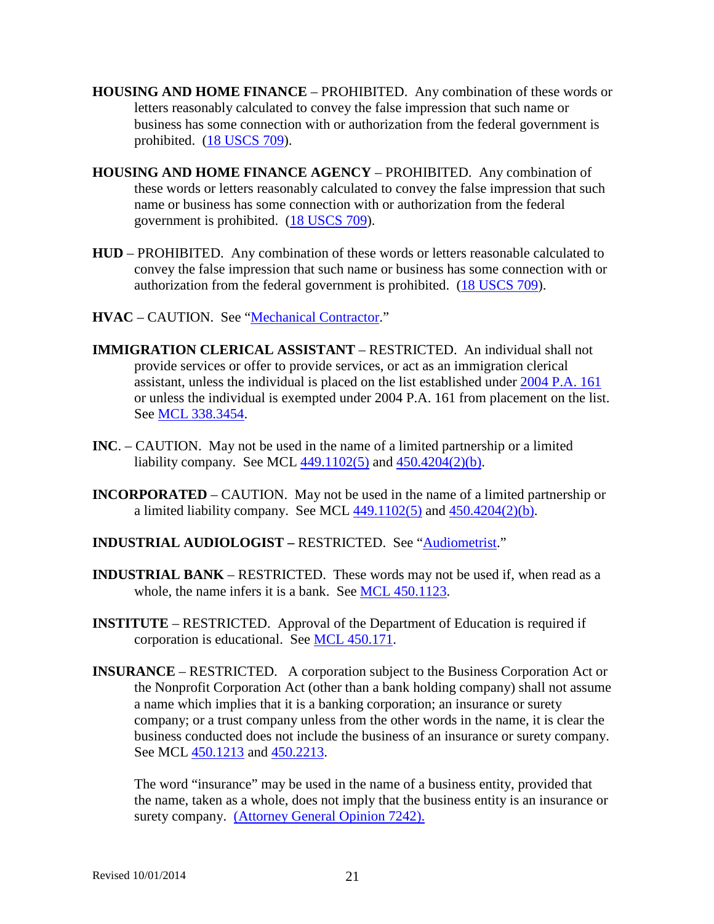- **HOUSING AND HOME FINANCE** PROHIBITED. Any combination of these words or letters reasonably calculated to convey the false impression that such name or business has some connection with or authorization from the federal government is prohibited. [\(18 USCS 709\)](http://uscode.house.gov/search/criteria.shtml).
- **HOUSING AND HOME FINANCE AGENCY** PROHIBITED. Any combination of these words or letters reasonably calculated to convey the false impression that such name or business has some connection with or authorization from the federal government is prohibited. [\(18 USCS 709\)](http://uscode.house.gov/search/criteria.shtml).
- **HUD** PROHIBITED. Any combination of these words or letters reasonable calculated to convey the false impression that such name or business has some connection with or authorization from the federal government is prohibited. [\(18 USCS 709\)](http://uscode.house.gov/search/criteria.shtml).
- **HVAC** CAUTION. See ["Mechanical Contractor.](#page-25-0)"
- **IMMIGRATION CLERICAL ASSISTANT** RESTRICTED. An individual shall not provide services or offer to provide services, or act as an immigration clerical assistant, unless the individual is placed on the list established under [2004 P.A. 161](http://www.legislature.mi.gov/mileg.aspx?page=GetMCLDocument&objectname=mcl-Act-161-of-2004&queryid=13470651&highlight=immigration%20clerical) or unless the individual is exempted under 2004 P.A. 161 from placement on the list. See [MCL 338.3454.](http://www.legislature.mi.gov/mileg.aspx?page=GetMCLDocument&objectname=mcl-338-3454&highlight=immigration%20clerical)
- **INC**. CAUTION. May not be used in the name of a limited partnership or a limited liability company. See MCL [449.1102\(5\)](http://www.legislature.mi.gov/mileg.aspx?page=getObject&objectName=mcl-449-1102) and [450.4204\(2\)\(b\).](http://www.legislature.mi.gov/mileg.aspx?page=getObject&objectName=mcl-450-4204)
- **INCORPORATED** CAUTION. May not be used in the name of a limited partnership or a limited liability company. See MCL  $449.1102(5)$  and  $450.4204(2)(b)$ .
- **INDUSTRIAL AUDIOLOGIST –** RESTRICTED. See ["Audiometrist.](#page-2-1)"
- **INDUSTRIAL BANK** RESTRICTED. These words may not be used if, when read as a whole, the name infers it is a bank. See [MCL 450.1123.](http://www.legislature.mi.gov/mileg.aspx?page=getObject&objectName=mcl-450-1123)
- **INSTITUTE** RESTRICTED. Approval of the Department of Education is required if corporation is educational. See [MCL 450.171.](http://www.legislature.mi.gov/mileg.aspx?page=getObject&objectName=mcl-450-171)
- **INSURANCE** RESTRICTED. A corporation subject to the Business Corporation Act or the Nonprofit Corporation Act (other than a bank holding company) shall not assume a name which implies that it is a banking corporation; an insurance or surety company; or a trust company unless from the other words in the name, it is clear the business conducted does not include the business of an insurance or surety company. See MCL [450.1213](http://www.legislature.mi.gov/mileg.aspx?page=getObject&objectName=mcl-450-1213) and [450.2213.](http://www.legislature.mi.gov/mileg.aspx?page=getObject&objectName=mcl-450-2213)

The word "insurance" may be used in the name of a business entity, provided that the name, taken as a whole, does not imply that the business entity is an insurance or surety company. [\(Attorney General Opinion 7242\).](http://www.ag.state.mi.us/opinion/datafiles/2010s/op10319.htm)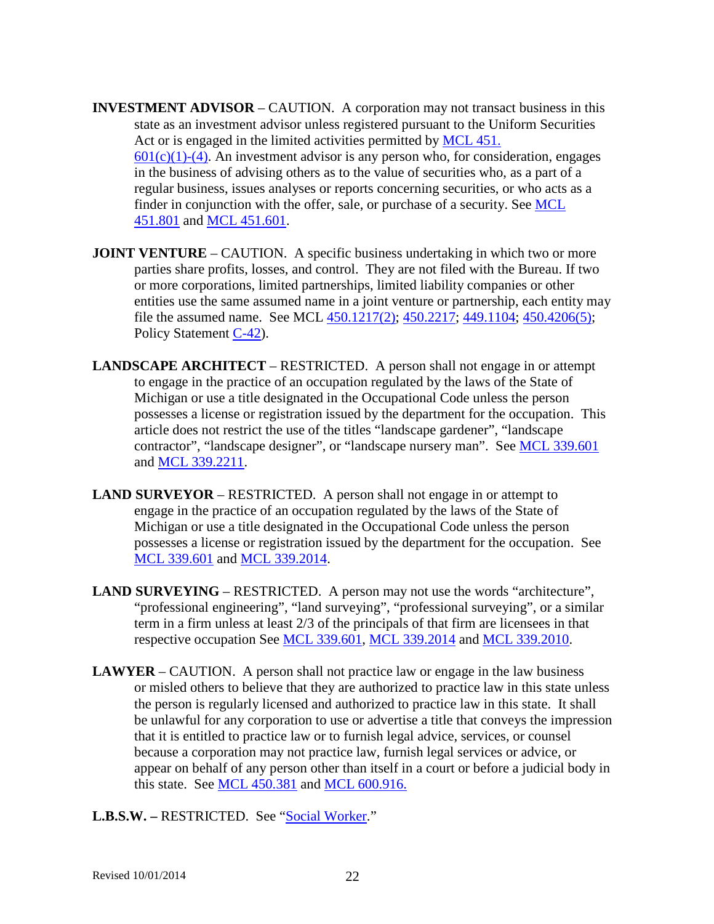- **INVESTMENT ADVISOR** CAUTION. A corporation may not transact business in this state as an investment advisor unless registered pursuant to the Uniform Securities Act or is engaged in the limited activities permitted by [MCL 451.](http://www.legislature.mi.gov/mileg.aspx?page=getObject&objectName=mcl-451-601)  $601(c)(1)-(4)$ . An investment advisor is any person who, for consideration, engages in the business of advising others as to the value of securities who, as a part of a regular business, issues analyses or reports concerning securities, or who acts as a finder in conjunction with the offer, sale, or purchase of a security. See [MCL](http://www.legislature.mi.gov/mileg.aspx?page=getObject&objectName=mcl-451-801)  [451.801](http://www.legislature.mi.gov/mileg.aspx?page=getObject&objectName=mcl-451-801) and [MCL 451.601.](http://www.legislature.mi.gov/mileg.aspx?page=getObject&objectName=mcl-451-601)
- **JOINT VENTURE** CAUTION. A specific business undertaking in which two or more parties share profits, losses, and control. They are not filed with the Bureau. If two or more corporations, limited partnerships, limited liability companies or other entities use the same assumed name in a joint venture or partnership, each entity may file the assumed name. See MCL [450.1217\(2\);](http://www.legislature.mi.gov/mileg.aspx?page=getObject&objectName=mcl-450-1217) [450.2217;](http://www.legislature.mi.gov/mileg.aspx?page=getObject&objectName=mcl-450-2217) [449.1104;](http://www.legislature.mi.gov/mileg.aspx?page=getObject&objectName=mcl-449-1104) [450.4206\(5\);](http://www.legislature.mi.gov/mileg.aspx?page=getObject&objectName=mcl-450-4206) Policy Statement [C-42\)](http://www.cis.state.mi.us/bcsc/forms/corp/pol/c-42.pdf).
- **LANDSCAPE ARCHITECT** RESTRICTED. A person shall not engage in or attempt to engage in the practice of an occupation regulated by the laws of the State of Michigan or use a title designated in the Occupational Code unless the person possesses a license or registration issued by the department for the occupation. This article does not restrict the use of the titles "landscape gardener", "landscape contractor", "landscape designer", or "landscape nursery man". See [MCL 339.601](http://www.legislature.mi.gov/mileg.aspx?page=getObject&objectName=mcl-339-601) and [MCL 339.2211.](http://www.legislature.mi.gov/mileg.aspx?page=getObject&objectName=mcl-339-2211)
- **LAND SURVEYOR** RESTRICTED. A person shall not engage in or attempt to engage in the practice of an occupation regulated by the laws of the State of Michigan or use a title designated in the Occupational Code unless the person possesses a license or registration issued by the department for the occupation. See [MCL 339.601](http://www.legislature.mi.gov/mileg.aspx?page=getObject&objectName=mcl-339-601) and [MCL 339.2014.](http://www.legislature.mi.gov/mileg.aspx?page=getObject&objectName=mcl-339-2014)
- **LAND SURVEYING** RESTRICTED. A person may not use the words "architecture", "professional engineering", "land surveying", "professional surveying", or a similar term in a firm unless at least 2/3 of the principals of that firm are licensees in that respective occupation See [MCL 339.601,](http://www.legislature.mi.gov/mileg.aspx?page=getObject&objectName=mcl-339-601) [MCL 339.2014](http://www.legislature.mi.gov/mileg.aspx?page=getObject&objectName=mcl-339-2014) and [MCL 339.2010.](http://www.legislature.mi.gov/mileg.aspx?page=getObject&objectName=mcl-339-2010)
- <span id="page-21-0"></span>**LAWYER** – CAUTION. A person shall not practice law or engage in the law business or misled others to believe that they are authorized to practice law in this state unless the person is regularly licensed and authorized to practice law in this state. It shall be unlawful for any corporation to use or advertise a title that conveys the impression that it is entitled to practice law or to furnish legal advice, services, or counsel because a corporation may not practice law, furnish legal services or advice, or appear on behalf of any person other than itself in a court or before a judicial body in this state. See [MCL 450.381](http://www.legislature.mi.gov/mileg.aspx?page=getObject&objectName=mcl-450-681) and [MCL 600.916.](http://www.legislature.mi.gov/mileg.aspx?page=getObject&objectName=mcl-600-916)

**L.B.S.W. –** RESTRICTED. See ["Social Worker.](#page-39-0)"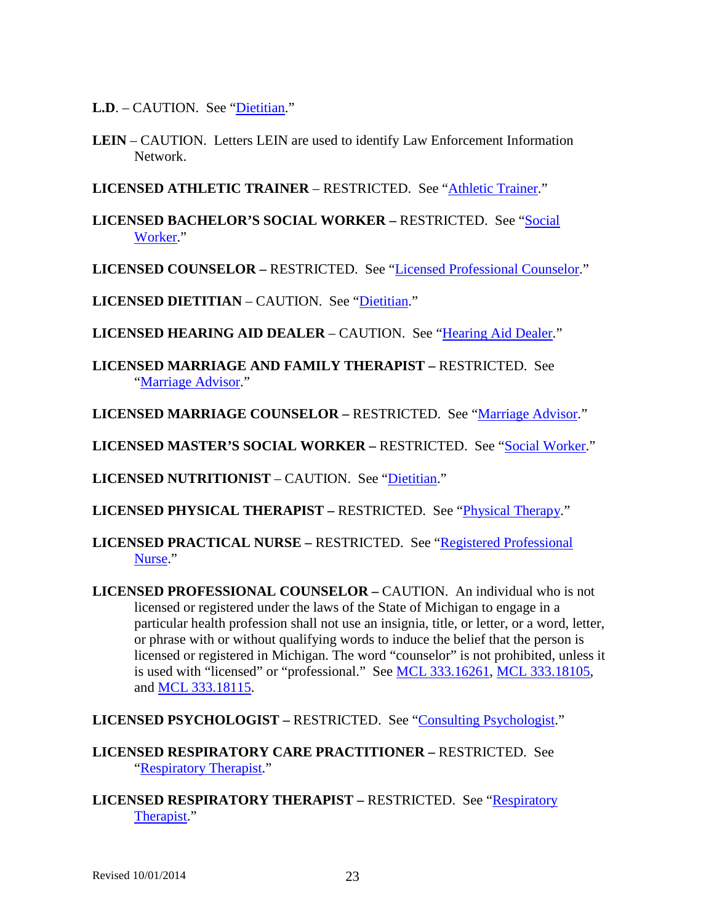L.D. – CAUTION. See ["Dietitian.](#page-10-0)"

**LEIN** – CAUTION. Letters LEIN are used to identify Law Enforcement Information Network.

**LICENSED ATHLETIC TRAINER** – RESTRICTED. See ["Athletic Trainer.](#page-2-0)"

**LICENSED BACHELOR'S SOCIAL WORKER –** RESTRICTED. See ["Social](#page-39-0)  [Worker.](#page-39-0)"

**LICENSED COUNSELOR –** RESTRICTED. See ["Licensed Professional Counselor.](#page-22-0)"

**LICENSED DIETITIAN** – CAUTION. See ["Dietitian.](#page-10-0)"

**LICENSED HEARING AID DEALER** – CAUTION. See ["Hearing Aid Dealer.](#page-17-1)"

**LICENSED MARRIAGE AND FAMILY THERAPIST –** RESTRICTED. See ["Marriage Advisor.](#page-24-0)"

**LICENSED MARRIAGE COUNSELOR –** RESTRICTED. See ["Marriage Advisor.](#page-24-0)"

**LICENSED MASTER'S SOCIAL WORKER –** RESTRICTED. See ["Social Worker.](#page-39-0)"

**LICENSED NUTRITIONIST** – CAUTION. See "*Dietitian.*"

**LICENSED PHYSICAL THERAPIST –** RESTRICTED. See ["Physical Therapy.](#page-31-0)"

**LICENSED PRACTICAL NURSE –** RESTRICTED. See ["Registered Professional](#page-35-1)  [Nurse.](#page-35-1)"

<span id="page-22-0"></span>**LICENSED PROFESSIONAL COUNSELOR –** CAUTION. An individual who is not licensed or registered under the laws of the State of Michigan to engage in a particular health profession shall not use an insignia, title, or letter, or a word, letter, or phrase with or without qualifying words to induce the belief that the person is licensed or registered in Michigan. The word "counselor" is not prohibited, unless it is used with "licensed" or "professional." See [MCL 333.16261,](http://www.legislature.mi.gov/mileg.aspx?page=GetMCLDocument&objectname=mcl-333-16261) [MCL 333.18105,](http://www.legislature.mi.gov/mileg.aspx?page=getobject&objectName=mcl-333-18107&relation=previous) and [MCL 333.18115.](http://www.legislature.mi.gov/mileg.aspx?page=getobject&objectName=mcl-333-18117&relation=previous)

LICENSED PSYCHOLOGIST – RESTRICTED. See ["Consulting Psychologist.](#page-7-0)"

**LICENSED RESPIRATORY CARE PRACTITIONER –** RESTRICTED. See ["Respiratory Therapist.](#page-36-0)"

**LICENSED RESPIRATORY THERAPIST – RESTRICTED. See "Respiratory"** [Therapist.](#page-36-0)"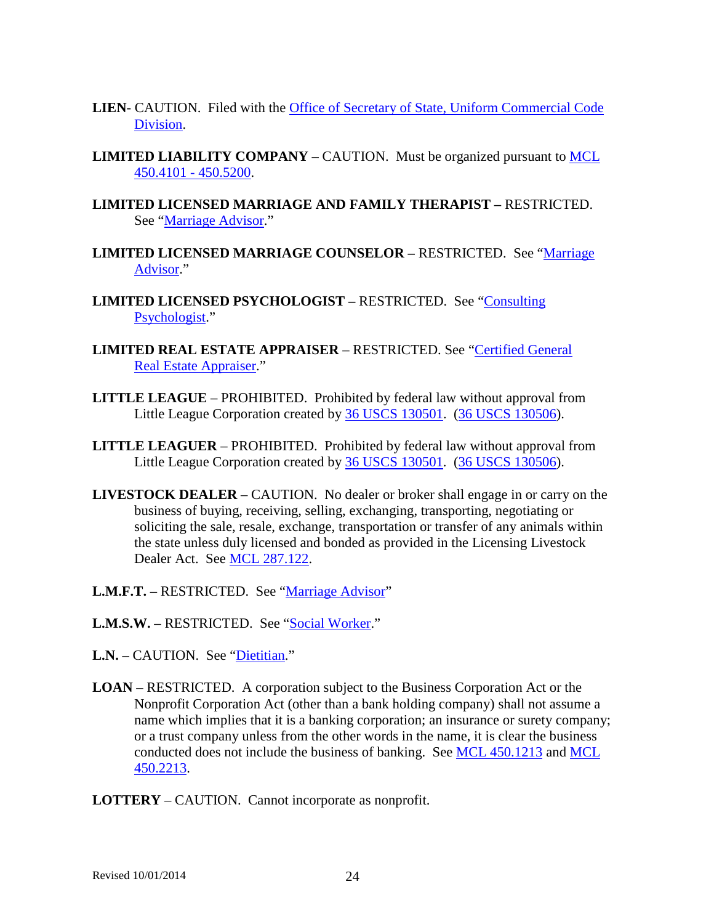- **LIEN** CAUTION. Filed with the [Office of Secretary of State, Uniform Commercial Code](http://www.michigan.gov/sos/0,1607,7-127-1631_8851---,00.html)  [Division.](http://www.michigan.gov/sos/0,1607,7-127-1631_8851---,00.html)
- **LIMITED LIABILITY COMPANY** CAUTION. Must be organized pursuant to **MCL** [450.4101 -](http://www.legislature.mi.gov/mileg.aspx?page=getobject&objectname=mcl-Act-23-of-1993&queryid=13487356) 450.5200.
- **LIMITED LICENSED MARRIAGE AND FAMILY THERAPIST –** RESTRICTED. See ["Marriage Advisor.](#page-24-0)"
- **LIMITED LICENSED MARRIAGE COUNSELOR –** RESTRICTED. See ["Marriage](#page-24-0)  [Advisor.](#page-24-0)"
- **LIMITED LICENSED PSYCHOLOGIST –** RESTRICTED.See ["Consulting](#page-7-0)  [Psychologist.](#page-7-0)"
- **LIMITED REAL ESTATE APPRAISER** RESTRICTED. See ["Certified General](#page-5-2)  [Real Estate Appraiser.](#page-5-2)"
- **LITTLE LEAGUE** PROHIBITED. Prohibited by federal law without approval from Little League Corporation created by [36 USCS 130501.](http://uscode.house.gov/search/criteria.shtml) [\(36 USCS 130506\)](http://uscode.house.gov/search/criteria.shtml).
- **LITTLE LEAGUER** PROHIBITED. Prohibited by federal law without approval from Little League Corporation created by [36 USCS 130501.](http://uscode.house.gov/search/criteria.shtml) [\(36 USCS 130506\)](http://uscode.house.gov/search/criteria.shtml).
- **LIVESTOCK DEALER** CAUTION. No dealer or broker shall engage in or carry on the business of buying, receiving, selling, exchanging, transporting, negotiating or soliciting the sale, resale, exchange, transportation or transfer of any animals within the state unless duly licensed and bonded as provided in the Licensing Livestock Dealer Act. See [MCL 287.122.](http://www.legislature.mi.gov/mileg.aspx?page=getObject&objectName=mcl-287-122)
- **L.M.F.T. –** RESTRICTED. See ["Marriage Advisor"](#page-24-0)
- **L.M.S.W. –** RESTRICTED. See ["Social Worker.](#page-39-0)"
- L.N. CAUTION. See ["Dietitian.](#page-10-0)"
- **LOAN** RESTRICTED. A corporation subject to the Business Corporation Act or the Nonprofit Corporation Act (other than a bank holding company) shall not assume a name which implies that it is a banking corporation; an insurance or surety company; or a trust company unless from the other words in the name, it is clear the business conducted does not include the business of banking. See [MCL 450.1213](http://www.legislature.mi.gov/mileg.aspx?page=getObject&objectName=mcl-450-1213) and [MCL](http://www.legislature.mi.gov/mileg.aspx?page=getObject&objectName=mcl-450-2213)  [450.2213.](http://www.legislature.mi.gov/mileg.aspx?page=getObject&objectName=mcl-450-2213)
- **LOTTERY**  CAUTION. Cannot incorporate as nonprofit.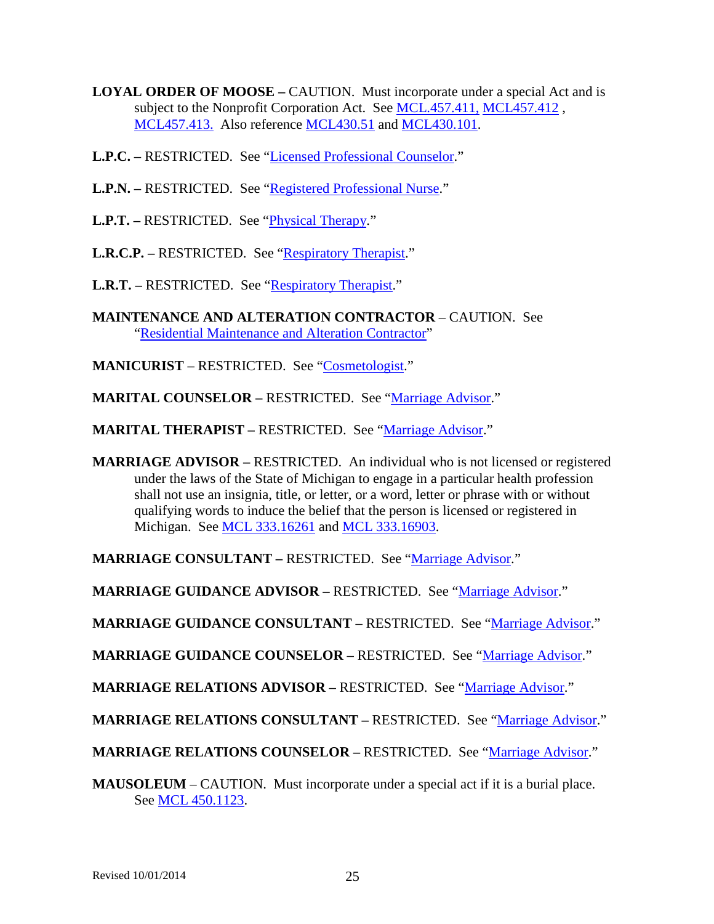- **LOYAL ORDER OF MOOSE –** CAUTION. Must incorporate under a special Act and is subject to the Nonprofit Corporation Act. See [MCL.457.411,](http://legislature.mi.gov/doc.aspx?mcl-457-411) [MCL457.412](http://legislature.mi.gov/doc.aspx?mcl-457-412), [MCL457.413.](http://legislature.mi.gov/doc.aspx?mcl-457-413) Also reference [MCL430.51](http://legislature.mi.gov/doc.aspx?mcl-430-51) and [MCL430.101.](http://legislature.mi.gov/doc.aspx?mcl-430-101)
- **L.P.C. –** RESTRICTED. See ["Licensed Professional Counselor.](#page-22-0)"
- **L.P.N. –** RESTRICTED. See ["Registered Professional Nurse.](#page-35-1)"
- **L.P.T. –** RESTRICTED. See ["Physical Therapy.](#page-31-0)"
- **L.R.C.P. –** RESTRICTED. See ["Respiratory Therapist.](#page-36-0)"
- **L.R.T.** RESTRICTED. See ["Respiratory Therapist.](#page-36-0)"
- **MAINTENANCE AND ALTERATION CONTRACTOR** CAUTION. See ["Residential Maintenance and Alteration Contractor"](#page-35-2)
- **MANICURIST** RESTRICTED. See ["Cosmetologist.](#page-8-0)"
- **MARITAL COUNSELOR –** RESTRICTED. See ["Marriage Advisor.](#page-24-0)"
- **MARITAL THERAPIST –** RESTRICTED. See ["Marriage Advisor.](#page-24-0)"
- <span id="page-24-0"></span>**MARRIAGE ADVISOR –** RESTRICTED. An individual who is not licensed or registered under the laws of the State of Michigan to engage in a particular health profession shall not use an insignia, title, or letter, or a word, letter or phrase with or without qualifying words to induce the belief that the person is licensed or registered in Michigan. See [MCL 333.16261](http://www.legislature.mi.gov/mileg.aspx?page=getObject&objectName=mcl-333-16261) and [MCL 333.16903.](http://www.legislature.mi.gov/mileg.aspx?page=getObject&objectName=mcl-333-16903)

**MARRIAGE CONSULTANT –** RESTRICTED. See ["Marriage Advisor.](#page-24-0)"

**MARRIAGE GUIDANCE ADVISOR –** RESTRICTED. See ["Marriage Advisor.](#page-24-0)"

**MARRIAGE GUIDANCE CONSULTANT –** RESTRICTED. See ["Marriage Advisor.](#page-24-0)"

**MARRIAGE GUIDANCE COUNSELOR –** RESTRICTED. See ["Marriage Advisor.](#page-24-0)"

**MARRIAGE RELATIONS ADVISOR –** RESTRICTED. See ["Marriage Advisor.](#page-24-0)"

**MARRIAGE RELATIONS CONSULTANT –** RESTRICTED. See ["Marriage Advisor.](#page-24-0)"

**MARRIAGE RELATIONS COUNSELOR –** RESTRICTED. See ["Marriage Advisor.](#page-24-0)"

**MAUSOLEUM** – CAUTION. Must incorporate under a special act if it is a burial place. See [MCL 450.1123.](http://www.legislature.mi.gov/mileg.aspx?page=getObject&objectName=mcl-450-1123)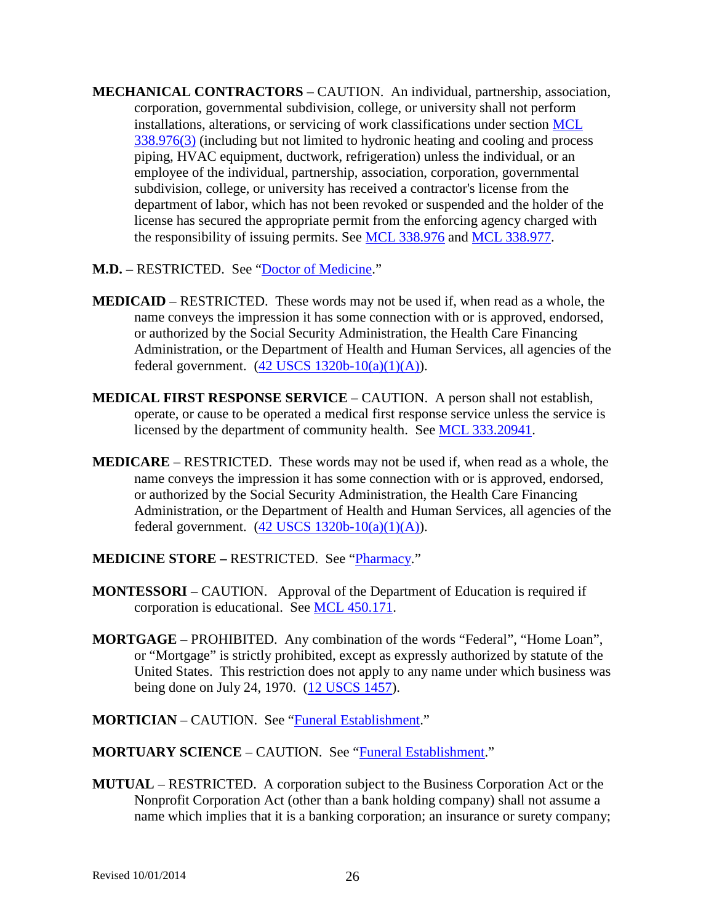- <span id="page-25-0"></span>**MECHANICAL CONTRACTORS** – CAUTION. An individual, partnership, association, corporation, governmental subdivision, college, or university shall not perform installations, alterations, or servicing of work classifications under section [MCL](http://www.legislature.mi.gov/mileg.aspx?page=getobject&objectName=mcl-338-977&relation=previous)  [338.976\(3\)](http://www.legislature.mi.gov/mileg.aspx?page=getobject&objectName=mcl-338-977&relation=previous) (including but not limited to hydronic heating and cooling and process piping, HVAC equipment, ductwork, refrigeration) unless the individual, or an employee of the individual, partnership, association, corporation, governmental subdivision, college, or university has received a contractor's license from the department of labor, which has not been revoked or suspended and the holder of the license has secured the appropriate permit from the enforcing agency charged with the responsibility of issuing permits. See [MCL 338.976](http://www.legislature.mi.gov/mileg.aspx?page=getObject&objectName=mcl-338-976) and [MCL 338.977.](http://www.legislature.mi.gov/mileg.aspx?page=getobject&objectName=mcl-338-976&relation=next)
- **M.D. –** RESTRICTED. See ["Doctor of Medicine.](#page-11-0)"
- **MEDICAID** RESTRICTED. These words may not be used if, when read as a whole, the name conveys the impression it has some connection with or is approved, endorsed, or authorized by the Social Security Administration, the Health Care Financing Administration, or the Department of Health and Human Services, all agencies of the federal government.  $(42$  USCS  $1320b-10(a)(1)(A))$ .
- **MEDICAL FIRST RESPONSE SERVICE** CAUTION. A person shall not establish, operate, or cause to be operated a medical first response service unless the service is licensed by the department of community health. See [MCL 333.20941.](http://www.legislature.mi.gov/mileg.aspx?page=getObject&objectName=mcl-333-20941)
- **MEDICARE** RESTRICTED. These words may not be used if, when read as a whole, the name conveys the impression it has some connection with or is approved, endorsed, or authorized by the Social Security Administration, the Health Care Financing Administration, or the Department of Health and Human Services, all agencies of the federal government.  $(42 \overline{USCS} 1320b-10(a)(1)(A))$ .
- **MEDICINE STORE –** RESTRICTED. See ["Pharmacy.](#page-30-0)"
- **MONTESSORI** CAUTION. Approval of the Department of Education is required if corporation is educational. See [MCL 450.171.](http://www.legislature.mi.gov/mileg.aspx?page=getObject&objectName=mcl-450-171)
- **MORTGAGE** PROHIBITED. Any combination of the words "Federal", "Home Loan", or "Mortgage" is strictly prohibited, except as expressly authorized by statute of the United States. This restriction does not apply to any name under which business was being done on July 24, 1970. [\(12 USCS 1457\)](http://uscode.house.gov/search/criteria.shtml).
- **MORTICIAN** CAUTION. See ["Funeral Establishment.](#page-16-0)"
- **MORTUARY SCIENCE** CAUTION. See ["Funeral Establishment.](#page-16-0)"
- **MUTUAL** RESTRICTED. A corporation subject to the Business Corporation Act or the Nonprofit Corporation Act (other than a bank holding company) shall not assume a name which implies that it is a banking corporation; an insurance or surety company;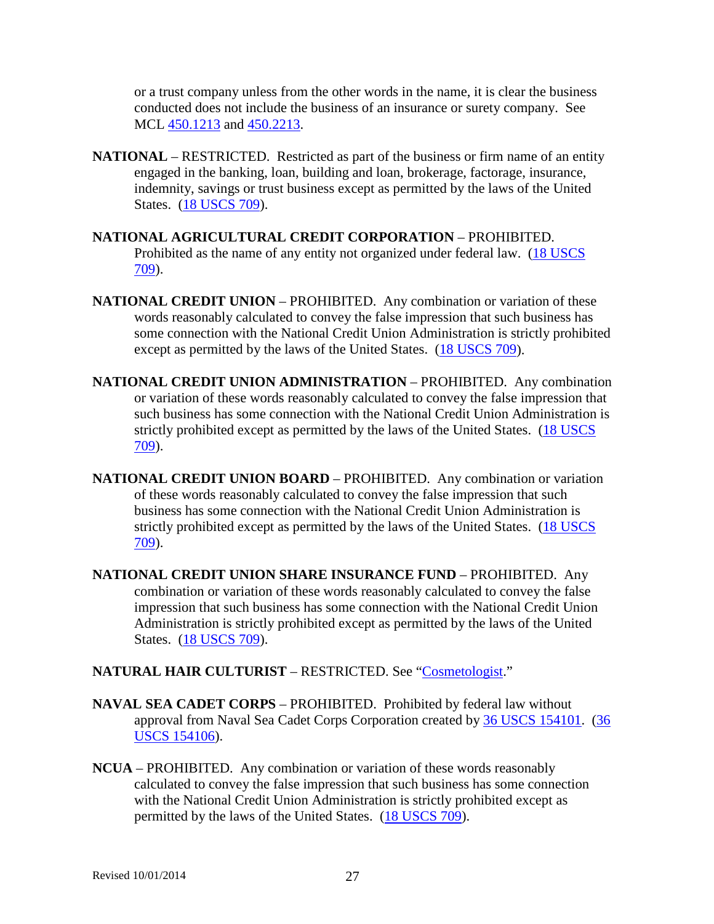or a trust company unless from the other words in the name, it is clear the business conducted does not include the business of an insurance or surety company. See MCL [450.1213](http://www.legislature.mi.gov/mileg.aspx?page=getObject&objectName=mcl-450-1213) and [450.2213.](http://www.legislature.mi.gov/mileg.aspx?page=getObject&objectName=mcl-450-2213)

- **NATIONAL** RESTRICTED. Restricted as part of the business or firm name of an entity engaged in the banking, loan, building and loan, brokerage, factorage, insurance, indemnity, savings or trust business except as permitted by the laws of the United States. [\(18 USCS 709\)](http://uscode.house.gov/search/criteria.shtml).
- **NATIONAL AGRICULTURAL CREDIT CORPORATION** PROHIBITED. Prohibited as the name of any entity not organized under federal law. [\(18 USCS](http://uscode.house.gov/search/criteria.shtml)  [709\)](http://uscode.house.gov/search/criteria.shtml).
- **NATIONAL CREDIT UNION** PROHIBITED. Any combination or variation of these words reasonably calculated to convey the false impression that such business has some connection with the National Credit Union Administration is strictly prohibited except as permitted by the laws of the United States. [\(18 USCS 709\)](http://uscode.house.gov/search/criteria.shtml).
- **NATIONAL CREDIT UNION ADMINISTRATION** PROHIBITED. Any combination or variation of these words reasonably calculated to convey the false impression that such business has some connection with the National Credit Union Administration is strictly prohibited except as permitted by the laws of the United States. (18 USCS [709\)](http://uscode.house.gov/search/criteria.shtml).
- **NATIONAL CREDIT UNION BOARD** PROHIBITED. Any combination or variation of these words reasonably calculated to convey the false impression that such business has some connection with the National Credit Union Administration is strictly prohibited except as permitted by the laws of the United States. [\(18 USCS](http://uscode.house.gov/search/criteria.shtml)  [709\)](http://uscode.house.gov/search/criteria.shtml).
- **NATIONAL CREDIT UNION SHARE INSURANCE FUND** PROHIBITED. Any combination or variation of these words reasonably calculated to convey the false impression that such business has some connection with the National Credit Union Administration is strictly prohibited except as permitted by the laws of the United States. [\(18 USCS 709\)](http://uscode.house.gov/search/criteria.shtml).

### **NATURAL HAIR CULTURIST** – RESTRICTED. See ["Cosmetologist.](#page-8-0)"

- **NAVAL SEA CADET CORPS** PROHIBITED. Prohibited by federal law without approval from Naval Sea Cadet Corps Corporation created by [36 USCS 154101.](http://uscode.house.gov/search/criteria.shtml) [\(36](http://uscode.house.gov/search/criteria.shtml)  [USCS 154106\)](http://uscode.house.gov/search/criteria.shtml).
- **NCUA** PROHIBITED. Any combination or variation of these words reasonably calculated to convey the false impression that such business has some connection with the National Credit Union Administration is strictly prohibited except as permitted by the laws of the United States. [\(18 USCS 709\)](http://uscode.house.gov/search/criteria.shtml).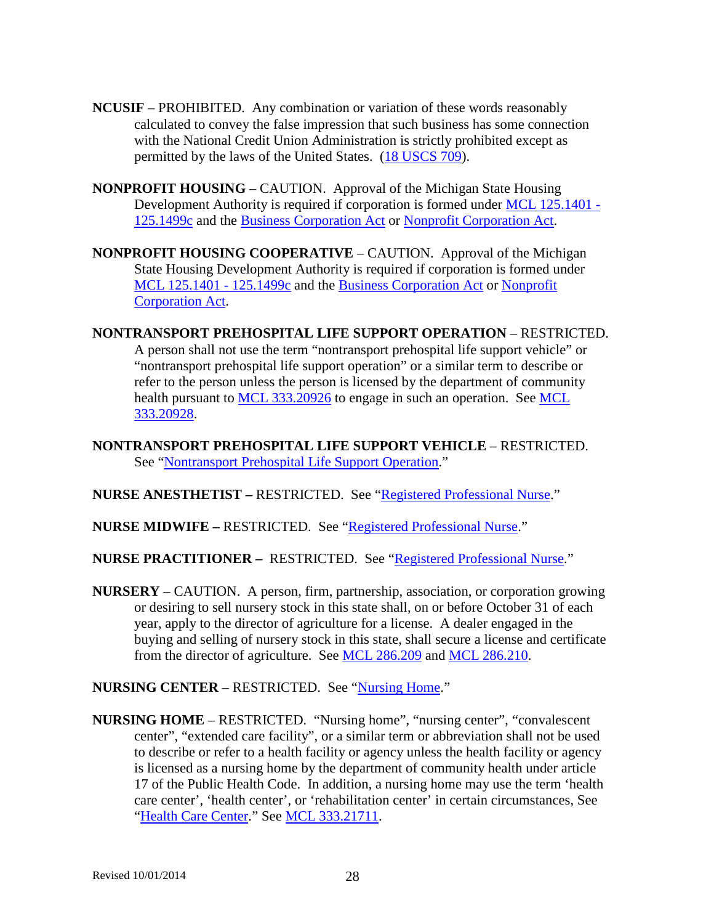- **NCUSIF** PROHIBITED. Any combination or variation of these words reasonably calculated to convey the false impression that such business has some connection with the National Credit Union Administration is strictly prohibited except as permitted by the laws of the United States. [\(18 USCS 709\)](http://uscode.house.gov/search/criteria.shtml).
- **NONPROFIT HOUSING** CAUTION. Approval of the Michigan State Housing Development Authority is required if corporation is formed under [MCL 125.1401 -](http://www.legislature.mi.gov/mileg.aspx?page=getObject&objectName=mcl-Act-346-of-1966) [125.1499c](http://www.legislature.mi.gov/mileg.aspx?page=getObject&objectName=mcl-Act-346-of-1966) and the [Business Corporation Act](http://www.legislature.mi.gov/mileg.aspx?page=getobject&objectname=mcl-Act-284-of-1972&queryid=13487244) or [Nonprofit Corporation Act.](http://www.legislature.mi.gov/mileg.aspx?page=getobject&objectname=mcl-Act-162-of-1982&queryid=13487251)
- **NONPROFIT HOUSING COOPERATIVE** CAUTION. Approval of the Michigan State Housing Development Authority is required if corporation is formed under [MCL 125.1401 -](http://www.legislature.mi.gov/mileg.aspx?page=getObject&objectName=mcl-Act-346-of-1966) 125.1499c and the [Business Corporation Act](http://www.legislature.mi.gov/mileg.aspx?page=getobject&objectname=mcl-Act-284-of-1972&queryid=13487244) or [Nonprofit](http://www.legislature.mi.gov/mileg.aspx?page=getobject&objectname=mcl-Act-162-of-1982&queryid=13487251)  [Corporation Act.](http://www.legislature.mi.gov/mileg.aspx?page=getobject&objectname=mcl-Act-162-of-1982&queryid=13487251)
- <span id="page-27-1"></span>**NONTRANSPORT PREHOSPITAL LIFE SUPPORT OPERATION – RESTRICTED.** A person shall not use the term "nontransport prehospital life support vehicle" or "nontransport prehospital life support operation" or a similar term to describe or refer to the person unless the person is licensed by the department of community health pursuant to [MCL 333.20926](http://www.legislature.mi.gov/mileg.aspx?page=getObject&objectName=mcl-333-20926) to engage in such an operation. See MCL [333.20928.](http://www.legislature.mi.gov/mileg.aspx?page=getobject&objectName=mcl-333-20927&relation=next)
- **NONTRANSPORT PREHOSPITAL LIFE SUPPORT VEHICLE** RESTRICTED. See ["Nontransport Prehospital Life Support Operation.](#page-27-1)"
- **NURSE ANESTHETIST –** RESTRICTED. See ["Registered Professional Nurse.](#page-35-1)"
- **NURSE MIDWIFE –** RESTRICTED. See ["Registered Professional Nurse.](#page-35-1)"
- **NURSE PRACTITIONER –** RESTRICTED. See ["Registered Professional Nurse.](#page-35-1)"
- **NURSERY** CAUTION. A person, firm, partnership, association, or corporation growing or desiring to sell nursery stock in this state shall, on or before October 31 of each year, apply to the director of agriculture for a license. A dealer engaged in the buying and selling of nursery stock in this state, shall secure a license and certificate from the director of agriculture. See [MCL 286.209](http://www.legislature.mi.gov/mileg.aspx?page=getObject&objectName=mcl-286-209) and [MCL 286.210.](http://www.legislature.mi.gov/mileg.aspx?page=getobject&objectName=mcl-286-209&relation=next)
- **NURSING CENTER** RESTRICTED. See ["Nursing Home.](#page-27-0)"
- <span id="page-27-0"></span>**NURSING HOME** – RESTRICTED. "Nursing home", "nursing center", "convalescent center", "extended care facility", or a similar term or abbreviation shall not be used to describe or refer to a health facility or agency unless the health facility or agency is licensed as a nursing home by the department of community health under article 17 of the Public Health Code. In addition, a nursing home may use the term 'health care center', 'health center', or 'rehabilitation center' in certain circumstances, See ["Health Care Center.](#page-17-0)" See [MCL 333.21711.](http://www.legislature.mi.gov/mileg.aspx?page=getObject&objectName=mcl-333-21711)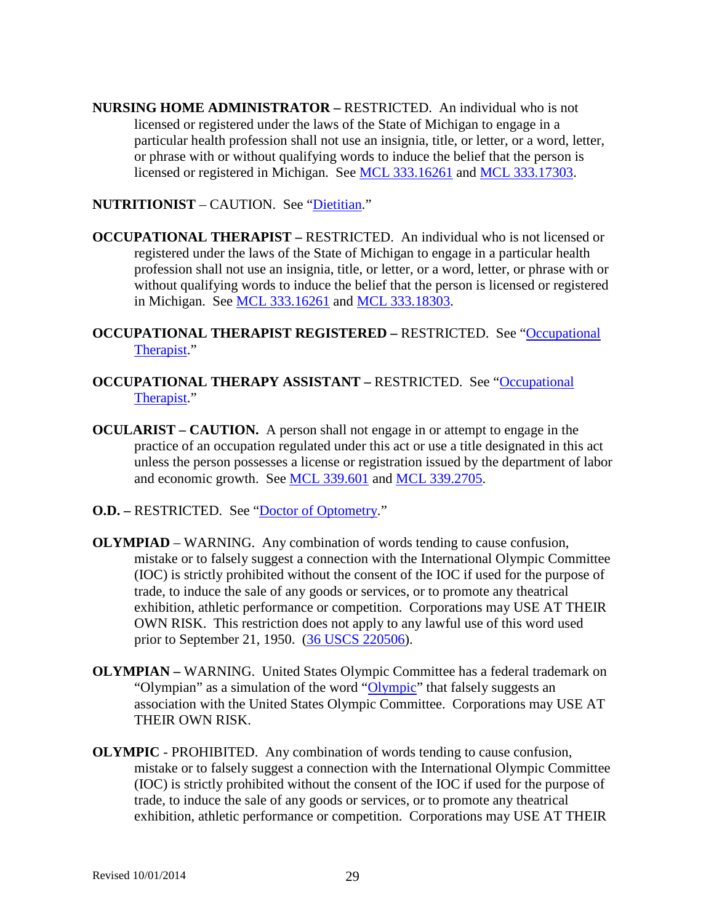**NURSING HOME ADMINISTRATOR –** RESTRICTED. An individual who is not licensed or registered under the laws of the State of Michigan to engage in a particular health profession shall not use an insignia, title, or letter, or a word, letter, or phrase with or without qualifying words to induce the belief that the person is licensed or registered in Michigan. See [MCL 333.16261](http://www.legislature.mi.gov/mileg.aspx?page=GetMCLDocument&objectname=mcl-333-16261) and [MCL 333.17303.](http://www.legislature.mi.gov/mileg.aspx?page=getObject&objectName=mcl-333-17303)

**NUTRITIONIST** – CAUTION. See ["Dietitian.](#page-10-0)"

<span id="page-28-0"></span>**OCCUPATIONAL THERAPIST –** RESTRICTED. An individual who is not licensed or registered under the laws of the State of Michigan to engage in a particular health profession shall not use an insignia, title, or letter, or a word, letter, or phrase with or without qualifying words to induce the belief that the person is licensed or registered in Michigan. See [MCL 333.16261](http://www.legislature.mi.gov/mileg.aspx?page=GetMCLDocument&objectname=mcl-333-16261) and [MCL 333.18303.](http://www.legislature.mi.gov/mileg.aspx?page=getObject&objectName=mcl-333-18303)

**OCCUPATIONAL THERAPIST REGISTERED –** RESTRICTED. See ["Occupational](#page-28-0)  [Therapist.](#page-28-0)"

- **OCCUPATIONAL THERAPY ASSISTANT RESTRICTED.** See "Occupational [Therapist.](#page-28-0)"
- **OCULARIST – CAUTION.** A person shall not engage in or attempt to engage in the practice of an occupation regulated under this act or use a title designated in this act unless the person possesses a license or registration issued by the department of labor and economic growth. See [MCL 339.601](http://www.legislature.mi.gov/mileg.aspx?page=getObject&objectName=mcl-339-601) and [MCL 339.2705.](http://www.legislature.mi.gov/mileg.aspx?page=getObject&objectName=mcl-339-2705)
- **O.D.** RESTRICTED. See ["Doctor of Optometry.](#page-11-1)"
- **OLYMPIAD** WARNING. Any combination of words tending to cause confusion, mistake or to falsely suggest a connection with the International Olympic Committee (IOC) is strictly prohibited without the consent of the IOC if used for the purpose of trade, to induce the sale of any goods or services, or to promote any theatrical exhibition, athletic performance or competition. Corporations may USE AT THEIR OWN RISK. This restriction does not apply to any lawful use of this word used prior to September 21, 1950. [\(36 USCS 220506\)](http://uscode.house.gov/search/criteria.shtml).
- **OLYMPIAN –** WARNING. United States Olympic Committee has a federal trademark on "Olympian" as a simulation of the word ["Olympic"](#page-28-1) that falsely suggests an association with the United States Olympic Committee. Corporations may USE AT THEIR OWN RISK.
- <span id="page-28-1"></span>**OLYMPIC** - PROHIBITED. Any combination of words tending to cause confusion, mistake or to falsely suggest a connection with the International Olympic Committee (IOC) is strictly prohibited without the consent of the IOC if used for the purpose of trade, to induce the sale of any goods or services, or to promote any theatrical exhibition, athletic performance or competition. Corporations may USE AT THEIR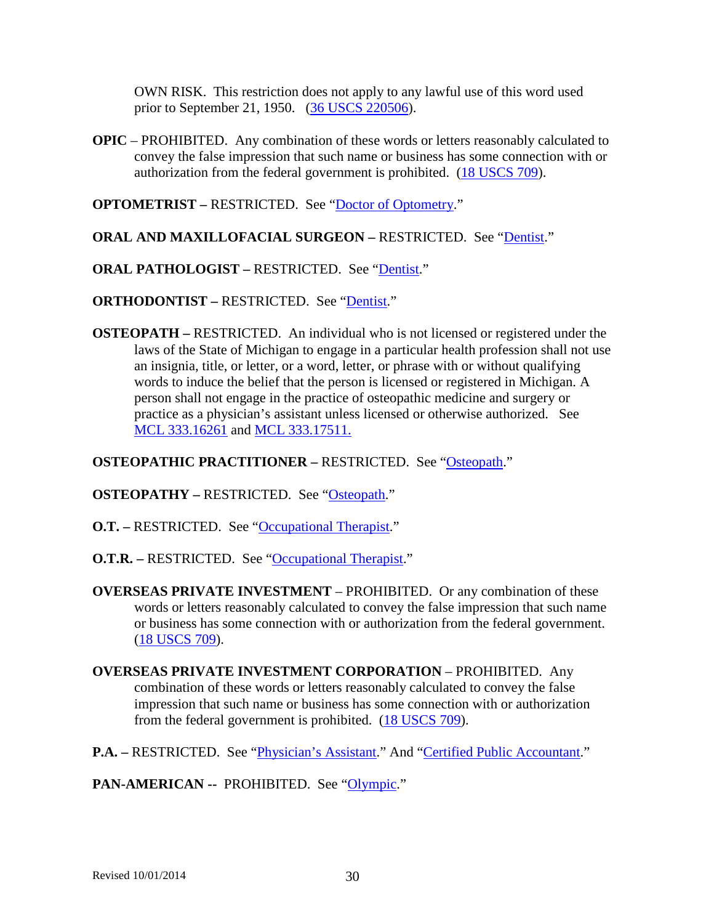OWN RISK. This restriction does not apply to any lawful use of this word used prior to September 21, 1950. [\(36 USCS 220506\)](http://uscode.house.gov/search/criteria.shtml).

**OPIC** – PROHIBITED. Any combination of these words or letters reasonably calculated to convey the false impression that such name or business has some connection with or authorization from the federal government is prohibited. [\(18 USCS 709\)](http://uscode.house.gov/search/criteria.shtml).

**OPTOMETRIST –** RESTRICTED. See ["Doctor of Optometry.](#page-11-1)"

- **ORAL AND MAXILLOFACIAL SURGEON –** RESTRICTED. See ["Dentist.](#page-9-0)"
- **ORAL PATHOLOGIST RESTRICTED.** See "*Dentist.*"

**ORTHODONTIST – RESTRICTED. See ["Dentist.](#page-9-0)"** 

<span id="page-29-0"></span>**OSTEOPATH –** RESTRICTED. An individual who is not licensed or registered under the laws of the State of Michigan to engage in a particular health profession shall not use an insignia, title, or letter, or a word, letter, or phrase with or without qualifying words to induce the belief that the person is licensed or registered in Michigan. A person shall not engage in the practice of osteopathic medicine and surgery or practice as a physician's assistant unless licensed or otherwise authorized. See [MCL 333.16261](http://www.legislature.mi.gov/mileg.aspx?page=GetMCLDocument&objectname=mcl-333-16261) and [MCL 333.17511.](http://www.legislature.mi.gov/mileg.aspx?page=getObject&objectName=mcl-333-17511)

**OSTEOPATHIC PRACTITIONER – RESTRICTED. See ["Osteopath.](#page-29-0)"** 

**OSTEOPATHY –** RESTRICTED. See ["Osteopath.](#page-29-0)"

**O.T.** – RESTRICTED. See ["Occupational Therapist.](#page-28-0)"

**O.T.R. –** RESTRICTED. See ["Occupational Therapist.](#page-28-0)"

**OVERSEAS PRIVATE INVESTMENT** – PROHIBITED. Or any combination of these words or letters reasonably calculated to convey the false impression that such name or business has some connection with or authorization from the federal government. [\(18 USCS 709\)](http://uscode.house.gov/search/criteria.shtml).

**OVERSEAS PRIVATE INVESTMENT CORPORATION** – PROHIBITED. Any combination of these words or letters reasonably calculated to convey the false impression that such name or business has some connection with or authorization from the federal government is prohibited. [\(18 USCS 709\)](http://uscode.house.gov/search/criteria.shtml).

**P.A.** – RESTRICTED. See "*Physician's Assistant.*" And ["Certified Public Accountant.](#page-5-0)"

PAN-AMERICAN -- PROHIBITED. See ["Olympic.](#page-28-1)"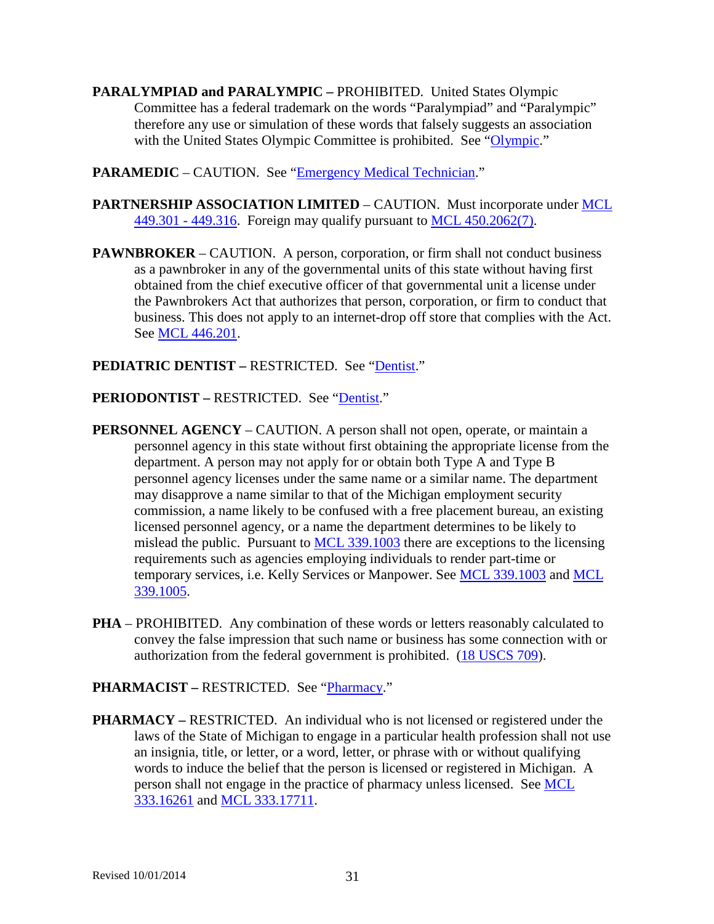- **PARALYMPIAD and PARALYMPIC –** PROHIBITED. United States Olympic Committee has a federal trademark on the words "Paralympiad" and "Paralympic" therefore any use or simulation of these words that falsely suggests an association with the United States Olympic Committee is prohibited. See ["Olympic.](#page-28-1)"
- **PARAMEDIC** CAUTION. See ["Emergency Medical Technician.](#page-12-0)"
- **PARTNERSHIP ASSOCIATION LIMITED** CAUTION. Must incorporate under [MCL](http://www.legislature.mi.gov/mileg.aspx?page=getObject&objectName=mcl-Act-191-of-1877)  [449.301 -](http://www.legislature.mi.gov/mileg.aspx?page=getObject&objectName=mcl-Act-191-of-1877) 449.316. Foreign may qualify pursuant to [MCL 450.2062\(7\).](http://www.legislature.mi.gov/mileg.aspx?page=getObject&objectName=mcl-450-2062)
- **PAWNBROKER** CAUTION. A person, corporation, or firm shall not conduct business as a pawnbroker in any of the governmental units of this state without having first obtained from the chief executive officer of that governmental unit a license under the Pawnbrokers Act that authorizes that person, corporation, or firm to conduct that business. This does not apply to an internet-drop off store that complies with the Act. See [MCL 446.201.](http://www.legislature.mi.gov/mileg.aspx?page=getObject&objectName=mcl-446-201)

### **PEDIATRIC DENTIST –** RESTRICTED. See ["Dentist.](#page-9-0)"

- **PERIODONTIST RESTRICTED. See ["Dentist.](#page-9-0)"**
- **PERSONNEL AGENCY** CAUTION. A person shall not open, operate, or maintain a personnel agency in this state without first obtaining the appropriate license from the department. A person may not apply for or obtain both Type A and Type B personnel agency licenses under the same name or a similar name. The department may disapprove a name similar to that of the Michigan employment security commission, a name likely to be confused with a free placement bureau, an existing licensed personnel agency, or a name the department determines to be likely to mislead the public. Pursuant to **MCL** 339.1003 there are exceptions to the licensing requirements such as agencies employing individuals to render part-time or temporary services, i.e. Kelly Services or Manpower. See [MCL 339.1003](http://www.legislature.mi.gov/mileg.aspx?page=getObject&objectName=mcl-339-1003) and [MCL](http://www.legislature.mi.gov/mileg.aspx?page=getobject&objectName=mcl-339-1004&relation=next)  [339.1005.](http://www.legislature.mi.gov/mileg.aspx?page=getobject&objectName=mcl-339-1004&relation=next)
- **PHA** PROHIBITED. Any combination of these words or letters reasonably calculated to convey the false impression that such name or business has some connection with or authorization from the federal government is prohibited. [\(18 USCS 709\)](http://uscode.house.gov/search/criteria.shtml).

### **PHARMACIST –** RESTRICTED. See ["Pharmacy.](#page-30-0)"

<span id="page-30-0"></span>**PHARMACY –** RESTRICTED. An individual who is not licensed or registered under the laws of the State of Michigan to engage in a particular health profession shall not use an insignia, title, or letter, or a word, letter, or phrase with or without qualifying words to induce the belief that the person is licensed or registered in Michigan. A person shall not engage in the practice of pharmacy unless licensed. See [MCL](http://www.legislature.mi.gov/mileg.aspx?page=GetMCLDocument&objectname=mcl-333-16261)  [333.16261](http://www.legislature.mi.gov/mileg.aspx?page=GetMCLDocument&objectname=mcl-333-16261) and [MCL 333.17711.](http://www.legislature.mi.gov/mileg.aspx?page=getObject&objectName=mcl-333-17711)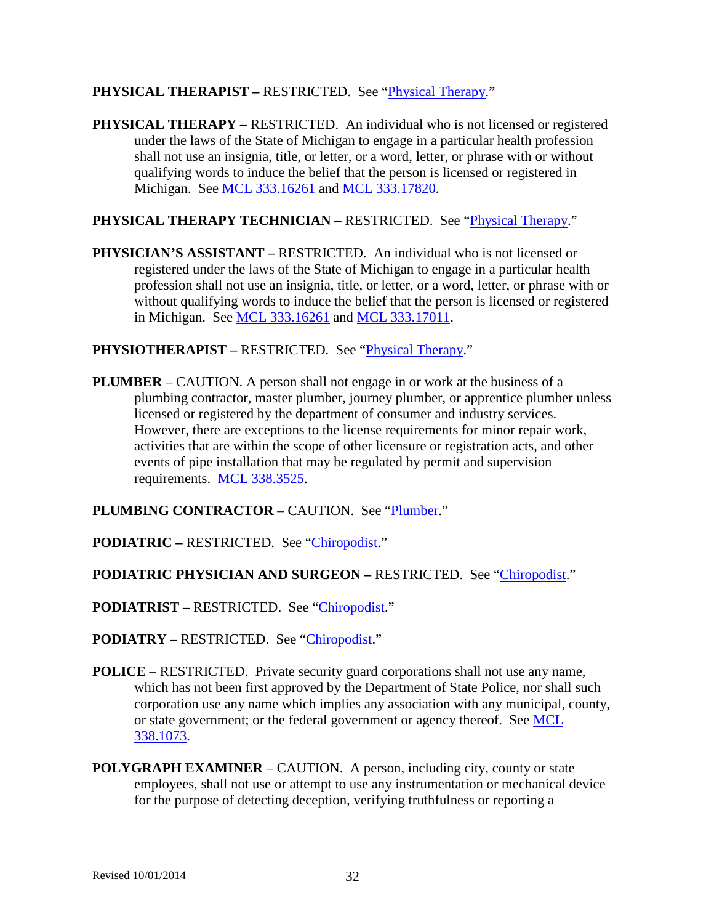### **PHYSICAL THERAPIST –** RESTRICTED. See ["Physical Therapy.](#page-31-0)"

<span id="page-31-0"></span>**PHYSICAL THERAPY** – RESTRICTED. An individual who is not licensed or registered under the laws of the State of Michigan to engage in a particular health profession shall not use an insignia, title, or letter, or a word, letter, or phrase with or without qualifying words to induce the belief that the person is licensed or registered in Michigan. See [MCL 333.16261](http://www.legislature.mi.gov/mileg.aspx?page=GetMCLDocument&objectname=mcl-333-16261) and [MCL 333.17820.](http://www.legislature.mi.gov/mileg.aspx?page=getObject&objectName=mcl-333-17820)

## **PHYSICAL THERAPY TECHNICIAN – RESTRICTED.** See "*Physical Therapy.*"

<span id="page-31-1"></span>**PHYSICIAN'S ASSISTANT –** RESTRICTED. An individual who is not licensed or registered under the laws of the State of Michigan to engage in a particular health profession shall not use an insignia, title, or letter, or a word, letter, or phrase with or without qualifying words to induce the belief that the person is licensed or registered in Michigan. See [MCL 333.16261](http://www.legislature.mi.gov/mileg.aspx?page=GetMCLDocument&objectname=mcl-333-16261) and [MCL 333.17011.](http://www.legislature.mi.gov/mileg.aspx?page=getObject&objectName=mcl-333-17011)

**PHYSIOTHERAPIST –** RESTRICTED. See ["Physical Therapy.](#page-31-0)"

<span id="page-31-2"></span>**PLUMBER** – CAUTION. A person shall not engage in or work at the business of a plumbing contractor, master plumber, journey plumber, or apprentice plumber unless licensed or registered by the department of consumer and industry services. However, there are exceptions to the license requirements for minor repair work, activities that are within the scope of other licensure or registration acts, and other events of pipe installation that may be regulated by permit and supervision requirements. [MCL 338.3525.](http://www.legislature.mi.gov/mileg.aspx?page=getObject&objectName=mcl-338-3525)

**PLUMBING CONTRACTOR** – CAUTION. See ["Plumber.](#page-31-2)"

**PODIATRIC –** RESTRICTED. See ["Chiropodist.](#page-6-0)"

**PODIATRIC PHYSICIAN AND SURGEON –** RESTRICTED. See ["Chiropodist.](#page-6-0)"

**PODIATRIST –** RESTRICTED. See ["Chiropodist.](#page-6-0)"

**PODIATRY –** RESTRICTED. See ["Chiropodist.](#page-6-0)"

- **POLICE** RESTRICTED. Private security guard corporations shall not use any name, which has not been first approved by the Department of State Police, nor shall such corporation use any name which implies any association with any municipal, county, or state government; or the federal government or agency thereof. See [MCL](http://www.legislature.mi.gov/mileg.aspx?page=getObject&objectName=mcl-338-1073)  [338.1073.](http://www.legislature.mi.gov/mileg.aspx?page=getObject&objectName=mcl-338-1073)
- <span id="page-31-3"></span>**POLYGRAPH EXAMINER** – CAUTION. A person, including city, county or state employees, shall not use or attempt to use any instrumentation or mechanical device for the purpose of detecting deception, verifying truthfulness or reporting a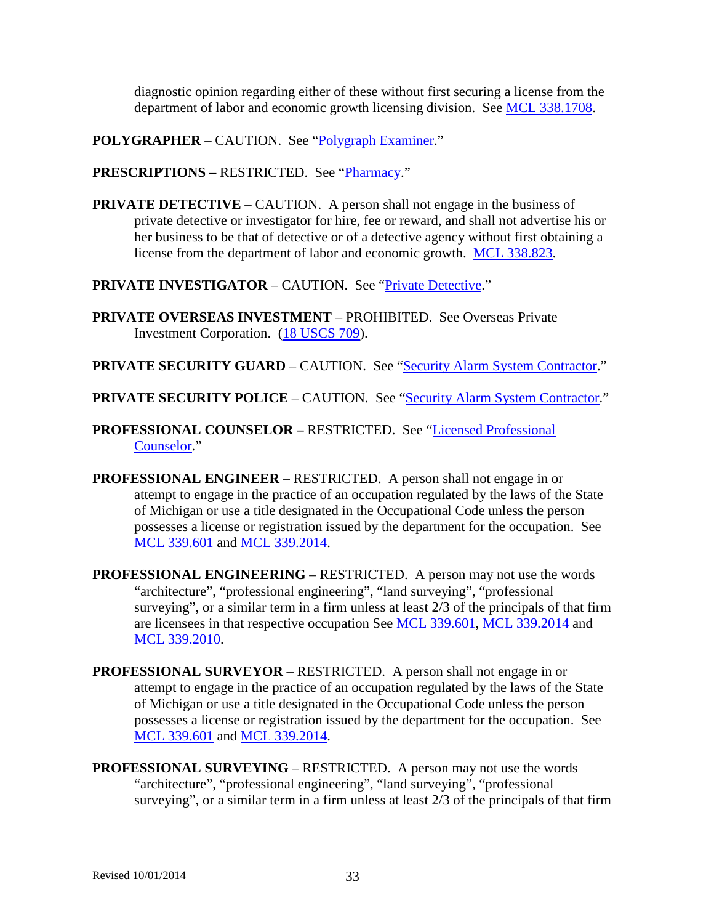diagnostic opinion regarding either of these without first securing a license from the department of labor and economic growth licensing division. See [MCL 338.1708.](http://www.legislature.mi.gov/mileg.aspx?page=getObject&objectName=mcl-338-1708)

**POLYGRAPHER** – CAUTION. See ["Polygraph Examiner.](#page-31-3)"

**PRESCRIPTIONS –** RESTRICTED. See ["Pharmacy.](#page-30-0)"

<span id="page-32-0"></span>**PRIVATE DETECTIVE** – CAUTION. A person shall not engage in the business of private detective or investigator for hire, fee or reward, and shall not advertise his or her business to be that of detective or of a detective agency without first obtaining a license from the department of labor and economic growth. [MCL 338.823.](http://www.legislature.mi.gov/mileg.aspx?page=getObject&objectName=mcl-338-823)

**PRIVATE INVESTIGATOR** – CAUTION. See ["Private Detective.](#page-32-0)"

- **PRIVATE OVERSEAS INVESTMENT** PROHIBITED. See Overseas Private Investment Corporation. [\(18 USCS 709\)](http://uscode.house.gov/search/criteria.shtml).
- **PRIVATE SECURITY GUARD** CAUTION. See ["Security Alarm System Contractor.](#page-38-0)"
- **PRIVATE SECURITY POLICE** CAUTION. See ["Security Alarm System Contractor.](#page-38-0)"
- **PROFESSIONAL COUNSELOR –** RESTRICTED. See ["Licensed Professional](#page-22-0)  [Counselor.](#page-22-0)"
- <span id="page-32-1"></span>**PROFESSIONAL ENGINEER** – RESTRICTED. A person shall not engage in or attempt to engage in the practice of an occupation regulated by the laws of the State of Michigan or use a title designated in the Occupational Code unless the person possesses a license or registration issued by the department for the occupation. See [MCL 339.601](http://www.legislature.mi.gov/mileg.aspx?page=getObject&objectName=mcl-339-601) and [MCL 339.2014.](http://www.legislature.mi.gov/mileg.aspx?page=getObject&objectName=mcl-339-2014)
- **PROFESSIONAL ENGINEERING** RESTRICTED. A person may not use the words "architecture", "professional engineering", "land surveying", "professional surveying", or a similar term in a firm unless at least 2/3 of the principals of that firm are licensees in that respective occupation See [MCL 339.601,](http://www.legislature.mi.gov/mileg.aspx?page=getObject&objectName=mcl-339-601) [MCL 339.2014](http://www.legislature.mi.gov/mileg.aspx?page=getObject&objectName=mcl-339-2014) and [MCL 339.2010.](http://www.legislature.mi.gov/mileg.aspx?page=getObject&objectName=mcl-339-2010)
- <span id="page-32-2"></span>**PROFESSIONAL SURVEYOR** – RESTRICTED. A person shall not engage in or attempt to engage in the practice of an occupation regulated by the laws of the State of Michigan or use a title designated in the Occupational Code unless the person possesses a license or registration issued by the department for the occupation. See [MCL 339.601](http://www.legislature.mi.gov/mileg.aspx?page=getObject&objectName=mcl-339-601) and [MCL 339.2014.](http://www.legislature.mi.gov/mileg.aspx?page=getObject&objectName=mcl-339-2014)
- **PROFESSIONAL SURVEYING** RESTRICTED. A person may not use the words "architecture", "professional engineering", "land surveying", "professional surveying", or a similar term in a firm unless at least 2/3 of the principals of that firm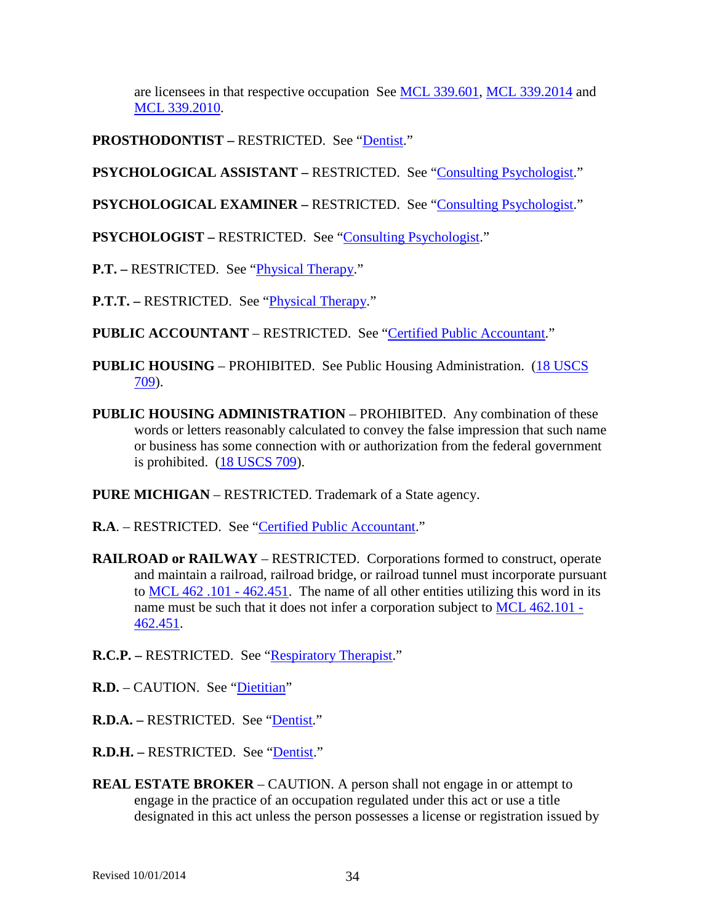are licensees in that respective occupation See [MCL 339.601,](http://www.legislature.mi.gov/mileg.aspx?page=getObject&objectName=mcl-339-601) [MCL 339.2014](http://www.legislature.mi.gov/mileg.aspx?page=getobject&objectName=mcl-339-2013&relation=next) and [MCL 339.2010.](http://www.legislature.mi.gov/mileg.aspx?page=getObject&objectName=mcl-339-2010)

**PROSTHODONTIST –** RESTRICTED. See ["Dentist.](#page-9-0)"

**PSYCHOLOGICAL ASSISTANT – RESTRICTED.** See ["Consulting Psychologist.](#page-7-0)"

**PSYCHOLOGICAL EXAMINER – RESTRICTED. See ["Consulting Psychologist.](#page-7-0)"** 

**PSYCHOLOGIST –** RESTRICTED. See ["Consulting Psychologist.](#page-7-0)"

**P.T.** – RESTRICTED. See "*Physical Therapy.*"

**P.T.T.** – RESTRICTED. See "*Physical Therapy.*"

**PUBLIC ACCOUNTANT** – RESTRICTED. See ["Certified Public Accountant.](#page-5-0)"

- **PUBLIC HOUSING** PROHIBITED. See Public Housing Administration. [\(18 USCS](http://uscode.house.gov/search/criteria.shtml)  [709\)](http://uscode.house.gov/search/criteria.shtml).
- **PUBLIC HOUSING ADMINISTRATION** PROHIBITED. Any combination of these words or letters reasonably calculated to convey the false impression that such name or business has some connection with or authorization from the federal government is prohibited. [\(18 USCS 709\)](http://uscode.house.gov/search/criteria.shtml).

**PURE MICHIGAN** – RESTRICTED. Trademark of a State agency.

**R.A**. – RESTRICTED. See ["Certified Public Accountant.](#page-5-0)"

- **RAILROAD or RAILWAY** RESTRICTED. Corporations formed to construct, operate and maintain a railroad, railroad bridge, or railroad tunnel must incorporate pursuant to [MCL 462 .101 -](http://www.legislature.mi.gov/mileg.aspx?page=getObject&objectName=mcl-Act-354-of-1993) 462.451. The name of all other entities utilizing this word in its name must be such that it does not infer a corporation subject to [MCL 462.101 -](http://www.legislature.mi.gov/mileg.aspx?page=getObject&objectName=mcl-Act-354-of-1993) [462.451.](http://www.legislature.mi.gov/mileg.aspx?page=getObject&objectName=mcl-Act-354-of-1993)
- **R.C.P.** RESTRICTED. See ["Respiratory Therapist.](#page-36-0)"
- **R.D.** CAUTION. See ["Dietitian"](#page-10-0)
- R.D.A. RESTRICTED. See ["Dentist.](#page-9-0)"
- **R.D.H. –** RESTRICTED. See ["Dentist.](#page-9-0)"
- <span id="page-33-0"></span>**REAL ESTATE BROKER** – CAUTION. A person shall not engage in or attempt to engage in the practice of an occupation regulated under this act or use a title designated in this act unless the person possesses a license or registration issued by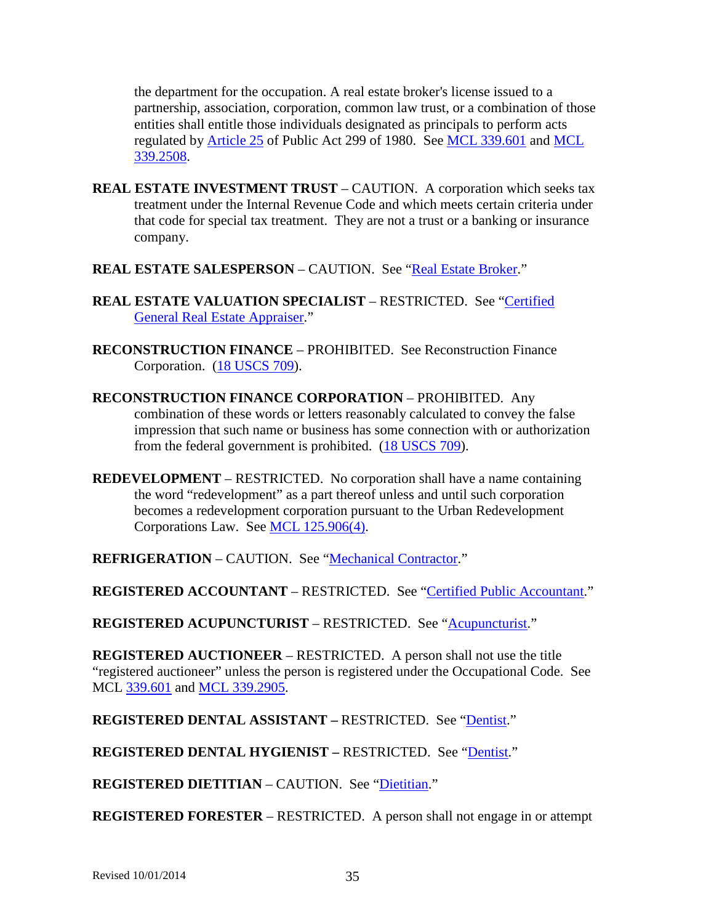the department for the occupation. A real estate broker's license issued to a partnership, association, corporation, common law trust, or a combination of those entities shall entitle those individuals designated as principals to perform acts regulated by [Article 25](http://www.legislature.mi.gov/mileg.aspx?page=getObject&objectName=mcl-299-1980-25) of Public Act 299 of 1980. See [MCL 339.601](http://www.legislature.mi.gov/mileg.aspx?page=getObject&objectName=mcl-339-601) and [MCL](http://www.legislature.mi.gov/mileg.aspx?page=getObject&objectName=mcl-339-2508)  [339.2508.](http://www.legislature.mi.gov/mileg.aspx?page=getObject&objectName=mcl-339-2508)

- <span id="page-34-0"></span>**REAL ESTATE INVESTMENT TRUST** – CAUTION. A corporation which seeks tax treatment under the Internal Revenue Code and which meets certain criteria under that code for special tax treatment. They are not a trust or a banking or insurance company.
- **REAL ESTATE SALESPERSON** CAUTION. See ["Real Estate Broker.](#page-33-0)"
- **REAL ESTATE VALUATION SPECIALIST**  RESTRICTED. See ["Certified](#page-5-2)  [General Real Estate Appraiser.](#page-5-2)"
- **RECONSTRUCTION FINANCE** PROHIBITED. See Reconstruction Finance Corporation. [\(18 USCS 709\)](http://uscode.house.gov/search/criteria.shtml).
- **RECONSTRUCTION FINANCE CORPORATION** PROHIBITED. Any combination of these words or letters reasonably calculated to convey the false impression that such name or business has some connection with or authorization from the federal government is prohibited. [\(18 USCS 709\)](http://uscode.house.gov/search/criteria.shtml).
- **REDEVELOPMENT** RESTRICTED. No corporation shall have a name containing the word "redevelopment" as a part thereof unless and until such corporation becomes a redevelopment corporation pursuant to the Urban Redevelopment Corporations Law. See [MCL 125.906\(4\).](http://www.legislature.mi.gov/mileg.aspx?page=getObject&objectName=mcl-125-906)

**REFRIGERATION** – CAUTION. See ["Mechanical Contractor.](#page-25-0)"

**REGISTERED ACCOUNTANT** – RESTRICTED. See ["Certified Public Accountant.](#page-5-0)"

**REGISTERED ACUPUNCTURIST** – RESTRICTED. See ["Acupuncturist.](#page-0-0)"

**REGISTERED AUCTIONEER** – RESTRICTED. A person shall not use the title "registered auctioneer" unless the person is registered under the Occupational Code. See MCL [339.601](http://legislature.mi.gov/doc.aspx?mcl-339-601) and [MCL 339.2905.](http://legislature.mi.gov/doc.aspx?mcl-339-2905-added)

**REGISTERED DENTAL ASSISTANT –** RESTRICTED. See ["Dentist.](#page-9-0)"

**REGISTERED DENTAL HYGIENIST –** RESTRICTED. See ["Dentist.](#page-9-0)"

**REGISTERED DIETITIAN** – CAUTION. See ["Dietitian.](#page-10-0)"

**REGISTERED FORESTER** – RESTRICTED.A person shall not engage in or attempt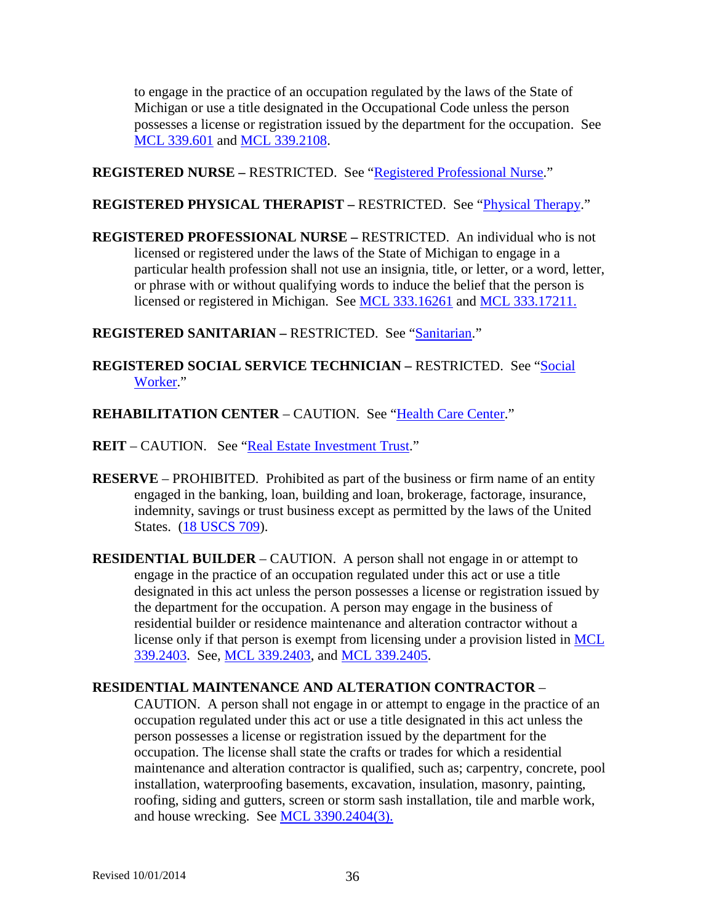to engage in the practice of an occupation regulated by the laws of the State of Michigan or use a title designated in the Occupational Code unless the person possesses a license or registration issued by the department for the occupation. See [MCL 339.601](http://www.legislature.mi.gov/mileg.aspx?page=getObject&objectName=mcl-339-601) and [MCL 339.2108.](http://www.legislature.mi.gov/mileg.aspx?page=getObject&objectName=mcl-339-2108)

**REGISTERED NURSE –** RESTRICTED. See ["Registered Professional Nurse.](#page-35-1)"

### **REGISTERED PHYSICAL THERAPIST –** RESTRICTED. See ["Physical Therapy.](#page-31-0)"

<span id="page-35-1"></span>**REGISTERED PROFESSIONAL NURSE –** RESTRICTED. An individual who is not licensed or registered under the laws of the State of Michigan to engage in a particular health profession shall not use an insignia, title, or letter, or a word, letter, or phrase with or without qualifying words to induce the belief that the person is licensed or registered in Michigan. See [MCL 333.16261](http://www.legislature.mi.gov/mileg.aspx?page=GetMCLDocument&objectname=mcl-333-16261) and [MCL 333.17211.](http://www.legislature.mi.gov/mileg.aspx?page=getobject&objectName=mcl-333-17210&relation=next)

**REGISTERED SANITARIAN –** RESTRICTED. See ["Sanitarian.](#page-36-1)"

**REGISTERED SOCIAL SERVICE TECHNICIAN –** RESTRICTED. See ["Social](#page-39-0)  [Worker.](#page-39-0)"

**REHABILITATION CENTER** – CAUTION. See ["Health Care Center.](#page-17-0)"

**REIT** – CAUTION. See ["Real Estate Investment Trust.](#page-34-0)"

- **RESERVE** PROHIBITED. Prohibited as part of the business or firm name of an entity engaged in the banking, loan, building and loan, brokerage, factorage, insurance, indemnity, savings or trust business except as permitted by the laws of the United States. [\(18 USCS 709\)](http://uscode.house.gov/search/criteria.shtml).
- <span id="page-35-0"></span>**RESIDENTIAL BUILDER** – CAUTION. A person shall not engage in or attempt to engage in the practice of an occupation regulated under this act or use a title designated in this act unless the person possesses a license or registration issued by the department for the occupation. A person may engage in the business of residential builder or residence maintenance and alteration contractor without a license only if that person is exempt from licensing under a provision listed in [MCL](http://www.legislature.mi.gov/mileg.aspx?page=getObject&objectName=mcl-339-2403)  [339.2403.](http://www.legislature.mi.gov/mileg.aspx?page=getObject&objectName=mcl-339-2403) See, [MCL 339.2403,](http://www.legislature.mi.gov/mileg.aspx?page=getObject&objectName=mcl-339-2403) and [MCL 339.2405.](http://www.legislature.mi.gov/mileg.aspx?page=getobject&objectName=mcl-339-2404&relation=next)

### <span id="page-35-2"></span>**RESIDENTIAL MAINTENANCE AND ALTERATION CONTRACTOR** –

CAUTION. A person shall not engage in or attempt to engage in the practice of an occupation regulated under this act or use a title designated in this act unless the person possesses a license or registration issued by the department for the occupation. The license shall state the crafts or trades for which a residential maintenance and alteration contractor is qualified, such as; carpentry, concrete, pool installation, waterproofing basements, excavation, insulation, masonry, painting, roofing, siding and gutters, screen or storm sash installation, tile and marble work, and house wrecking. See [MCL 3390.2404\(3\).](http://www.legislature.mi.gov/mileg.aspx?page=getObject&objectName=mcl-339-2404)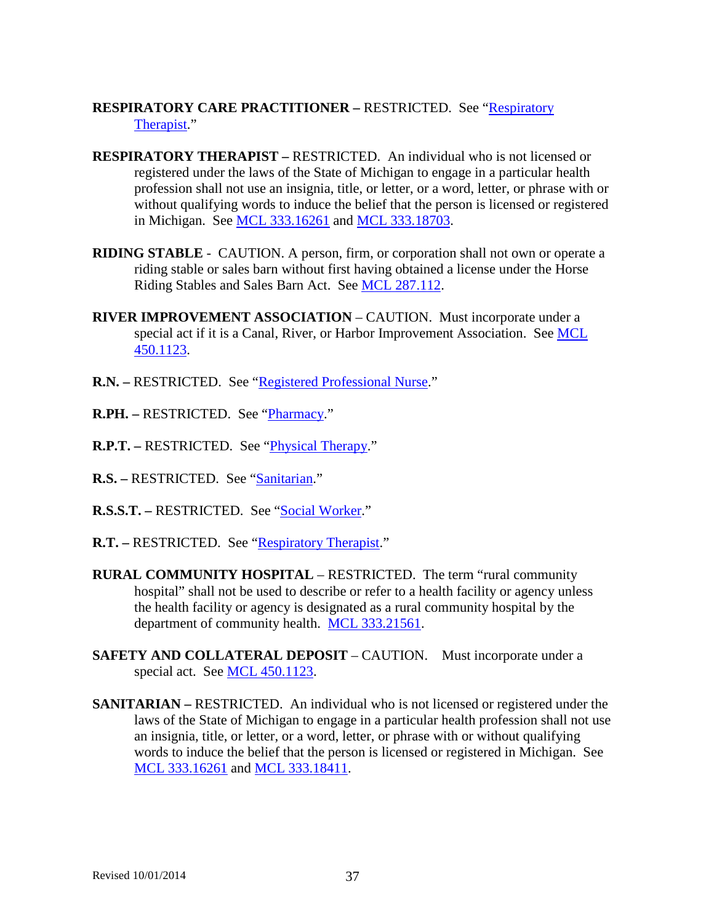## **RESPIRATORY CARE PRACTITIONER – RESTRICTED. See "Respiratory"** [Therapist.](#page-36-0)"

- <span id="page-36-0"></span>**RESPIRATORY THERAPIST –** RESTRICTED. An individual who is not licensed or registered under the laws of the State of Michigan to engage in a particular health profession shall not use an insignia, title, or letter, or a word, letter, or phrase with or without qualifying words to induce the belief that the person is licensed or registered in Michigan. See [MCL 333.16261](http://www.legislature.mi.gov/mileg.aspx?page=GetMCLDocument&objectname=mcl-333-16261) and [MCL 333.18703.](http://www.legislature.mi.gov/mileg.aspx?page=getObject&objectName=mcl-333-18703)
- **RIDING STABLE** CAUTION. A person, firm, or corporation shall not own or operate a riding stable or sales barn without first having obtained a license under the Horse Riding Stables and Sales Barn Act. See [MCL 287.112.](http://www.legislature.mi.gov/mileg.aspx?page=getObject&objectName=mcl-287-112)
- **RIVER IMPROVEMENT ASSOCIATION** CAUTION.Must incorporate under a special act if it is a Canal, River, or Harbor Improvement Association. See [MCL](http://www.legislature.mi.gov/mileg.aspx?page=getObject&objectName=mcl-450-1123)  [450.1123.](http://www.legislature.mi.gov/mileg.aspx?page=getObject&objectName=mcl-450-1123)
- **R.N. –** RESTRICTED. See ["Registered Professional Nurse.](#page-35-1)"
- **R.PH. –** RESTRICTED. See ["Pharmacy.](#page-30-0)"
- **R.P.T. –** RESTRICTED. See ["Physical Therapy.](#page-31-0)"
- R.S. RESTRICTED. See ["Sanitarian.](#page-36-1)"
- **R.S.S.T. –** RESTRICTED. See ["Social Worker.](#page-39-0)"
- **R.T.** RESTRICTED. See ["Respiratory Therapist.](#page-36-0)"
- **RURAL COMMUNITY HOSPITAL RESTRICTED. The term "rural community"** hospital" shall not be used to describe or refer to a health facility or agency unless the health facility or agency is designated as a rural community hospital by the department of community health. [MCL 333.21561.](http://www.legislature.mi.gov/mileg.aspx?page=getObject&objectName=mcl-333-21561)
- **SAFETY AND COLLATERAL DEPOSIT** CAUTION. Must incorporate under a special act. See [MCL 450.1123.](http://www.legislature.mi.gov/mileg.aspx?page=getObject&objectName=mcl-450-1123)
- <span id="page-36-1"></span>**SANITARIAN –** RESTRICTED. An individual who is not licensed or registered under the laws of the State of Michigan to engage in a particular health profession shall not use an insignia, title, or letter, or a word, letter, or phrase with or without qualifying words to induce the belief that the person is licensed or registered in Michigan. See [MCL 333.16261](http://www.legislature.mi.gov/mileg.aspx?page=GetMCLDocument&objectname=mcl-333-16261) and [MCL 333.18411.](http://www.legislature.mi.gov/mileg.aspx?page=getObject&objectName=mcl-333-18411)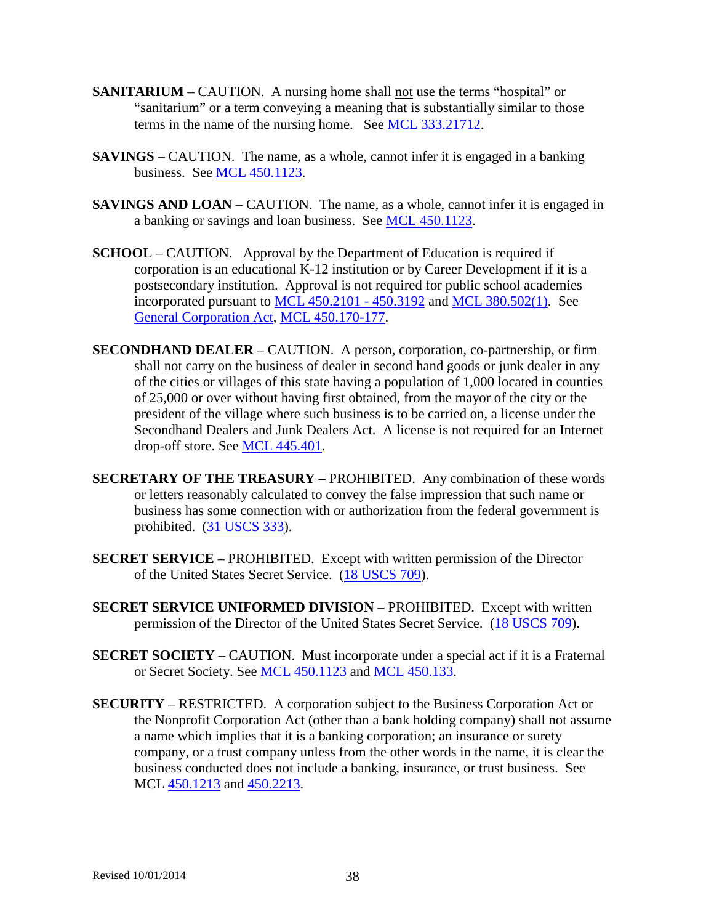- **SANITARIUM** CAUTION. A nursing home shall not use the terms "hospital" or "sanitarium" or a term conveying a meaning that is substantially similar to those terms in the name of the nursing home. See [MCL 333.21712.](http://www.legislature.mi.gov/mileg.aspx?page=getObject&objectName=mcl-333-21712)
- **SAVINGS** CAUTION. The name, as a whole, cannot infer it is engaged in a banking business. See [MCL 450.1123.](http://www.legislature.mi.gov/mileg.aspx?page=getObject&objectName=mcl-450-1123)
- **SAVINGS AND LOAN** CAUTION. The name, as a whole, cannot infer it is engaged in a banking or savings and loan business. See [MCL 450.1123.](http://www.legislature.mi.gov/mileg.aspx?page=getObject&objectName=mcl-450-1123)
- **SCHOOL** CAUTION. Approval by the Department of Education is required if corporation is an educational K-12 institution or by Career Development if it is a postsecondary institution. Approval is not required for public school academies incorporated pursuant to [MCL 450.2101 -](http://www.legislature.mi.gov/mileg.aspx?page=getObject&objectName=mcl-Act-162-of-1982) 450.3192 and [MCL 380.502\(1\).](http://www.legislature.mi.gov/mileg.aspx?page=getObject&objectName=mcl-380-502) See [General Corporation Act,](http://www.legislature.mi.gov/mileg.aspx?page=getobject&objectname=mcl-Act-327-of-1931&queryid=13487108) [MCL 450.170-177.](http://www.legislature.mi.gov/mileg.aspx?page=getObject&objectName=mcl-450-170)
- **SECONDHAND DEALER** CAUTION. A person, corporation, co-partnership, or firm shall not carry on the business of dealer in second hand goods or junk dealer in any of the cities or villages of this state having a population of 1,000 located in counties of 25,000 or over without having first obtained, from the mayor of the city or the president of the village where such business is to be carried on, a license under the Secondhand Dealers and Junk Dealers Act. A license is not required for an Internet drop-off store. See [MCL 445.401.](http://www.legislature.mi.gov/mileg.aspx?page=getObject&objectName=mcl-445-401)
- **SECRETARY OF THE TREASURY –** PROHIBITED. Any combination of these words or letters reasonably calculated to convey the false impression that such name or business has some connection with or authorization from the federal government is prohibited. [\(31 USCS 333\)](http://uscode.house.gov/search/criteria.shtml).
- **SECRET SERVICE** PROHIBITED. Except with written permission of the Director of the United States Secret Service. [\(18 USCS 709\)](http://uscode.house.gov/search/criteria.shtml).
- **SECRET SERVICE UNIFORMED DIVISION** PROHIBITED. Except with written permission of the Director of the United States Secret Service. [\(18 USCS 709\)](http://uscode.house.gov/search/criteria.shtml).
- **SECRET SOCIETY** CAUTION. Must incorporate under a special act if it is a Fraternal or Secret Society. See [MCL 450.1123](http://www.legislature.mi.gov/mileg.aspx?page=getObject&objectName=mcl-450-1123) and [MCL 450.133.](http://www.legislature.mi.gov/mileg.aspx?page=getObject&objectName=mcl-450-133)
- **SECURITY** RESTRICTED. A corporation subject to the Business Corporation Act or the Nonprofit Corporation Act (other than a bank holding company) shall not assume a name which implies that it is a banking corporation; an insurance or surety company, or a trust company unless from the other words in the name, it is clear the business conducted does not include a banking, insurance, or trust business. See MCL [450.1213](http://www.legislature.mi.gov/mileg.aspx?page=getObject&objectName=mcl-450-1213) and [450.2213.](http://www.legislature.mi.gov/mileg.aspx?page=getObject&objectName=mcl-450-2213)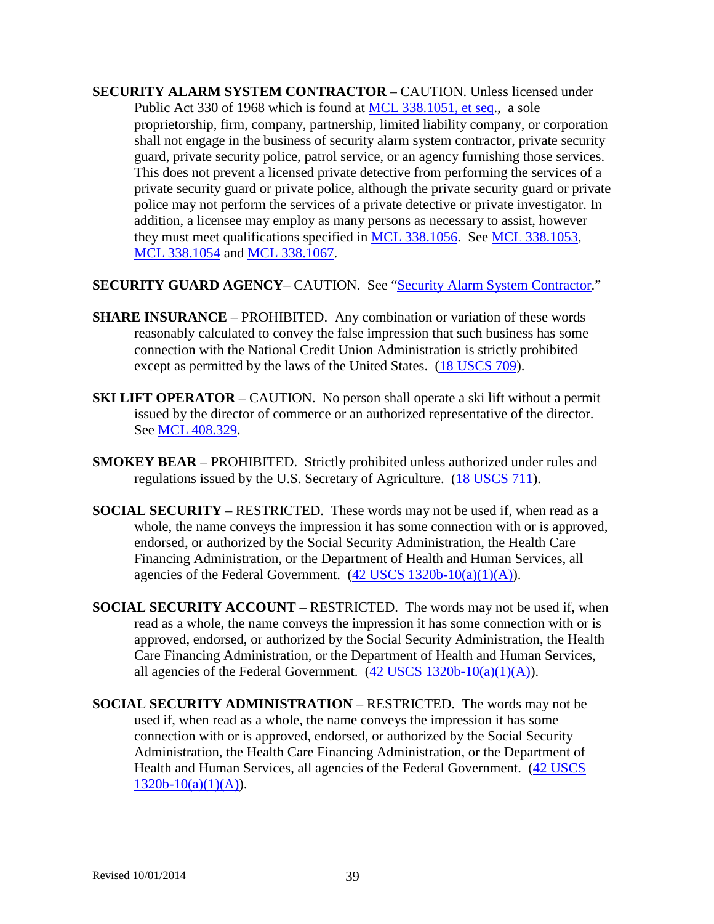- <span id="page-38-0"></span>**SECURITY ALARM SYSTEM CONTRACTOR** – CAUTION. Unless licensed under Public Act 330 of 1968 which is found at [MCL 338.1051, et seq.](http://www.legislature.mi.gov/mileg.aspx?page=getObject&objectName=mcl-338-1051), a sole proprietorship, firm, company, partnership, limited liability company, or corporation shall not engage in the business of security alarm system contractor, private security guard, private security police, patrol service, or an agency furnishing those services. This does not prevent a licensed private detective from performing the services of a private security guard or private police, although the private security guard or private police may not perform the services of a private detective or private investigator. In addition, a licensee may employ as many persons as necessary to assist, however they must meet qualifications specified in [MCL 338.1056.](http://www.legislature.mi.gov/mileg.aspx?page=getObject&objectName=mcl-338-1056) See [MCL 338.1053,](http://www.legislature.mi.gov/mileg.aspx?page=getobject&objectName=mcl-338-1054&relation=previous) [MCL 338.1054](http://www.legislature.mi.gov/mileg.aspx?page=getobject&objectName=mcl-338-1053&relation=next) and [MCL 338.1067.](http://www.legislature.mi.gov/mileg.aspx?page=getObject&objectName=mcl-338-1067)
- **SECURITY GUARD AGENCY** CAUTION. See ["Security Alarm System Contractor.](#page-38-0)"
- **SHARE INSURANCE** PROHIBITED. Any combination or variation of these words reasonably calculated to convey the false impression that such business has some connection with the National Credit Union Administration is strictly prohibited except as permitted by the laws of the United States. [\(18 USCS 709\)](http://uscode.house.gov/search/criteria.shtml).
- **SKI LIFT OPERATOR** CAUTION. No person shall operate a ski lift without a permit issued by the director of commerce or an authorized representative of the director. See [MCL 408.329.](http://www.legislature.mi.gov/mileg.aspx?page=getObject&objectName=mcl-408-329)
- **SMOKEY BEAR** PROHIBITED. Strictly prohibited unless authorized under rules and regulations issued by the U.S. Secretary of Agriculture. [\(18 USCS 711\)](http://uscode.house.gov/search/criteria.shtml).
- **SOCIAL SECURITY** RESTRICTED. These words may not be used if, when read as a whole, the name conveys the impression it has some connection with or is approved, endorsed, or authorized by the Social Security Administration, the Health Care Financing Administration, or the Department of Health and Human Services, all agencies of the Federal Government.  $(42$  USCS  $1320b-10(a)(1)(A))$ .
- **SOCIAL SECURITY ACCOUNT** RESTRICTED. The words may not be used if, when read as a whole, the name conveys the impression it has some connection with or is approved, endorsed, or authorized by the Social Security Administration, the Health Care Financing Administration, or the Department of Health and Human Services, all agencies of the Federal Government.  $(42$  USCS  $1320b-10(a)(1)(A))$ .
- **SOCIAL SECURITY ADMINISTRATION** RESTRICTED. The words may not be used if, when read as a whole, the name conveys the impression it has some connection with or is approved, endorsed, or authorized by the Social Security Administration, the Health Care Financing Administration, or the Department of Health and Human Services, all agencies of the Federal Government. [\(42 USCS](http://uscode.house.gov/search/criteria.shtml)   $1320b-10(a)(1)(A)$ .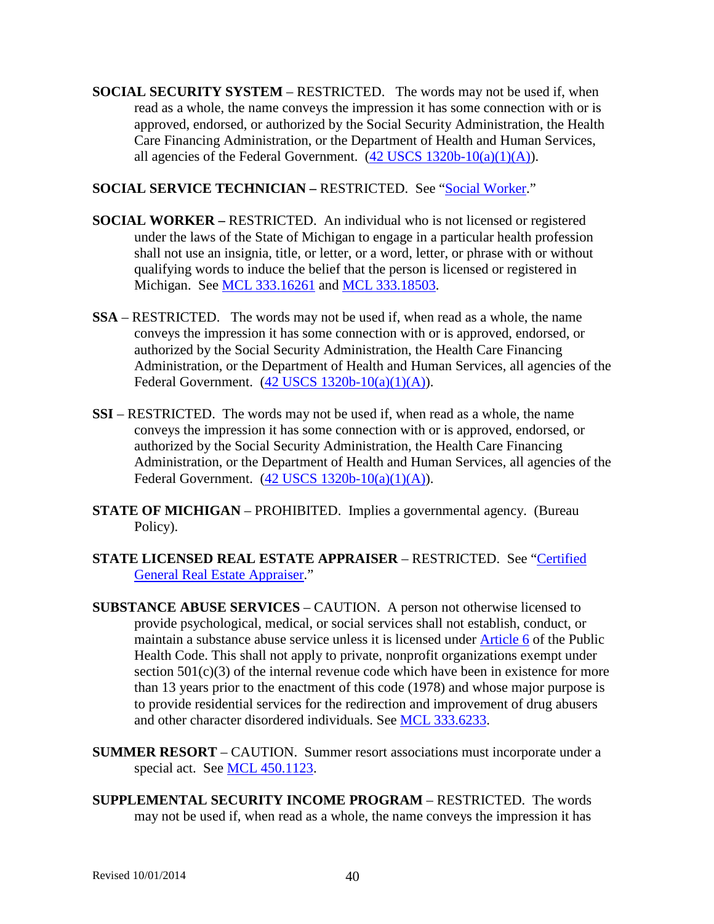**SOCIAL SECURITY SYSTEM** – RESTRICTED. The words may not be used if, when read as a whole, the name conveys the impression it has some connection with or is approved, endorsed, or authorized by the Social Security Administration, the Health Care Financing Administration, or the Department of Health and Human Services, all agencies of the Federal Government.  $(42$  USCS  $1320b-10(a)(1)(A))$ .

### **SOCIAL SERVICE TECHNICIAN –** RESTRICTED. See ["Social Worker.](#page-39-0)"

- <span id="page-39-0"></span>**SOCIAL WORKER –** RESTRICTED. An individual who is not licensed or registered under the laws of the State of Michigan to engage in a particular health profession shall not use an insignia, title, or letter, or a word, letter, or phrase with or without qualifying words to induce the belief that the person is licensed or registered in Michigan. See [MCL 333.16261](http://www.legislature.mi.gov/mileg.aspx?page=getObject&objectName=mcl-333-16261) and [MCL 333.18503.](http://www.legislature.mi.gov/mileg.aspx?page=getObject&objectName=mcl-333-18503)
- **SSA** RESTRICTED. The words may not be used if, when read as a whole, the name conveys the impression it has some connection with or is approved, endorsed, or authorized by the Social Security Administration, the Health Care Financing Administration, or the Department of Health and Human Services, all agencies of the Federal Government.  $(42$  USCS  $1320b-10(a)(1)(A))$ .
- **SSI** RESTRICTED. The words may not be used if, when read as a whole, the name conveys the impression it has some connection with or is approved, endorsed, or authorized by the Social Security Administration, the Health Care Financing Administration, or the Department of Health and Human Services, all agencies of the Federal Government. [\(42 USCS 1320b-10\(a\)\(1\)\(A\)\)](http://uscode.house.gov/search/criteria.shtml).
- **STATE OF MICHIGAN** PROHIBITED. Implies a governmental agency. (Bureau Policy).
- **STATE LICENSED REAL ESTATE APPRAISER** RESTRICTED. See ["Certified](#page-5-2)  [General Real Estate Appraiser.](#page-5-2)"
- **SUBSTANCE ABUSE SERVICES** CAUTION. A person not otherwise licensed to provide psychological, medical, or social services shall not establish, conduct, or maintain a substance abuse service unless it is licensed under [Article 6](http://www.legislature.mi.gov/mileg.aspx?page=getObject&objectName=mcl-368-1978-6) of the Public Health Code. This shall not apply to private, nonprofit organizations exempt under section  $501(c)(3)$  of the internal revenue code which have been in existence for more than 13 years prior to the enactment of this code (1978) and whose major purpose is to provide residential services for the redirection and improvement of drug abusers and other character disordered individuals. See [MCL 333.6233.](http://www.legislature.mi.gov/mileg.aspx?page=getObject&objectName=mcl-333-6233)
- **SUMMER RESORT** CAUTION. Summer resort associations must incorporate under a special act. See [MCL 450.1123.](http://www.legislature.mi.gov/mileg.aspx?page=getObject&objectName=mcl-450-1123)
- **SUPPLEMENTAL SECURITY INCOME PROGRAM** RESTRICTED. The words may not be used if, when read as a whole, the name conveys the impression it has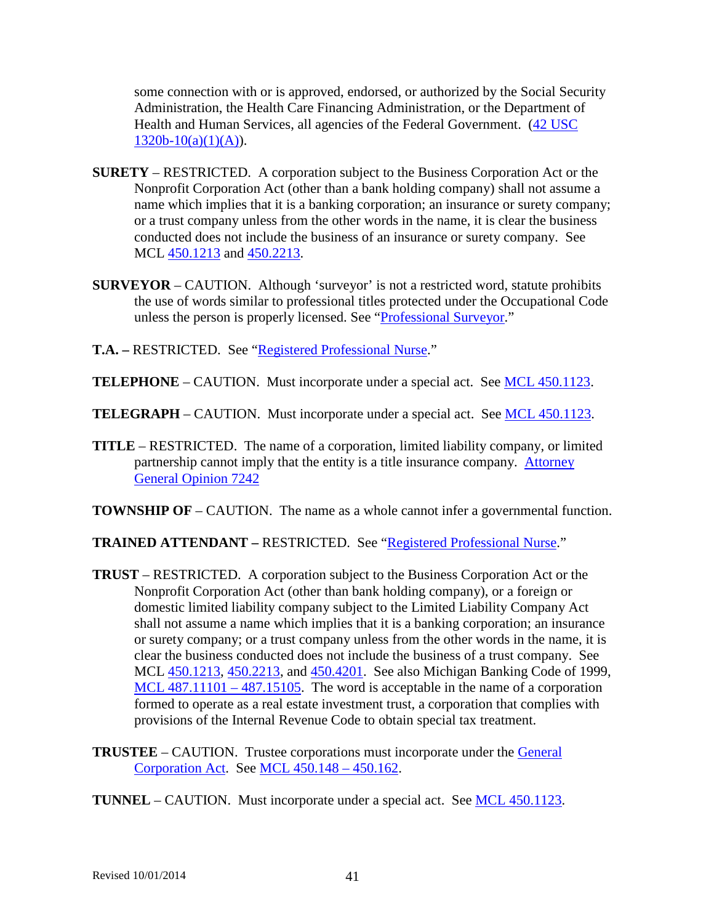some connection with or is approved, endorsed, or authorized by the Social Security Administration, the Health Care Financing Administration, or the Department of Health and Human Services, all agencies of the Federal Government. [\(42 USC](http://uscode.house.gov/search/criteria.shtml)   $1320b-10(a)(1)(A)$ .

- **SURETY** RESTRICTED. A corporation subject to the Business Corporation Act or the Nonprofit Corporation Act (other than a bank holding company) shall not assume a name which implies that it is a banking corporation; an insurance or surety company; or a trust company unless from the other words in the name, it is clear the business conducted does not include the business of an insurance or surety company. See MCL [450.1213](http://www.legislature.mi.gov/mileg.aspx?page=getObject&objectName=mcl-450-1213) and [450.2213.](http://www.legislature.mi.gov/mileg.aspx?page=getObject&objectName=mcl-450-2213)
- **SURVEYOR** CAUTION. Although 'surveyor' is not a restricted word, statute prohibits the use of words similar to professional titles protected under the Occupational Code unless the person is properly licensed. See ["Professional Surveyor.](#page-32-2)"
- **T.A. –** RESTRICTED. See ["Registered Professional Nurse.](#page-35-1)"
- **TELEPHONE** CAUTION. Must incorporate under a special act. See **MCL** 450.1123.
- **TELEGRAPH** CAUTION. Must incorporate under a special act. See [MCL 450.1123.](http://www.legislature.mi.gov/mileg.aspx?page=getObject&objectName=mcl-450-1123)
- **TITLE** RESTRICTED. The name of a corporation, limited liability company, or limited partnership cannot imply that the entity is a title insurance company. [Attorney](http://www.ag.state.mi.us/opinion/datafiles/2010s/op10319.htm)  [General Opinion 7242](http://www.ag.state.mi.us/opinion/datafiles/2010s/op10319.htm)
- **TOWNSHIP OF** CAUTION. The name as a whole cannot infer a governmental function.

### **TRAINED ATTENDANT –** RESTRICTED. See ["Registered Professional Nurse.](#page-35-1)"

- **TRUST** RESTRICTED. A corporation subject to the Business Corporation Act or the Nonprofit Corporation Act (other than bank holding company), or a foreign or domestic limited liability company subject to the Limited Liability Company Act shall not assume a name which implies that it is a banking corporation; an insurance or surety company; or a trust company unless from the other words in the name, it is clear the business conducted does not include the business of a trust company. See MCL [450.1213,](http://www.legislature.mi.gov/mileg.aspx?page=getObject&objectName=mcl-450-1213) [450.2213,](http://www.legislature.mi.gov/mileg.aspx?page=getObject&objectName=mcl-450-2213) and [450.4201.](http://www.legislature.mi.gov/mileg.aspx?page=getObject&objectName=mcl-450-4201) See also Michigan Banking Code of 1999, [MCL 487.11101 –](http://www.legislature.mi.gov/mileg.aspx?page=getObject&objectName=mcl-Act-276-of-1999) 487.15105. The word is acceptable in the name of a corporation formed to operate as a real estate investment trust, a corporation that complies with provisions of the Internal Revenue Code to obtain special tax treatment.
- **TRUSTEE** CAUTION. Trustee corporations must incorporate under the **General** [Corporation Act.](http://www.legislature.mi.gov/mileg.aspx?page=getObject&objectName=mcl-Act-327-of-1931) See [MCL 450.148 –](http://www.legislature.mi.gov/mileg.aspx?page=getObject&objectName=mcl-450-148) 450.162.
- **TUNNEL** CAUTION. Must incorporate under a special act. See **MCL** 450.1123.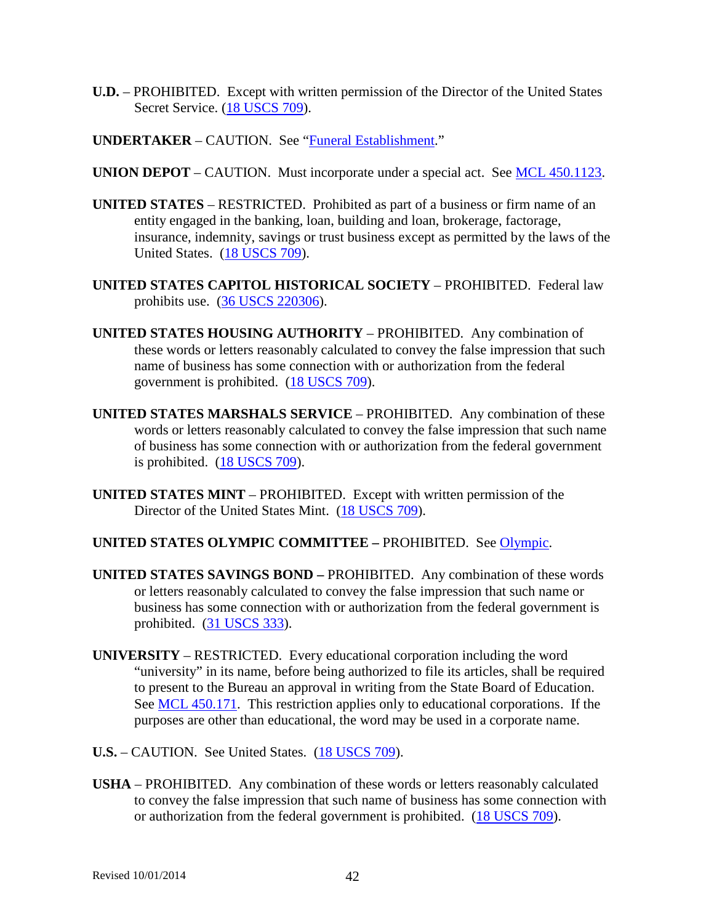- **U.D.** PROHIBITED. Except with written permission of the Director of the United States Secret Service. [\(18 USCS 709\)](http://uscode.house.gov/search/criteria.shtml).
- **UNDERTAKER** CAUTION. See ["Funeral Establishment.](#page-16-0)"
- **UNION DEPOT** CAUTION. Must incorporate under a special act. See [MCL 450.1123.](http://www.legislature.mi.gov/mileg.aspx?page=getObject&objectName=mcl-450-1123)
- **UNITED STATES** RESTRICTED. Prohibited as part of a business or firm name of an entity engaged in the banking, loan, building and loan, brokerage, factorage, insurance, indemnity, savings or trust business except as permitted by the laws of the United States. [\(18 USCS 709\)](http://uscode.house.gov/search/criteria.shtml).
- **UNITED STATES CAPITOL HISTORICAL SOCIETY** PROHIBITED. Federal law prohibits use. [\(36 USCS 220306\)](http://uscode.house.gov/search/criteria.shtml).
- **UNITED STATES HOUSING AUTHORITY** PROHIBITED. Any combination of these words or letters reasonably calculated to convey the false impression that such name of business has some connection with or authorization from the federal government is prohibited. [\(18 USCS 709\)](http://uscode.house.gov/search/criteria.shtml).
- **UNITED STATES MARSHALS SERVICE** PROHIBITED. Any combination of these words or letters reasonably calculated to convey the false impression that such name of business has some connection with or authorization from the federal government is prohibited. [\(18 USCS 709\)](http://uscode.house.gov/search/criteria.shtml).
- **UNITED STATES MINT** PROHIBITED. Except with written permission of the Director of the United States Mint. [\(18 USCS 709\)](http://uscode.house.gov/search/criteria.shtml).

### **UNITED STATES OLYMPIC COMMITTEE –** PROHIBITED. See [Olympic.](#page-28-1)

- **UNITED STATES SAVINGS BOND –** PROHIBITED. Any combination of these words or letters reasonably calculated to convey the false impression that such name or business has some connection with or authorization from the federal government is prohibited. [\(31 USCS 333\)](http://uscode.house.gov/search/criteria.shtml).
- **UNIVERSITY**  RESTRICTED. Every educational corporation including the word "university" in its name, before being authorized to file its articles, shall be required to present to the Bureau an approval in writing from the State Board of Education. See [MCL 450.171.](http://www.legislature.mi.gov/mileg.aspx?page=getObject&objectName=mcl-450-171) This restriction applies only to educational corporations. If the purposes are other than educational, the word may be used in a corporate name.
- **U.S.** CAUTION. See United States. [\(18 USCS 709\)](http://uscode.house.gov/search/criteria.shtml).
- **USHA** PROHIBITED. Any combination of these words or letters reasonably calculated to convey the false impression that such name of business has some connection with or authorization from the federal government is prohibited. [\(18 USCS 709\)](http://uscode.house.gov/search/criteria.shtml).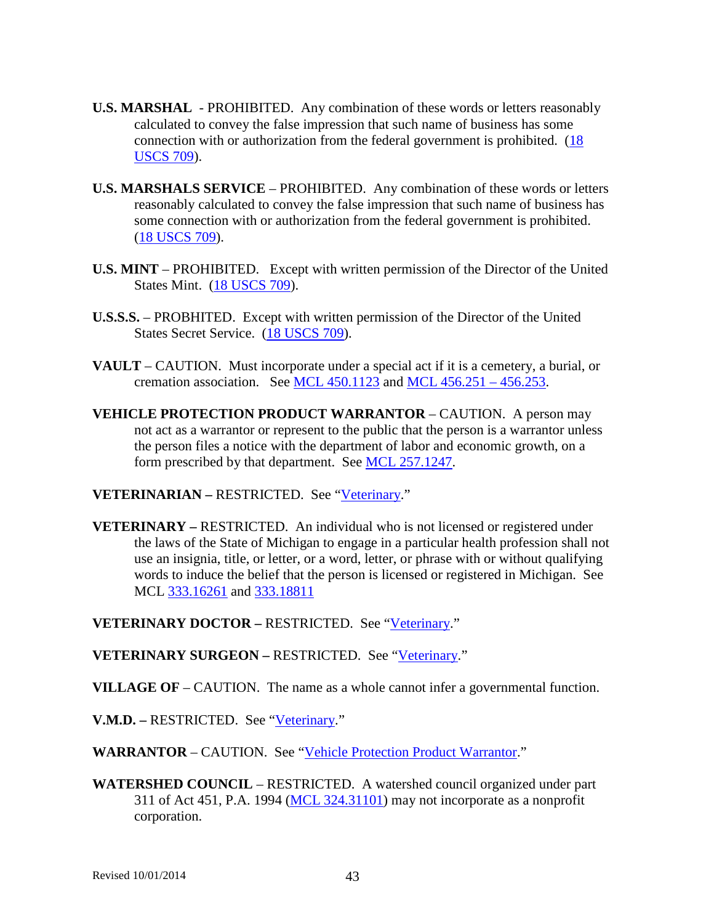- **U.S. MARSHAL** PROHIBITED. Any combination of these words or letters reasonably calculated to convey the false impression that such name of business has some connection with or authorization from the federal government is prohibited. [\(18](http://uscode.house.gov/search/criteria.shtml)  [USCS 709\)](http://uscode.house.gov/search/criteria.shtml).
- **U.S. MARSHALS SERVICE** PROHIBITED. Any combination of these words or letters reasonably calculated to convey the false impression that such name of business has some connection with or authorization from the federal government is prohibited. (18 USCS 709).
- **U.S. MINT** PROHIBITED. Except with written permission of the Director of the United States Mint. [\(18 USCS 709\)](http://uscode.house.gov/search/criteria.shtml).
- **U.S.S.S.** PROBHITED. Except with written permission of the Director of the United States Secret Service. [\(18 USCS 709\)](http://uscode.house.gov/search/criteria.shtml).
- **VAULT** CAUTION. Must incorporate under a special act if it is a cemetery, a burial, or cremation association. See MCL  $450.1123$  and MCL  $456.251 - 456.253$ .
- <span id="page-42-1"></span>**VEHICLE PROTECTION PRODUCT WARRANTOR** – CAUTION. A person may not act as a warrantor or represent to the public that the person is a warrantor unless the person files a notice with the department of labor and economic growth, on a form prescribed by that department. See [MCL 257.1247.](http://www.legislature.mi.gov/mileg.aspx?page=getObject&objectName=mcl-257-1247)

**VETERINARIAN –** RESTRICTED. See ["Veterinary.](#page-42-0)"

<span id="page-42-0"></span>**VETERINARY –** RESTRICTED. An individual who is not licensed or registered under the laws of the State of Michigan to engage in a particular health profession shall not use an insignia, title, or letter, or a word, letter, or phrase with or without qualifying words to induce the belief that the person is licensed or registered in Michigan. See MCL [333.16261](http://www.legislature.mi.gov/mileg.aspx?page=GetMCLDocument&objectname=mcl-333-16261) and [333.18811](http://legislature.mi.gov/doc.aspx?mcl-333-18811)

**VETERINARY DOCTOR –** RESTRICTED. See ["Veterinary.](#page-42-0)"

**VETERINARY SURGEON –** RESTRICTED. See ["Veterinary.](#page-42-0)"

- **VILLAGE OF** CAUTION. The name as a whole cannot infer a governmental function.
- V.M.D. RESTRICTED. See ["Veterinary.](#page-42-0)"

WARRANTOR – CAUTION. See ["Vehicle Protection Product Warrantor.](#page-42-1)"

**WATERSHED COUNCIL** – RESTRICTED. A watershed council organized under part 311 of Act 451, P.A. 1994 [\(MCL 324.31101\)](http://www.legislature.mi.gov/mileg.aspx?page=getObject&objectName=mcl-324-31101) may not incorporate as a nonprofit corporation.